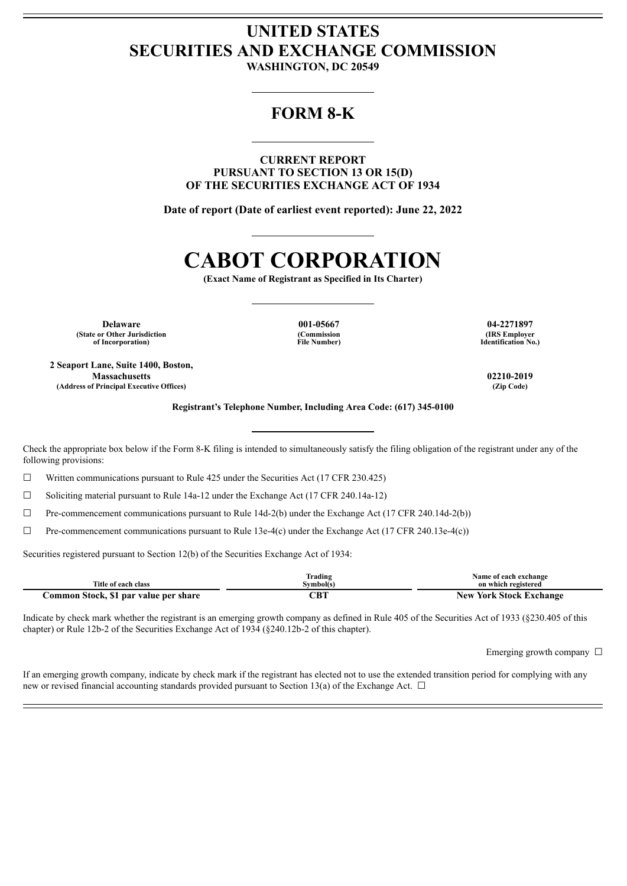## **UNITED STATES SECURITIES AND EXCHANGE COMMISSION**

**WASHINGTON, DC 20549**

## **FORM 8-K**

**CURRENT REPORT PURSUANT TO SECTION 13 OR 15(D) OF THE SECURITIES EXCHANGE ACT OF 1934**

**Date of report (Date of earliest event reported): June 22, 2022**

# **CABOT CORPORATION**

**(Exact Name of Registrant as Specified in Its Charter)**

**Delaware 001-05667 04-2271897 (State or Other Jurisdiction of Incorporation)**

**2 Seaport Lane, Suite 1400, Boston, Massachusetts 02210-2019 (Address of Principal Executive Offices) (Zip Code)**

**(Commission File Number)**

**(IRS Employer Identification No.)**

**Registrant's Telephone Number, Including Area Code: (617) 345-0100**

Check the appropriate box below if the Form 8-K filing is intended to simultaneously satisfy the filing obligation of the registrant under any of the following provisions:

 $\Box$  Written communications pursuant to Rule 425 under the Securities Act (17 CFR 230.425)

 $\Box$  Soliciting material pursuant to Rule 14a-12 under the Exchange Act (17 CFR 240.14a-12)

 $\Box$  Pre-commencement communications pursuant to Rule 14d-2(b) under the Exchange Act (17 CFR 240.14d-2(b))

 $\Box$  Pre-commencement communications pursuant to Rule 13e-4(c) under the Exchange Act (17 CFR 240.13e-4(c))

Securities registered pursuant to Section 12(b) of the Securities Exchange Act of 1934:

|                                       | Frading   | <b>Name of each exchange</b>   |
|---------------------------------------|-----------|--------------------------------|
| Title of each class                   | Symbol(s) | on which registered            |
| Common Stock, \$1 par value per share | `B1       | <b>New York Stock Exchange</b> |

Indicate by check mark whether the registrant is an emerging growth company as defined in Rule 405 of the Securities Act of 1933 (§230.405 of this chapter) or Rule 12b-2 of the Securities Exchange Act of 1934 (§240.12b-2 of this chapter).

Emerging growth company  $\Box$ 

If an emerging growth company, indicate by check mark if the registrant has elected not to use the extended transition period for complying with any new or revised financial accounting standards provided pursuant to Section 13(a) of the Exchange Act. □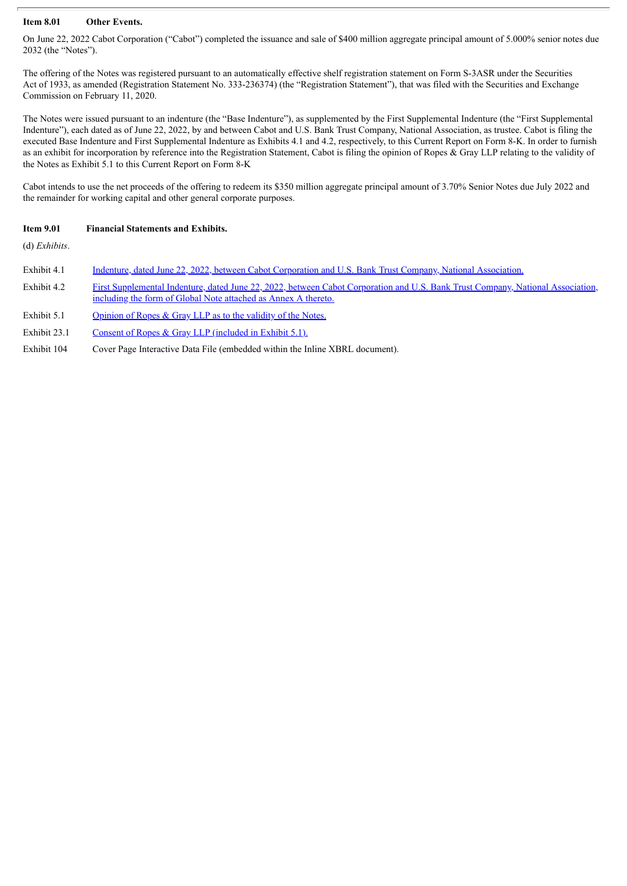## **Item 8.01 Other Events.**

On June 22, 2022 Cabot Corporation ("Cabot") completed the issuance and sale of \$400 million aggregate principal amount of 5.000% senior notes due 2032 (the "Notes").

The offering of the Notes was registered pursuant to an automatically effective shelf registration statement on Form S-3ASR under the Securities Act of 1933, as amended (Registration Statement No. 333-236374) (the "Registration Statement"), that was filed with the Securities and Exchange Commission on February 11, 2020.

The Notes were issued pursuant to an indenture (the "Base Indenture"), as supplemented by the First Supplemental Indenture (the "First Supplemental Indenture"), each dated as of June 22, 2022, by and between Cabot and U.S. Bank Trust Company, National Association, as trustee. Cabot is filing the executed Base Indenture and First Supplemental Indenture as Exhibits 4.1 and 4.2, respectively, to this Current Report on Form 8-K. In order to furnish as an exhibit for incorporation by reference into the Registration Statement, Cabot is filing the opinion of Ropes & Gray LLP relating to the validity of the Notes as Exhibit 5.1 to this Current Report on Form 8-K

Cabot intends to use the net proceeds of the offering to redeem its \$350 million aggregate principal amount of 3.70% Senior Notes due July 2022 and the remainder for working capital and other general corporate purposes.

## **Item 9.01 Financial Statements and Exhibits.**

(d) *Exhibits*.

| Exhibit 4.1<br>Indenture, dated June 22, 2022, between Cabot Corporation and U.S. Bank Trust Company, National Association. |  |
|-----------------------------------------------------------------------------------------------------------------------------|--|
|-----------------------------------------------------------------------------------------------------------------------------|--|

- Exhibit 4.2 First [Supplemental](#page-48-0) Indenture, dated June 22, 2022, between Cabot Corporation and U.S. Bank Trust Company, National Association, including the form of Global Note attached as Annex A thereto.
- Exhibit 5.1 [Opinion](#page-69-0) of Ropes & Gray LLP as to the validity of the Notes.
- Exhibit 23.1 Consent of Ropes & Gray LLP [\(included](#page-69-0) in Exhibit 5.1).
- Exhibit 104 Cover Page Interactive Data File (embedded within the Inline XBRL document).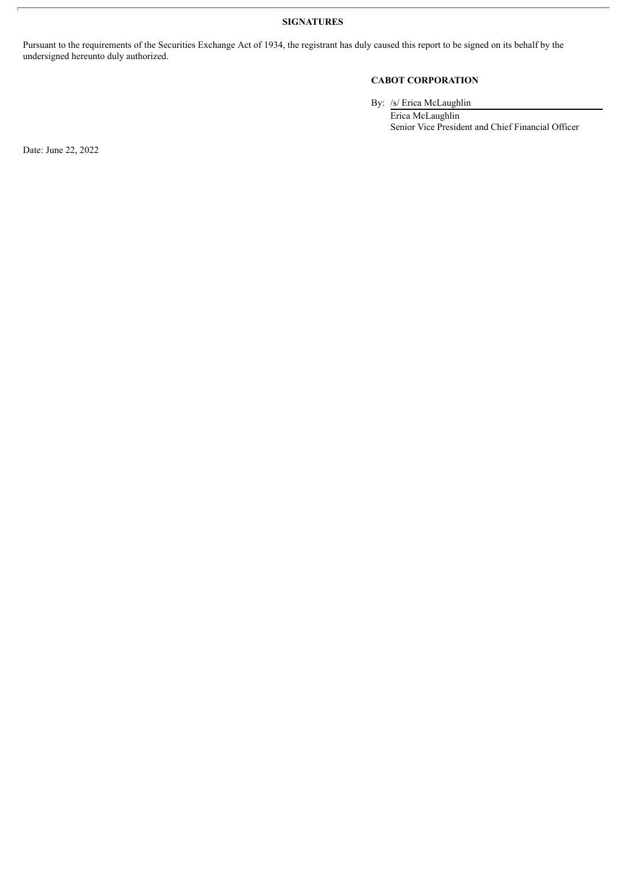**SIGNATURES**

Pursuant to the requirements of the Securities Exchange Act of 1934, the registrant has duly caused this report to be signed on its behalf by the undersigned hereunto duly authorized.

## **CABOT CORPORATION**

By: /s/ Erica McLaughlin

Erica McLaughlin Senior Vice President and Chief Financial Officer

Date: June 22, 2022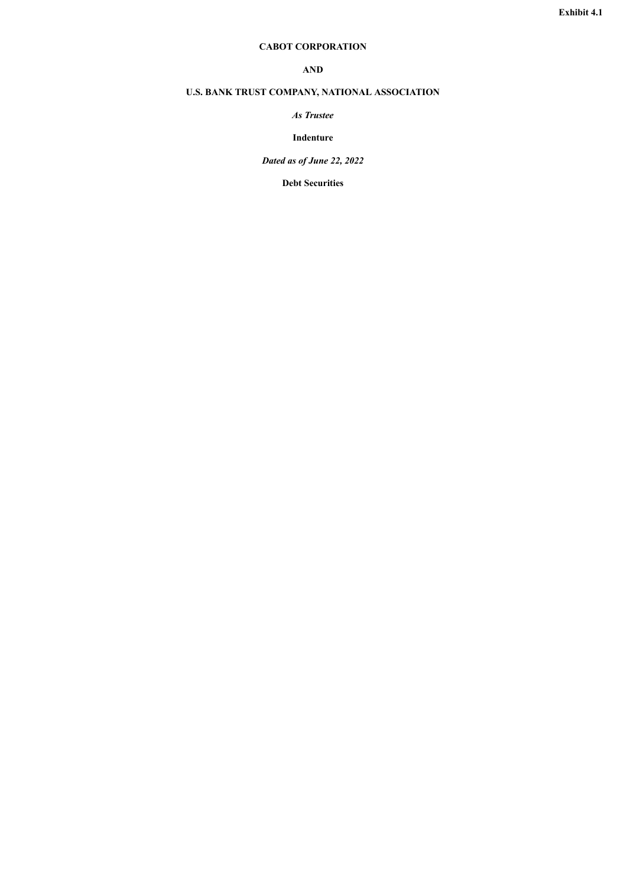## **CABOT CORPORATION**

## **AND**

## <span id="page-3-0"></span>**U.S. BANK TRUST COMPANY, NATIONAL ASSOCIATION**

## *As Trustee*

## **Indenture**

*Dated as of June 22, 2022*

**Debt Securities**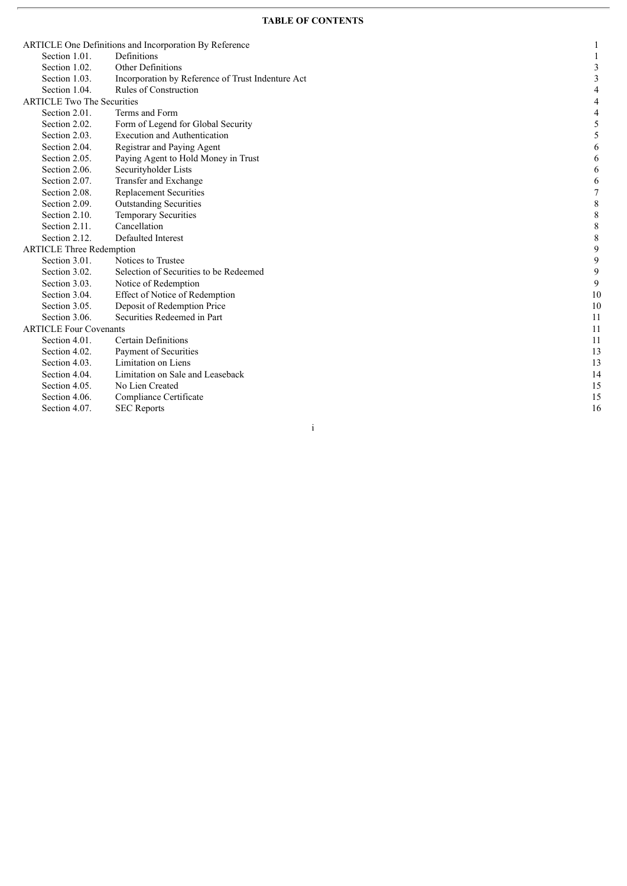|                                   | Definitions                                       |             |
|-----------------------------------|---------------------------------------------------|-------------|
| Section 1.01.                     | <b>Other Definitions</b>                          |             |
| Section 1.02.                     |                                                   | 3           |
| Section 1.03.                     | Incorporation by Reference of Trust Indenture Act | 3           |
| Section 1.04.                     | <b>Rules of Construction</b>                      | 4           |
| <b>ARTICLE Two The Securities</b> |                                                   | 4           |
| Section 2.01.                     | Terms and Form                                    | 4           |
| Section 2.02.                     | Form of Legend for Global Security                | 5           |
| Section 2.03.                     | <b>Execution and Authentication</b>               | 5           |
| Section 2.04.                     | Registrar and Paying Agent                        | 6           |
| Section 2.05.                     | Paying Agent to Hold Money in Trust               | 6           |
| Section 2.06.                     | Securityholder Lists                              | 6           |
| Section 2.07.                     | Transfer and Exchange                             | 6           |
| Section 2.08.                     | <b>Replacement Securities</b>                     | 7           |
| Section 2.09.                     | <b>Outstanding Securities</b>                     | $\,8\,$     |
| Section 2.10.                     | <b>Temporary Securities</b>                       | $\,8\,$     |
| Section 2.11.                     | Cancellation                                      | $\,8\,$     |
| Section 2.12.                     | Defaulted Interest                                | $\,$ 8 $\,$ |
| <b>ARTICLE Three Redemption</b>   |                                                   | 9           |
| Section 3.01.                     | Notices to Trustee                                | 9           |
| Section 3.02.                     | Selection of Securities to be Redeemed            | 9           |
| Section 3.03.                     | Notice of Redemption                              | 9           |
| Section 3.04.                     | Effect of Notice of Redemption                    | 10          |
| Section 3.05.                     | Deposit of Redemption Price                       | 10          |
| Section 3.06.                     | Securities Redeemed in Part                       | 11          |
| <b>ARTICLE Four Covenants</b>     |                                                   | 11          |
| Section 4.01.                     | <b>Certain Definitions</b>                        | 11          |
| Section 4.02.                     | Payment of Securities                             | 13          |
| Section 4.03.                     | Limitation on Liens                               | 13          |
| Section 4.04.                     | Limitation on Sale and Leaseback                  | 14          |
| Section 4.05.                     | No Lien Created                                   | 15          |
| Section 4.06.                     | Compliance Certificate                            | 15          |
| Section 4.07.                     | <b>SEC</b> Reports                                | 16          |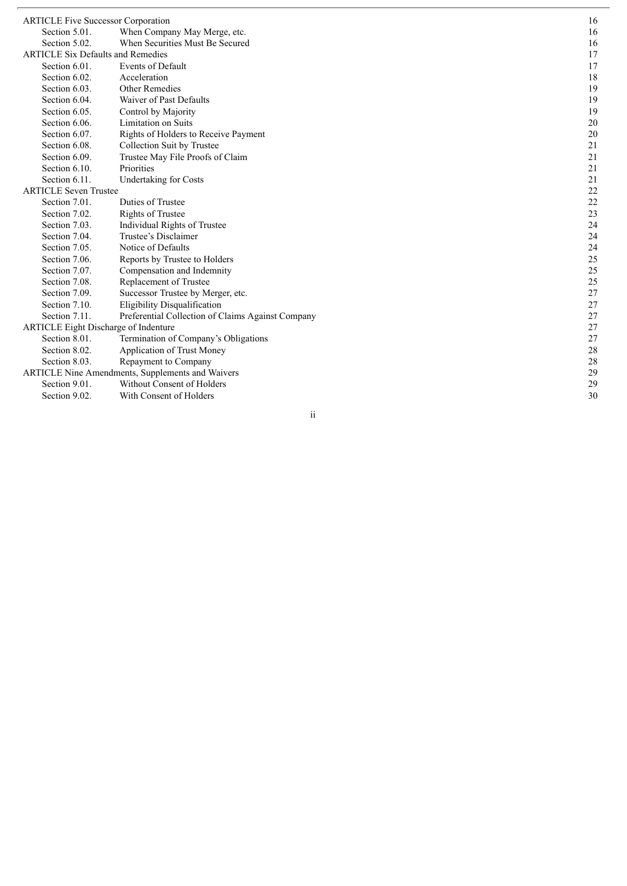| <b>ARTICLE Five Successor Corporation</b> |                                                         | 16 |
|-------------------------------------------|---------------------------------------------------------|----|
| Section 5.01.                             | When Company May Merge, etc.                            | 16 |
| Section 5.02.                             | When Securities Must Be Secured                         | 16 |
| <b>ARTICLE Six Defaults and Remedies</b>  |                                                         | 17 |
| Section 6.01.                             | <b>Events of Default</b>                                | 17 |
| Section 6.02.                             | Acceleration                                            | 18 |
| Section 6.03.                             | <b>Other Remedies</b>                                   | 19 |
| Section 6.04.                             | Waiver of Past Defaults                                 | 19 |
| Section 6.05.                             | Control by Majority                                     | 19 |
| Section 6.06.                             | <b>Limitation on Suits</b>                              | 20 |
| Section 6.07.                             | Rights of Holders to Receive Payment                    | 20 |
| Section 6.08.                             | Collection Suit by Trustee                              | 21 |
| Section 6.09.                             | Trustee May File Proofs of Claim                        | 21 |
| Section 6.10.                             | Priorities                                              | 21 |
| Section 6.11.                             | <b>Undertaking for Costs</b>                            | 21 |
| <b>ARTICLE Seven Trustee</b>              |                                                         | 22 |
| Section 7.01.                             | Duties of Trustee                                       | 22 |
| Section 7.02.                             | Rights of Trustee                                       | 23 |
| Section 7.03.                             | Individual Rights of Trustee                            | 24 |
| Section 7.04.                             | Trustee's Disclaimer                                    | 24 |
| Section 7.05.                             | Notice of Defaults                                      | 24 |
| Section 7.06.                             | Reports by Trustee to Holders                           | 25 |
| Section 7.07.                             | Compensation and Indemnity                              | 25 |
| Section 7.08.                             | Replacement of Trustee                                  | 25 |
| Section 7.09.                             | Successor Trustee by Merger, etc.                       | 27 |
| Section 7.10.                             | <b>Eligibility Disqualification</b>                     | 27 |
| Section 7.11.                             | Preferential Collection of Claims Against Company       | 27 |
| ARTICLE Eight Discharge of Indenture      |                                                         | 27 |
| Section 8.01.                             | Termination of Company's Obligations                    | 27 |
| Section 8.02.                             | Application of Trust Money                              | 28 |
| Section 8.03.                             | Repayment to Company                                    | 28 |
|                                           | <b>ARTICLE Nine Amendments, Supplements and Waivers</b> | 29 |
| Section 9.01.                             | Without Consent of Holders                              | 29 |
| Section 9.02.                             | With Consent of Holders                                 | 30 |
|                                           |                                                         |    |

i i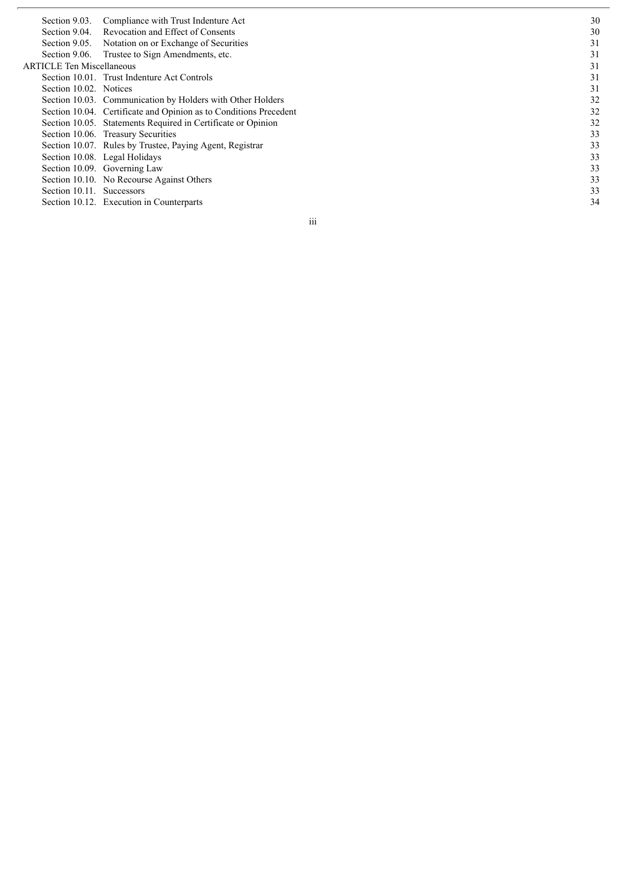| Section 9.03.                    | Compliance with Trust Indenture Act                               | 30 |
|----------------------------------|-------------------------------------------------------------------|----|
| Section 9.04.                    | Revocation and Effect of Consents                                 | 30 |
|                                  | Section 9.05. Notation on or Exchange of Securities               | 31 |
|                                  | Section 9.06. Trustee to Sign Amendments, etc.                    | 31 |
| <b>ARTICLE Ten Miscellaneous</b> |                                                                   | 31 |
|                                  | Section 10.01. Trust Indenture Act Controls                       | 31 |
| Section 10.02. Notices           |                                                                   | 31 |
|                                  | Section 10.03. Communication by Holders with Other Holders        | 32 |
|                                  | Section 10.04. Certificate and Opinion as to Conditions Precedent | 32 |
|                                  | Section 10.05. Statements Required in Certificate or Opinion      | 32 |
|                                  | Section 10.06. Treasury Securities                                | 33 |
|                                  | Section 10.07. Rules by Trustee, Paying Agent, Registrar          | 33 |
|                                  | Section 10.08. Legal Holidays                                     | 33 |
|                                  | Section 10.09. Governing Law                                      | 33 |
|                                  | Section 10.10. No Recourse Against Others                         | 33 |
| Section 10.11. Successors        |                                                                   | 33 |
|                                  | Section 10.12. Execution in Counterparts                          | 34 |
|                                  |                                                                   |    |

i i i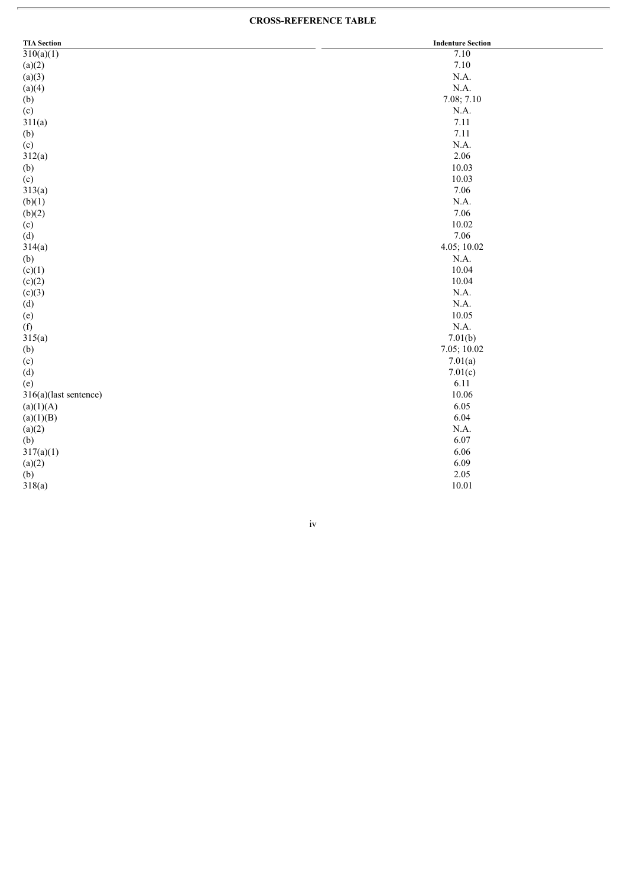#### **CROSS-REFERENCE TABLE**

| <b>TIA</b> Section    | <b>Indenture Section</b> |
|-----------------------|--------------------------|
| 310(a)(1)             | 7.10                     |
| (a)(2)                | 7.10                     |
| (a)(3)                | N.A.                     |
| (a)(4)                | N.A.                     |
| (b)                   | 7.08; 7.10               |
| (c)                   | N.A.                     |
| 311(a)                | 7.11                     |
| (b)                   | 7.11                     |
| (c)                   | N.A.                     |
| 312(a)                | 2.06                     |
| (b)                   | 10.03                    |
| (c)                   | 10.03                    |
| 313(a)                | 7.06                     |
| (b)(1)                | N.A.                     |
| (b)(2)                | 7.06                     |
| (c)                   | 10.02                    |
| (d)                   | 7.06                     |
| 314(a)                | 4.05; 10.02              |
| (b)                   | N.A.                     |
| (c)(1)                | 10.04                    |
| (c)(2)                | 10.04                    |
| (c)(3)                | N.A.                     |
| (d)                   | N.A.                     |
| (e)                   | 10.05                    |
| (f)                   | $\rm N.A.$               |
| 315(a)                | 7.01(b)                  |
| (b)                   | 7.05; 10.02              |
| (c)                   | 7.01(a)                  |
| (d)                   | 7.01(c)                  |
| (e)                   | 6.11                     |
| 316(a)(last sentence) | 10.06                    |
| (a)(1)(A)             | 6.05                     |
| (a)(1)(B)             | 6.04                     |
| (a)(2)                | $\rm N.A.$               |
| (b)                   | 6.07                     |
| 317(a)(1)             | 6.06                     |
| (a)(2)                | 6.09                     |
| (b)                   | 2.05                     |
| 318(a)                | 10.01                    |

iv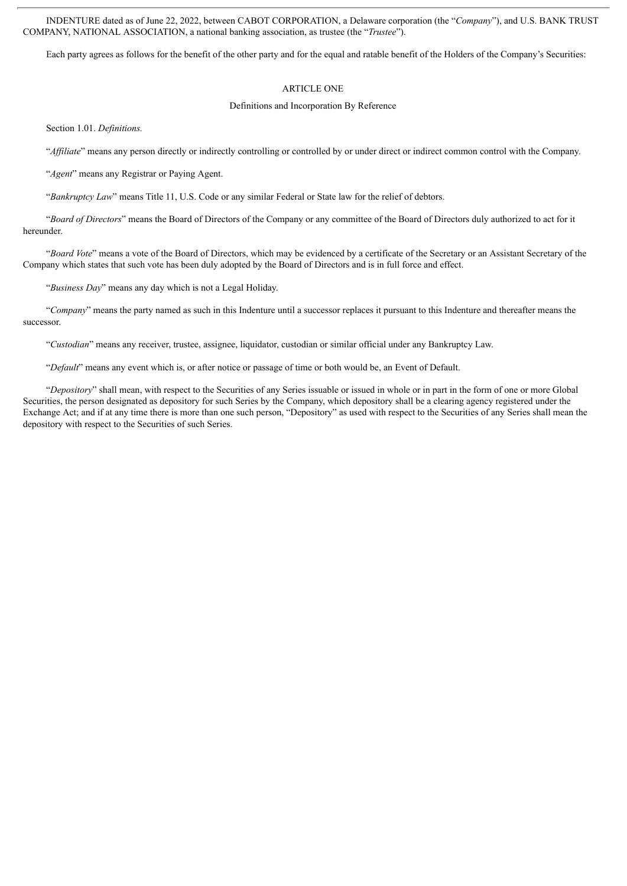INDENTURE dated as of June 22, 2022, between CABOT CORPORATION, a Delaware corporation (the "*Company*"), and U.S. BANK TRUST COMPANY, NATIONAL ASSOCIATION, a national banking association, as trustee (the "*Trustee*").

Each party agrees as follows for the benefit of the other party and for the equal and ratable benefit of the Holders of the Company's Securities:

#### ARTICLE ONE

#### Definitions and Incorporation By Reference

Section 1.01. *Definitions.*

"*Af iliate*" means any person directly or indirectly controlling or controlled by or under direct or indirect common control with the Company.

"*Agent*" means any Registrar or Paying Agent.

"*Bankruptcy Law*" means Title 11, U.S. Code or any similar Federal or State law for the relief of debtors.

"*Board of Directors*" means the Board of Directors of the Company or any committee of the Board of Directors duly authorized to act for it hereunder.

"*Board Vote*" means a vote of the Board of Directors, which may be evidenced by a certificate of the Secretary or an Assistant Secretary of the Company which states that such vote has been duly adopted by the Board of Directors and is in full force and effect.

"*Business Day*" means any day which is not a Legal Holiday.

"*Company*" means the party named as such in this Indenture until a successor replaces it pursuant to this Indenture and thereafter means the successor.

"*Custodian*" means any receiver, trustee, assignee, liquidator, custodian or similar official under any Bankruptcy Law.

"*Default*" means any event which is, or after notice or passage of time or both would be, an Event of Default.

"*Depository*" shall mean, with respect to the Securities of any Series issuable or issued in whole or in part in the form of one or more Global Securities, the person designated as depository for such Series by the Company, which depository shall be a clearing agency registered under the Exchange Act; and if at any time there is more than one such person, "Depository" as used with respect to the Securities of any Series shall mean the depository with respect to the Securities of such Series.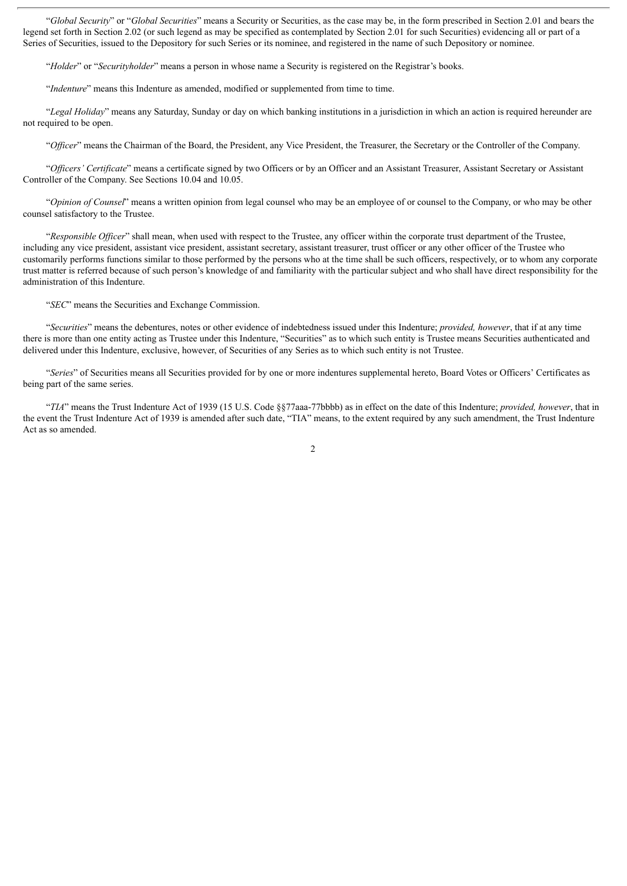"*Global Security*" or "*Global Securities*" means a Security or Securities, as the case may be, in the form prescribed in Section 2.01 and bears the legend set forth in Section 2.02 (or such legend as may be specified as contemplated by Section 2.01 for such Securities) evidencing all or part of a Series of Securities, issued to the Depository for such Series or its nominee, and registered in the name of such Depository or nominee.

"*Holder*" or "*Securityholder*" means a person in whose name a Security is registered on the Registrar's books.

"*Indenture*" means this Indenture as amended, modified or supplemented from time to time.

"*Legal Holiday*" means any Saturday, Sunday or day on which banking institutions in a jurisdiction in which an action is required hereunder are not required to be open.

"*Of icer*" means the Chairman of the Board, the President, any Vice President, the Treasurer, the Secretary or the Controller of the Company.

"*Of icers' Certificate*" means a certificate signed by two Officers or by an Officer and an Assistant Treasurer, Assistant Secretary or Assistant Controller of the Company. See Sections 10.04 and 10.05.

"*Opinion of Counsel*" means a written opinion from legal counsel who may be an employee of or counsel to the Company, or who may be other counsel satisfactory to the Trustee.

"*Responsible Of icer*" shall mean, when used with respect to the Trustee, any officer within the corporate trust department of the Trustee, including any vice president, assistant vice president, assistant secretary, assistant treasurer, trust officer or any other officer of the Trustee who customarily performs functions similar to those performed by the persons who at the time shall be such officers, respectively, or to whom any corporate trust matter is referred because of such person's knowledge of and familiarity with the particular subject and who shall have direct responsibility for the administration of this Indenture.

"*SEC*" means the Securities and Exchange Commission.

"*Securities*" means the debentures, notes or other evidence of indebtedness issued under this Indenture; *provided, however*, that if at any time there is more than one entity acting as Trustee under this Indenture, "Securities" as to which such entity is Trustee means Securities authenticated and delivered under this Indenture, exclusive, however, of Securities of any Series as to which such entity is not Trustee.

"*Series*" of Securities means all Securities provided for by one or more indentures supplemental hereto, Board Votes or Officers' Certificates as being part of the same series.

"*TIA*" means the Trust Indenture Act of 1939 (15 U.S. Code §§77aaa-77bbbb) as in effect on the date of this Indenture; *provided, however*, that in the event the Trust Indenture Act of 1939 is amended after such date, "TIA" means, to the extent required by any such amendment, the Trust Indenture Act as so amended.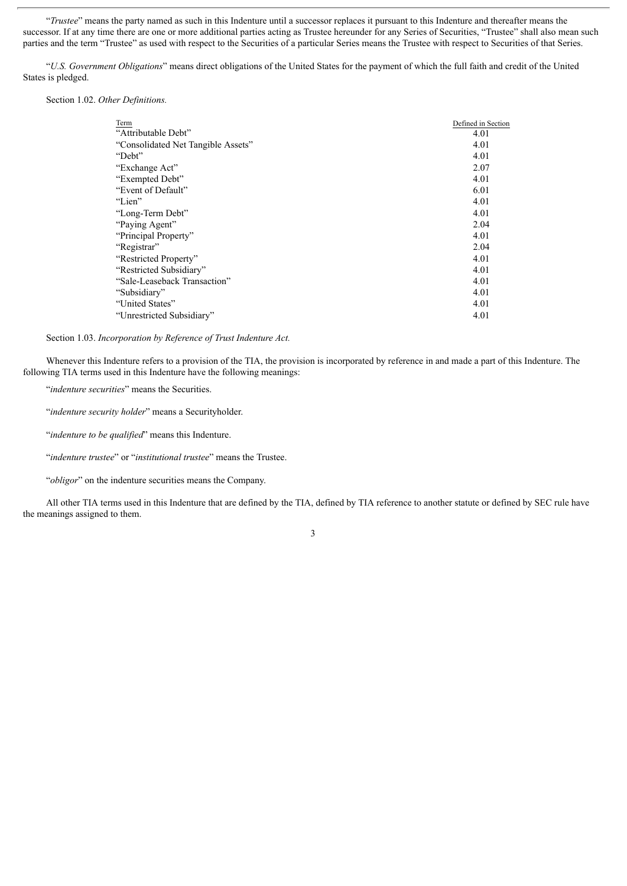"*Trustee*" means the party named as such in this Indenture until a successor replaces it pursuant to this Indenture and thereafter means the successor. If at any time there are one or more additional parties acting as Trustee hereunder for any Series of Securities, "Trustee" shall also mean such parties and the term "Trustee" as used with respect to the Securities of a particular Series means the Trustee with respect to Securities of that Series.

"*U.S. Government Obligations*" means direct obligations of the United States for the payment of which the full faith and credit of the United States is pledged.

Section 1.02. *Other Definitions.*

| Term                               | Defined in Section |
|------------------------------------|--------------------|
| "Attributable Debt"                | 4.01               |
| "Consolidated Net Tangible Assets" | 4.01               |
| "Debt"                             | 4.01               |
| "Exchange Act"                     | 2.07               |
| "Exempted Debt"                    | 4.01               |
| "Event of Default"                 | 6.01               |
| "Lien"                             | 4.01               |
| "Long-Term Debt"                   | 4.01               |
| "Paying Agent"                     | 2.04               |
| "Principal Property"               | 4.01               |
| "Registrar"                        | 2.04               |
| "Restricted Property"              | 4.01               |
| "Restricted Subsidiary"            | 4.01               |
| "Sale-Leaseback Transaction"       | 4.01               |
| "Subsidiary"                       | 4.01               |
| "United States"                    | 4.01               |
| "Unrestricted Subsidiary"          | 4.01               |

Section 1.03. *Incorporation by Reference of Trust Indenture Act.*

Whenever this Indenture refers to a provision of the TIA, the provision is incorporated by reference in and made a part of this Indenture. The following TIA terms used in this Indenture have the following meanings:

"*indenture securities*" means the Securities.

"*indenture security holder*" means a Securityholder.

"*indenture to be qualified*" means this Indenture.

"*indenture trustee*" or "*institutional trustee*" means the Trustee.

"*obligor*" on the indenture securities means the Company.

All other TIA terms used in this Indenture that are defined by the TIA, defined by TIA reference to another statute or defined by SEC rule have the meanings assigned to them.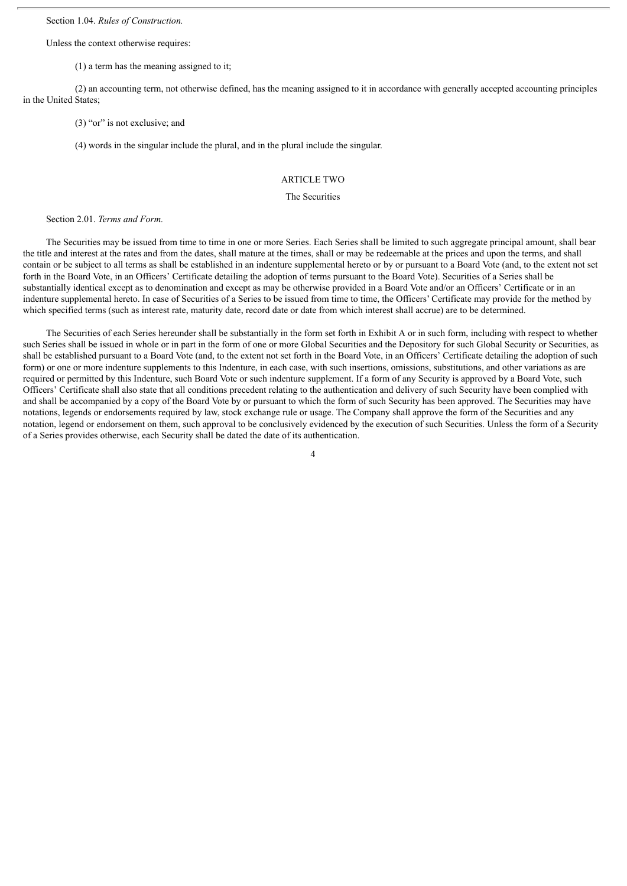Section 1.04. *Rules of Construction.*

Unless the context otherwise requires:

(1) a term has the meaning assigned to it;

(2) an accounting term, not otherwise defined, has the meaning assigned to it in accordance with generally accepted accounting principles in the United States;

(3) "or" is not exclusive; and

(4) words in the singular include the plural, and in the plural include the singular.

## ARTICLE TWO

### The Securities

#### Section 2.01. *Terms and Form.*

The Securities may be issued from time to time in one or more Series. Each Series shall be limited to such aggregate principal amount, shall bear the title and interest at the rates and from the dates, shall mature at the times, shall or may be redeemable at the prices and upon the terms, and shall contain or be subject to all terms as shall be established in an indenture supplemental hereto or by or pursuant to a Board Vote (and, to the extent not set forth in the Board Vote, in an Officers' Certificate detailing the adoption of terms pursuant to the Board Vote). Securities of a Series shall be substantially identical except as to denomination and except as may be otherwise provided in a Board Vote and/or an Officers' Certificate or in an indenture supplemental hereto. In case of Securities of a Series to be issued from time to time, the Officers' Certificate may provide for the method by which specified terms (such as interest rate, maturity date, record date or date from which interest shall accrue) are to be determined.

The Securities of each Series hereunder shall be substantially in the form set forth in Exhibit A or in such form, including with respect to whether such Series shall be issued in whole or in part in the form of one or more Global Securities and the Depository for such Global Security or Securities, as shall be established pursuant to a Board Vote (and, to the extent not set forth in the Board Vote, in an Officers' Certificate detailing the adoption of such form) or one or more indenture supplements to this Indenture, in each case, with such insertions, omissions, substitutions, and other variations as are required or permitted by this Indenture, such Board Vote or such indenture supplement. If a form of any Security is approved by a Board Vote, such Officers' Certificate shall also state that all conditions precedent relating to the authentication and delivery of such Security have been complied with and shall be accompanied by a copy of the Board Vote by or pursuant to which the form of such Security has been approved. The Securities may have notations, legends or endorsements required by law, stock exchange rule or usage. The Company shall approve the form of the Securities and any notation, legend or endorsement on them, such approval to be conclusively evidenced by the execution of such Securities. Unless the form of a Security of a Series provides otherwise, each Security shall be dated the date of its authentication.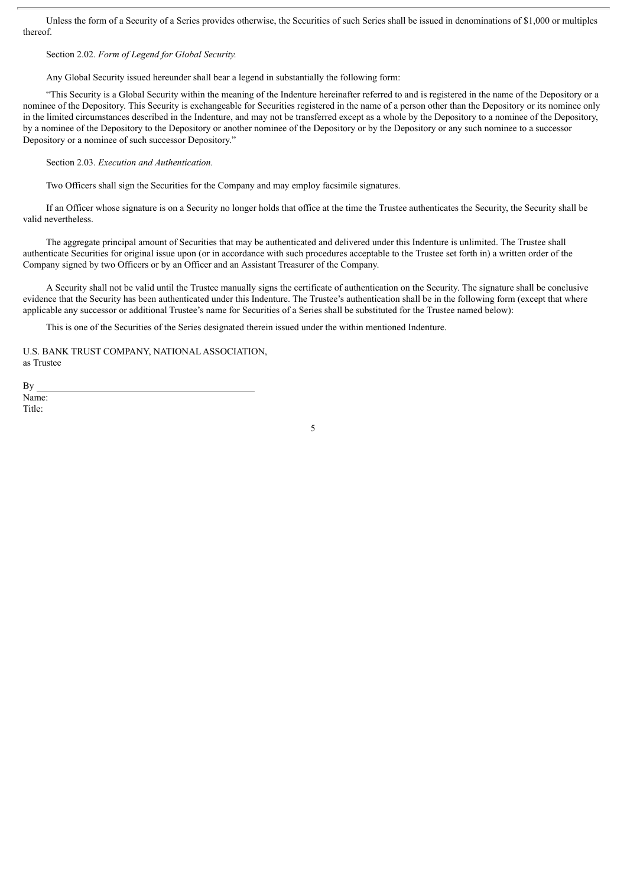Unless the form of a Security of a Series provides otherwise, the Securities of such Series shall be issued in denominations of \$1,000 or multiples thereof.

Section 2.02. *Form of Legend for Global Security.*

Any Global Security issued hereunder shall bear a legend in substantially the following form:

"This Security is a Global Security within the meaning of the Indenture hereinafter referred to and is registered in the name of the Depository or a nominee of the Depository. This Security is exchangeable for Securities registered in the name of a person other than the Depository or its nominee only in the limited circumstances described in the Indenture, and may not be transferred except as a whole by the Depository to a nominee of the Depository, by a nominee of the Depository to the Depository or another nominee of the Depository or by the Depository or any such nominee to a successor Depository or a nominee of such successor Depository."

Section 2.03. *Execution and Authentication.*

Two Officers shall sign the Securities for the Company and may employ facsimile signatures.

If an Officer whose signature is on a Security no longer holds that office at the time the Trustee authenticates the Security, the Security shall be valid nevertheless.

The aggregate principal amount of Securities that may be authenticated and delivered under this Indenture is unlimited. The Trustee shall authenticate Securities for original issue upon (or in accordance with such procedures acceptable to the Trustee set forth in) a written order of the Company signed by two Officers or by an Officer and an Assistant Treasurer of the Company.

A Security shall not be valid until the Trustee manually signs the certificate of authentication on the Security. The signature shall be conclusive evidence that the Security has been authenticated under this Indenture. The Trustee's authentication shall be in the following form (except that where applicable any successor or additional Trustee's name for Securities of a Series shall be substituted for the Trustee named below):

5

This is one of the Securities of the Series designated therein issued under the within mentioned Indenture.

U.S. BANK TRUST COMPANY, NATIONAL ASSOCIATION, as Trustee

By Name: Title: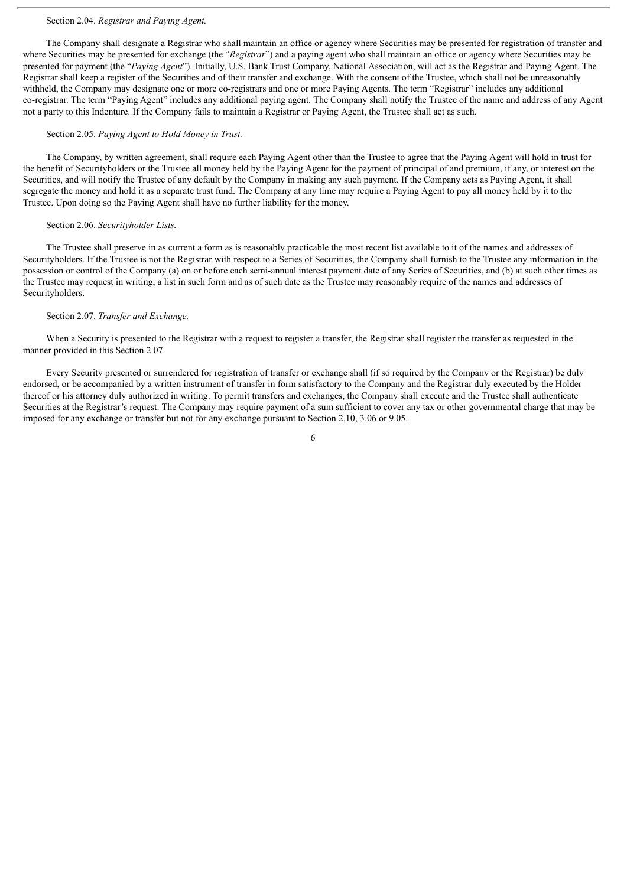#### Section 2.04. *Registrar and Paying Agent.*

The Company shall designate a Registrar who shall maintain an office or agency where Securities may be presented for registration of transfer and where Securities may be presented for exchange (the "*Registrar*") and a paying agent who shall maintain an office or agency where Securities may be presented for payment (the "*Paying Agent*"). Initially, U.S. Bank Trust Company, National Association, will act as the Registrar and Paying Agent. The Registrar shall keep a register of the Securities and of their transfer and exchange. With the consent of the Trustee, which shall not be unreasonably withheld, the Company may designate one or more co-registrars and one or more Paying Agents. The term "Registrar" includes any additional co-registrar. The term "Paying Agent" includes any additional paying agent. The Company shall notify the Trustee of the name and address of any Agent not a party to this Indenture. If the Company fails to maintain a Registrar or Paying Agent, the Trustee shall act as such.

#### Section 2.05. *Paying Agent to Hold Money in Trust.*

The Company, by written agreement, shall require each Paying Agent other than the Trustee to agree that the Paying Agent will hold in trust for the benefit of Securityholders or the Trustee all money held by the Paying Agent for the payment of principal of and premium, if any, or interest on the Securities, and will notify the Trustee of any default by the Company in making any such payment. If the Company acts as Paying Agent, it shall segregate the money and hold it as a separate trust fund. The Company at any time may require a Paying Agent to pay all money held by it to the Trustee. Upon doing so the Paying Agent shall have no further liability for the money.

#### Section 2.06. *Securityholder Lists.*

The Trustee shall preserve in as current a form as is reasonably practicable the most recent list available to it of the names and addresses of Securityholders. If the Trustee is not the Registrar with respect to a Series of Securities, the Company shall furnish to the Trustee any information in the possession or control of the Company (a) on or before each semi-annual interest payment date of any Series of Securities, and (b) at such other times as the Trustee may request in writing, a list in such form and as of such date as the Trustee may reasonably require of the names and addresses of Securityholders.

#### Section 2.07. *Transfer and Exchange.*

When a Security is presented to the Registrar with a request to register a transfer, the Registrar shall register the transfer as requested in the manner provided in this Section 2.07.

Every Security presented or surrendered for registration of transfer or exchange shall (if so required by the Company or the Registrar) be duly endorsed, or be accompanied by a written instrument of transfer in form satisfactory to the Company and the Registrar duly executed by the Holder thereof or his attorney duly authorized in writing. To permit transfers and exchanges, the Company shall execute and the Trustee shall authenticate Securities at the Registrar's request. The Company may require payment of a sum sufficient to cover any tax or other governmental charge that may be imposed for any exchange or transfer but not for any exchange pursuant to Section 2.10, 3.06 or 9.05.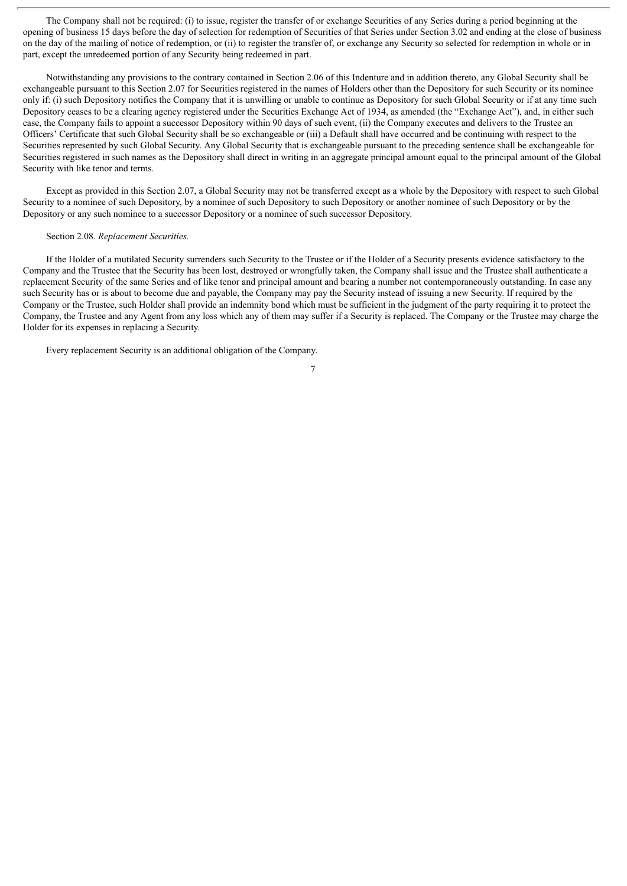The Company shall not be required: (i) to issue, register the transfer of or exchange Securities of any Series during a period beginning at the opening of business 15 days before the day of selection for redemption of Securities of that Series under Section 3.02 and ending at the close of business on the day of the mailing of notice of redemption, or (ii) to register the transfer of, or exchange any Security so selected for redemption in whole or in part, except the unredeemed portion of any Security being redeemed in part.

Notwithstanding any provisions to the contrary contained in Section 2.06 of this Indenture and in addition thereto, any Global Security shall be exchangeable pursuant to this Section 2.07 for Securities registered in the names of Holders other than the Depository for such Security or its nominee only if: (i) such Depository notifies the Company that it is unwilling or unable to continue as Depository for such Global Security or if at any time such Depository ceases to be a clearing agency registered under the Securities Exchange Act of 1934, as amended (the "Exchange Act"), and, in either such case, the Company fails to appoint a successor Depository within 90 days of such event, (ii) the Company executes and delivers to the Trustee an Officers' Certificate that such Global Security shall be so exchangeable or (iii) a Default shall have occurred and be continuing with respect to the Securities represented by such Global Security. Any Global Security that is exchangeable pursuant to the preceding sentence shall be exchangeable for Securities registered in such names as the Depository shall direct in writing in an aggregate principal amount equal to the principal amount of the Global Security with like tenor and terms.

Except as provided in this Section 2.07, a Global Security may not be transferred except as a whole by the Depository with respect to such Global Security to a nominee of such Depository, by a nominee of such Depository to such Depository or another nominee of such Depository or by the Depository or any such nominee to a successor Depository or a nominee of such successor Depository.

## Section 2.08. *Replacement Securities.*

If the Holder of a mutilated Security surrenders such Security to the Trustee or if the Holder of a Security presents evidence satisfactory to the Company and the Trustee that the Security has been lost, destroyed or wrongfully taken, the Company shall issue and the Trustee shall authenticate a replacement Security of the same Series and of like tenor and principal amount and bearing a number not contemporaneously outstanding. In case any such Security has or is about to become due and payable, the Company may pay the Security instead of issuing a new Security. If required by the Company or the Trustee, such Holder shall provide an indemnity bond which must be sufficient in the judgment of the party requiring it to protect the Company, the Trustee and any Agent from any loss which any of them may suffer if a Security is replaced. The Company or the Trustee may charge the Holder for its expenses in replacing a Security.

Every replacement Security is an additional obligation of the Company.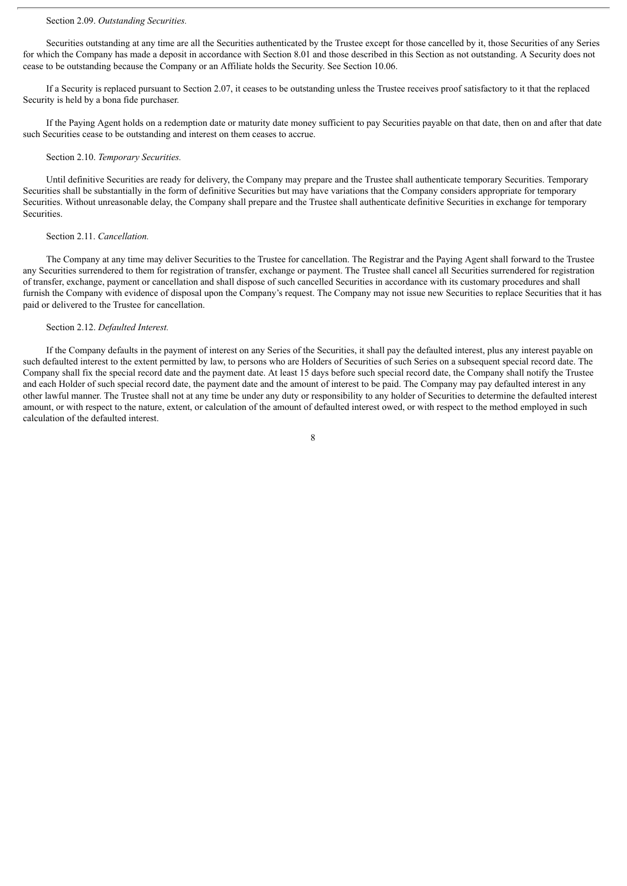#### Section 2.09. *Outstanding Securities.*

Securities outstanding at any time are all the Securities authenticated by the Trustee except for those cancelled by it, those Securities of any Series for which the Company has made a deposit in accordance with Section 8.01 and those described in this Section as not outstanding. A Security does not cease to be outstanding because the Company or an Affiliate holds the Security. See Section 10.06.

If a Security is replaced pursuant to Section 2.07, it ceases to be outstanding unless the Trustee receives proof satisfactory to it that the replaced Security is held by a bona fide purchaser.

If the Paying Agent holds on a redemption date or maturity date money sufficient to pay Securities payable on that date, then on and after that date such Securities cease to be outstanding and interest on them ceases to accrue.

#### Section 2.10. *Temporary Securities.*

Until definitive Securities are ready for delivery, the Company may prepare and the Trustee shall authenticate temporary Securities. Temporary Securities shall be substantially in the form of definitive Securities but may have variations that the Company considers appropriate for temporary Securities. Without unreasonable delay, the Company shall prepare and the Trustee shall authenticate definitive Securities in exchange for temporary Securities.

#### Section 2.11. *Cancellation.*

The Company at any time may deliver Securities to the Trustee for cancellation. The Registrar and the Paying Agent shall forward to the Trustee any Securities surrendered to them for registration of transfer, exchange or payment. The Trustee shall cancel all Securities surrendered for registration of transfer, exchange, payment or cancellation and shall dispose of such cancelled Securities in accordance with its customary procedures and shall furnish the Company with evidence of disposal upon the Company's request. The Company may not issue new Securities to replace Securities that it has paid or delivered to the Trustee for cancellation.

#### Section 2.12. *Defaulted Interest.*

If the Company defaults in the payment of interest on any Series of the Securities, it shall pay the defaulted interest, plus any interest payable on such defaulted interest to the extent permitted by law, to persons who are Holders of Securities of such Series on a subsequent special record date. The Company shall fix the special record date and the payment date. At least 15 days before such special record date, the Company shall notify the Trustee and each Holder of such special record date, the payment date and the amount of interest to be paid. The Company may pay defaulted interest in any other lawful manner. The Trustee shall not at any time be under any duty or responsibility to any holder of Securities to determine the defaulted interest amount, or with respect to the nature, extent, or calculation of the amount of defaulted interest owed, or with respect to the method employed in such calculation of the defaulted interest.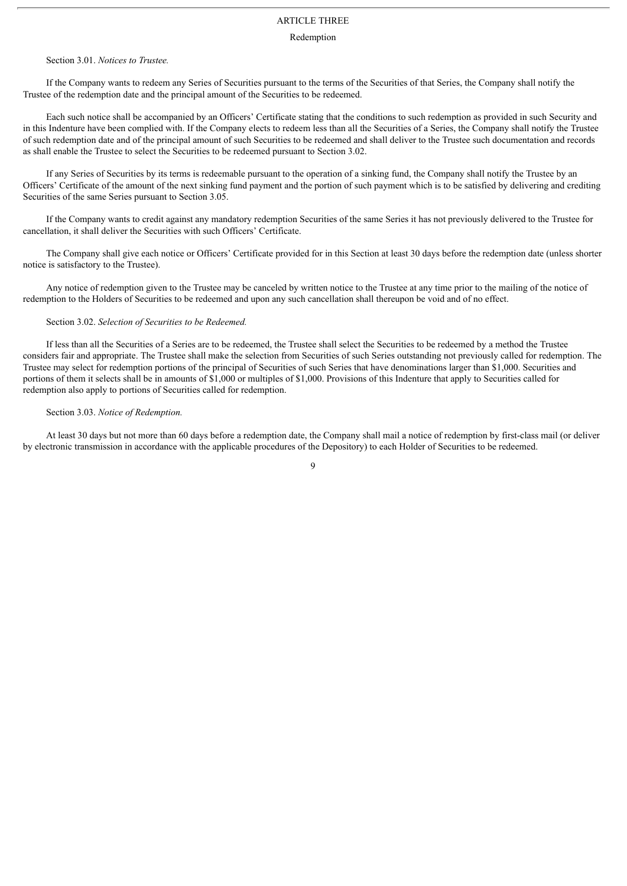## ARTICLE THREE

#### Redemption

#### Section 3.01. *Notices to Trustee.*

If the Company wants to redeem any Series of Securities pursuant to the terms of the Securities of that Series, the Company shall notify the Trustee of the redemption date and the principal amount of the Securities to be redeemed.

Each such notice shall be accompanied by an Officers' Certificate stating that the conditions to such redemption as provided in such Security and in this Indenture have been complied with. If the Company elects to redeem less than all the Securities of a Series, the Company shall notify the Trustee of such redemption date and of the principal amount of such Securities to be redeemed and shall deliver to the Trustee such documentation and records as shall enable the Trustee to select the Securities to be redeemed pursuant to Section 3.02.

If any Series of Securities by its terms is redeemable pursuant to the operation of a sinking fund, the Company shall notify the Trustee by an Officers' Certificate of the amount of the next sinking fund payment and the portion of such payment which is to be satisfied by delivering and crediting Securities of the same Series pursuant to Section 3.05.

If the Company wants to credit against any mandatory redemption Securities of the same Series it has not previously delivered to the Trustee for cancellation, it shall deliver the Securities with such Officers' Certificate.

The Company shall give each notice or Officers' Certificate provided for in this Section at least 30 days before the redemption date (unless shorter notice is satisfactory to the Trustee).

Any notice of redemption given to the Trustee may be canceled by written notice to the Trustee at any time prior to the mailing of the notice of redemption to the Holders of Securities to be redeemed and upon any such cancellation shall thereupon be void and of no effect.

#### Section 3.02. *Selection of Securities to be Redeemed.*

If less than all the Securities of a Series are to be redeemed, the Trustee shall select the Securities to be redeemed by a method the Trustee considers fair and appropriate. The Trustee shall make the selection from Securities of such Series outstanding not previously called for redemption. The Trustee may select for redemption portions of the principal of Securities of such Series that have denominations larger than \$1,000. Securities and portions of them it selects shall be in amounts of \$1,000 or multiples of \$1,000. Provisions of this Indenture that apply to Securities called for redemption also apply to portions of Securities called for redemption.

#### Section 3.03. *Notice of Redemption.*

At least 30 days but not more than 60 days before a redemption date, the Company shall mail a notice of redemption by first-class mail (or deliver by electronic transmission in accordance with the applicable procedures of the Depository) to each Holder of Securities to be redeemed.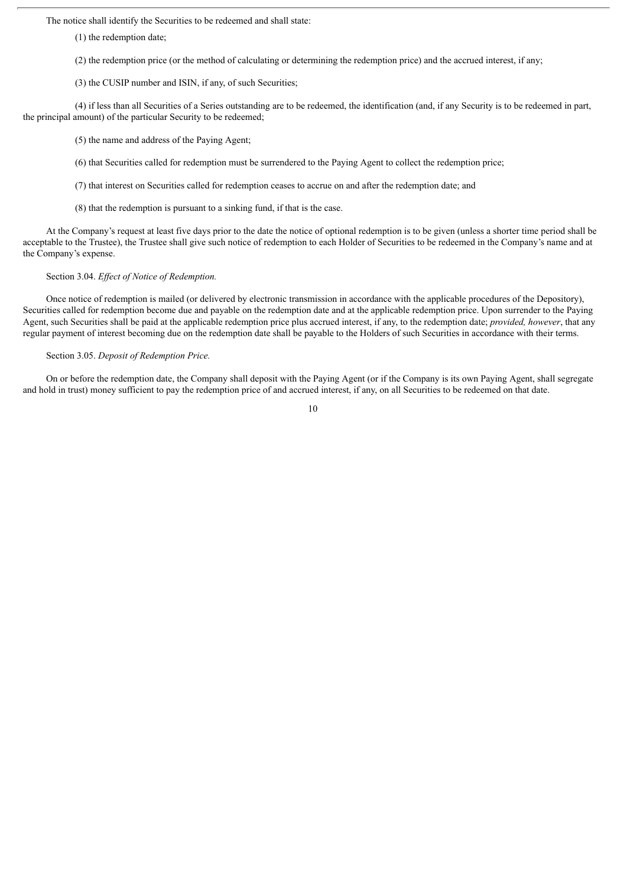The notice shall identify the Securities to be redeemed and shall state:

(1) the redemption date;

(2) the redemption price (or the method of calculating or determining the redemption price) and the accrued interest, if any;

(3) the CUSIP number and ISIN, if any, of such Securities;

(4) if less than all Securities of a Series outstanding are to be redeemed, the identification (and, if any Security is to be redeemed in part, the principal amount) of the particular Security to be redeemed;

(5) the name and address of the Paying Agent;

(6) that Securities called for redemption must be surrendered to the Paying Agent to collect the redemption price;

(7) that interest on Securities called for redemption ceases to accrue on and after the redemption date; and

(8) that the redemption is pursuant to a sinking fund, if that is the case.

At the Company's request at least five days prior to the date the notice of optional redemption is to be given (unless a shorter time period shall be acceptable to the Trustee), the Trustee shall give such notice of redemption to each Holder of Securities to be redeemed in the Company's name and at the Company's expense.

#### Section 3.04. *Effect of Notice of Redemption.*

Once notice of redemption is mailed (or delivered by electronic transmission in accordance with the applicable procedures of the Depository), Securities called for redemption become due and payable on the redemption date and at the applicable redemption price. Upon surrender to the Paying Agent, such Securities shall be paid at the applicable redemption price plus accrued interest, if any, to the redemption date; *provided, however*, that any regular payment of interest becoming due on the redemption date shall be payable to the Holders of such Securities in accordance with their terms.

#### Section 3.05. *Deposit of Redemption Price.*

On or before the redemption date, the Company shall deposit with the Paying Agent (or if the Company is its own Paying Agent, shall segregate and hold in trust) money sufficient to pay the redemption price of and accrued interest, if any, on all Securities to be redeemed on that date.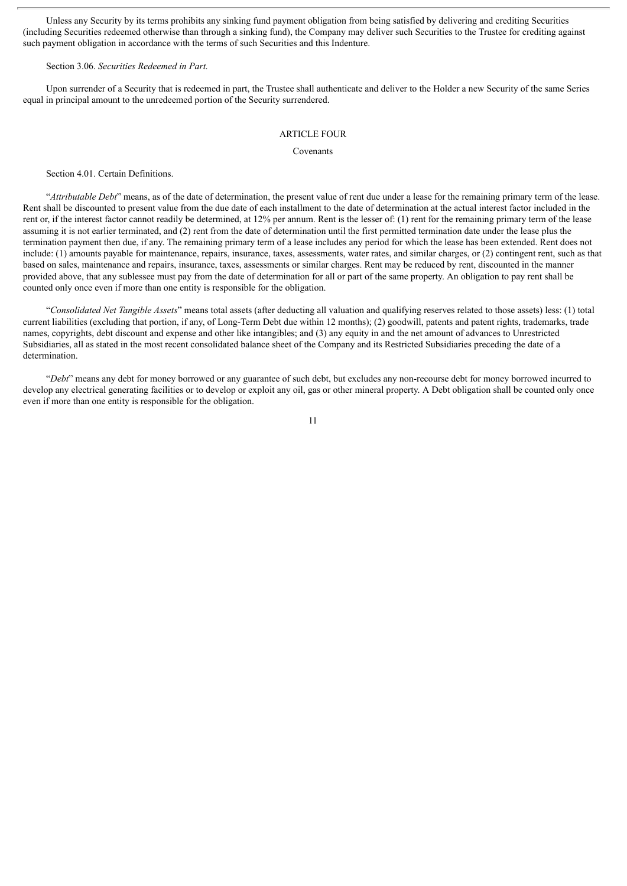Unless any Security by its terms prohibits any sinking fund payment obligation from being satisfied by delivering and crediting Securities (including Securities redeemed otherwise than through a sinking fund), the Company may deliver such Securities to the Trustee for crediting against such payment obligation in accordance with the terms of such Securities and this Indenture.

#### Section 3.06. *Securities Redeemed in Part.*

Upon surrender of a Security that is redeemed in part, the Trustee shall authenticate and deliver to the Holder a new Security of the same Series equal in principal amount to the unredeemed portion of the Security surrendered.

#### ARTICLE FOUR

#### Covenants

Section 4.01. Certain Definitions.

"*Attributable Debt*" means, as of the date of determination, the present value of rent due under a lease for the remaining primary term of the lease. Rent shall be discounted to present value from the due date of each installment to the date of determination at the actual interest factor included in the rent or, if the interest factor cannot readily be determined, at 12% per annum. Rent is the lesser of: (1) rent for the remaining primary term of the lease assuming it is not earlier terminated, and (2) rent from the date of determination until the first permitted termination date under the lease plus the termination payment then due, if any. The remaining primary term of a lease includes any period for which the lease has been extended. Rent does not include: (1) amounts payable for maintenance, repairs, insurance, taxes, assessments, water rates, and similar charges, or (2) contingent rent, such as that based on sales, maintenance and repairs, insurance, taxes, assessments or similar charges. Rent may be reduced by rent, discounted in the manner provided above, that any sublessee must pay from the date of determination for all or part of the same property. An obligation to pay rent shall be counted only once even if more than one entity is responsible for the obligation.

"*Consolidated Net Tangible Assets*" means total assets (after deducting all valuation and qualifying reserves related to those assets) less: (1) total current liabilities (excluding that portion, if any, of Long-Term Debt due within 12 months); (2) goodwill, patents and patent rights, trademarks, trade names, copyrights, debt discount and expense and other like intangibles; and (3) any equity in and the net amount of advances to Unrestricted Subsidiaries, all as stated in the most recent consolidated balance sheet of the Company and its Restricted Subsidiaries preceding the date of a determination.

"*Debt*" means any debt for money borrowed or any guarantee of such debt, but excludes any non-recourse debt for money borrowed incurred to develop any electrical generating facilities or to develop or exploit any oil, gas or other mineral property. A Debt obligation shall be counted only once even if more than one entity is responsible for the obligation.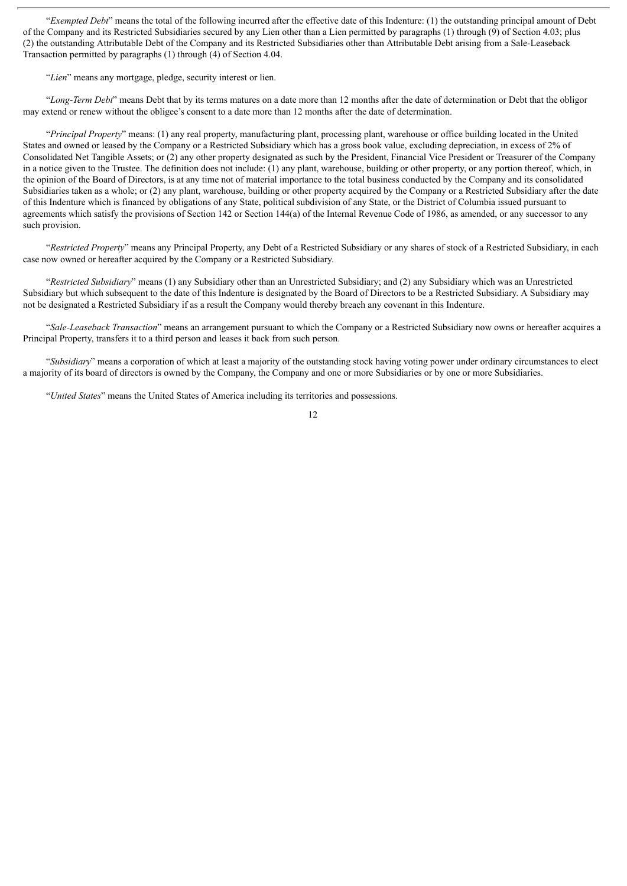"*Exempted Debt*" means the total of the following incurred after the effective date of this Indenture: (1) the outstanding principal amount of Debt of the Company and its Restricted Subsidiaries secured by any Lien other than a Lien permitted by paragraphs (1) through (9) of Section 4.03; plus (2) the outstanding Attributable Debt of the Company and its Restricted Subsidiaries other than Attributable Debt arising from a Sale-Leaseback Transaction permitted by paragraphs (1) through (4) of Section 4.04.

"*Lien*" means any mortgage, pledge, security interest or lien.

"*Long-Term Debt*" means Debt that by its terms matures on a date more than 12 months after the date of determination or Debt that the obligor may extend or renew without the obligee's consent to a date more than 12 months after the date of determination.

"*Principal Property*" means: (1) any real property, manufacturing plant, processing plant, warehouse or office building located in the United States and owned or leased by the Company or a Restricted Subsidiary which has a gross book value, excluding depreciation, in excess of 2% of Consolidated Net Tangible Assets; or (2) any other property designated as such by the President, Financial Vice President or Treasurer of the Company in a notice given to the Trustee. The definition does not include: (1) any plant, warehouse, building or other property, or any portion thereof, which, in the opinion of the Board of Directors, is at any time not of material importance to the total business conducted by the Company and its consolidated Subsidiaries taken as a whole; or (2) any plant, warehouse, building or other property acquired by the Company or a Restricted Subsidiary after the date of this Indenture which is financed by obligations of any State, political subdivision of any State, or the District of Columbia issued pursuant to agreements which satisfy the provisions of Section 142 or Section 144(a) of the Internal Revenue Code of 1986, as amended, or any successor to any such provision.

"*Restricted Property*" means any Principal Property, any Debt of a Restricted Subsidiary or any shares of stock of a Restricted Subsidiary, in each case now owned or hereafter acquired by the Company or a Restricted Subsidiary.

"*Restricted Subsidiary*" means (1) any Subsidiary other than an Unrestricted Subsidiary; and (2) any Subsidiary which was an Unrestricted Subsidiary but which subsequent to the date of this Indenture is designated by the Board of Directors to be a Restricted Subsidiary. A Subsidiary may not be designated a Restricted Subsidiary if as a result the Company would thereby breach any covenant in this Indenture.

"*Sale-Leaseback Transaction*" means an arrangement pursuant to which the Company or a Restricted Subsidiary now owns or hereafter acquires a Principal Property, transfers it to a third person and leases it back from such person.

"*Subsidiary*" means a corporation of which at least a majority of the outstanding stock having voting power under ordinary circumstances to elect a majority of its board of directors is owned by the Company, the Company and one or more Subsidiaries or by one or more Subsidiaries.

"*United States*" means the United States of America including its territories and possessions.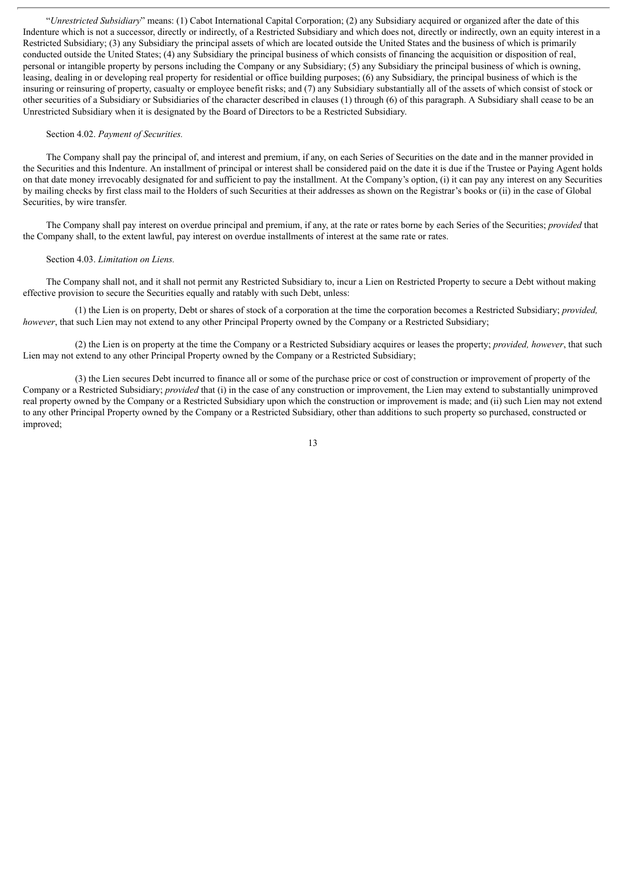"*Unrestricted Subsidiary*" means: (1) Cabot International Capital Corporation; (2) any Subsidiary acquired or organized after the date of this Indenture which is not a successor, directly or indirectly, of a Restricted Subsidiary and which does not, directly or indirectly, own an equity interest in a Restricted Subsidiary; (3) any Subsidiary the principal assets of which are located outside the United States and the business of which is primarily conducted outside the United States; (4) any Subsidiary the principal business of which consists of financing the acquisition or disposition of real, personal or intangible property by persons including the Company or any Subsidiary; (5) any Subsidiary the principal business of which is owning, leasing, dealing in or developing real property for residential or office building purposes; (6) any Subsidiary, the principal business of which is the insuring or reinsuring of property, casualty or employee benefit risks; and (7) any Subsidiary substantially all of the assets of which consist of stock or other securities of a Subsidiary or Subsidiaries of the character described in clauses (1) through (6) of this paragraph. A Subsidiary shall cease to be an Unrestricted Subsidiary when it is designated by the Board of Directors to be a Restricted Subsidiary.

#### Section 4.02. *Payment of Securities.*

The Company shall pay the principal of, and interest and premium, if any, on each Series of Securities on the date and in the manner provided in the Securities and this Indenture. An installment of principal or interest shall be considered paid on the date it is due if the Trustee or Paying Agent holds on that date money irrevocably designated for and sufficient to pay the installment. At the Company's option, (i) it can pay any interest on any Securities by mailing checks by first class mail to the Holders of such Securities at their addresses as shown on the Registrar's books or (ii) in the case of Global Securities, by wire transfer.

The Company shall pay interest on overdue principal and premium, if any, at the rate or rates borne by each Series of the Securities; *provided* that the Company shall, to the extent lawful, pay interest on overdue installments of interest at the same rate or rates.

#### Section 4.03. *Limitation on Liens.*

The Company shall not, and it shall not permit any Restricted Subsidiary to, incur a Lien on Restricted Property to secure a Debt without making effective provision to secure the Securities equally and ratably with such Debt, unless:

(1) the Lien is on property, Debt or shares of stock of a corporation at the time the corporation becomes a Restricted Subsidiary; *provided, however*, that such Lien may not extend to any other Principal Property owned by the Company or a Restricted Subsidiary;

(2) the Lien is on property at the time the Company or a Restricted Subsidiary acquires or leases the property; *provided, however*, that such Lien may not extend to any other Principal Property owned by the Company or a Restricted Subsidiary;

(3) the Lien secures Debt incurred to finance all or some of the purchase price or cost of construction or improvement of property of the Company or a Restricted Subsidiary; *provided* that (i) in the case of any construction or improvement, the Lien may extend to substantially unimproved real property owned by the Company or a Restricted Subsidiary upon which the construction or improvement is made; and (ii) such Lien may not extend to any other Principal Property owned by the Company or a Restricted Subsidiary, other than additions to such property so purchased, constructed or improved;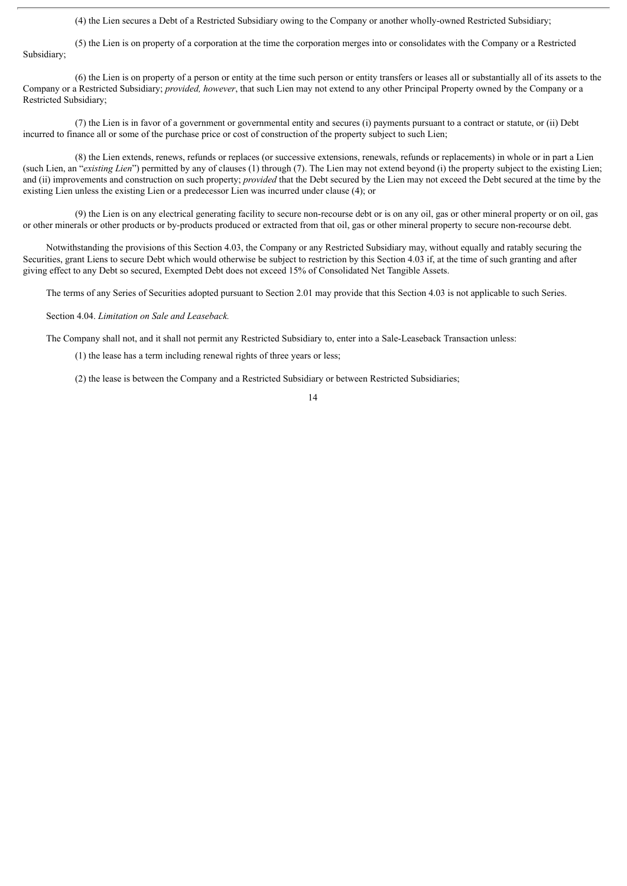(4) the Lien secures a Debt of a Restricted Subsidiary owing to the Company or another wholly-owned Restricted Subsidiary;

(5) the Lien is on property of a corporation at the time the corporation merges into or consolidates with the Company or a Restricted Subsidiary;

(6) the Lien is on property of a person or entity at the time such person or entity transfers or leases all or substantially all of its assets to the Company or a Restricted Subsidiary; *provided, however*, that such Lien may not extend to any other Principal Property owned by the Company or a Restricted Subsidiary;

(7) the Lien is in favor of a government or governmental entity and secures (i) payments pursuant to a contract or statute, or (ii) Debt incurred to finance all or some of the purchase price or cost of construction of the property subject to such Lien;

(8) the Lien extends, renews, refunds or replaces (or successive extensions, renewals, refunds or replacements) in whole or in part a Lien (such Lien, an "*existing Lien*") permitted by any of clauses (1) through (7). The Lien may not extend beyond (i) the property subject to the existing Lien; and (ii) improvements and construction on such property; *provided* that the Debt secured by the Lien may not exceed the Debt secured at the time by the existing Lien unless the existing Lien or a predecessor Lien was incurred under clause (4); or

(9) the Lien is on any electrical generating facility to secure non-recourse debt or is on any oil, gas or other mineral property or on oil, gas or other minerals or other products or by-products produced or extracted from that oil, gas or other mineral property to secure non-recourse debt.

Notwithstanding the provisions of this Section 4.03, the Company or any Restricted Subsidiary may, without equally and ratably securing the Securities, grant Liens to secure Debt which would otherwise be subject to restriction by this Section 4.03 if, at the time of such granting and after giving effect to any Debt so secured, Exempted Debt does not exceed 15% of Consolidated Net Tangible Assets.

The terms of any Series of Securities adopted pursuant to Section 2.01 may provide that this Section 4.03 is not applicable to such Series.

Section 4.04. *Limitation on Sale and Leaseback.*

The Company shall not, and it shall not permit any Restricted Subsidiary to, enter into a Sale-Leaseback Transaction unless:

(1) the lease has a term including renewal rights of three years or less;

(2) the lease is between the Company and a Restricted Subsidiary or between Restricted Subsidiaries;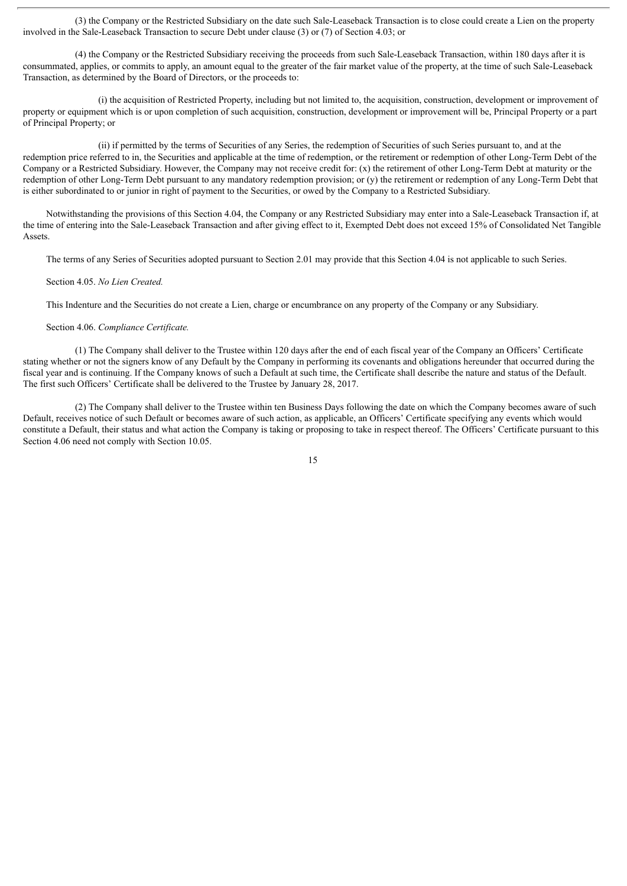(3) the Company or the Restricted Subsidiary on the date such Sale-Leaseback Transaction is to close could create a Lien on the property involved in the Sale-Leaseback Transaction to secure Debt under clause (3) or (7) of Section 4.03; or

(4) the Company or the Restricted Subsidiary receiving the proceeds from such Sale-Leaseback Transaction, within 180 days after it is consummated, applies, or commits to apply, an amount equal to the greater of the fair market value of the property, at the time of such Sale-Leaseback Transaction, as determined by the Board of Directors, or the proceeds to:

(i) the acquisition of Restricted Property, including but not limited to, the acquisition, construction, development or improvement of property or equipment which is or upon completion of such acquisition, construction, development or improvement will be, Principal Property or a part of Principal Property; or

(ii) if permitted by the terms of Securities of any Series, the redemption of Securities of such Series pursuant to, and at the redemption price referred to in, the Securities and applicable at the time of redemption, or the retirement or redemption of other Long-Term Debt of the Company or a Restricted Subsidiary. However, the Company may not receive credit for: (x) the retirement of other Long-Term Debt at maturity or the redemption of other Long-Term Debt pursuant to any mandatory redemption provision; or (y) the retirement or redemption of any Long-Term Debt that is either subordinated to or junior in right of payment to the Securities, or owed by the Company to a Restricted Subsidiary.

Notwithstanding the provisions of this Section 4.04, the Company or any Restricted Subsidiary may enter into a Sale-Leaseback Transaction if, at the time of entering into the Sale-Leaseback Transaction and after giving effect to it, Exempted Debt does not exceed 15% of Consolidated Net Tangible Assets.

The terms of any Series of Securities adopted pursuant to Section 2.01 may provide that this Section 4.04 is not applicable to such Series.

#### Section 4.05. *No Lien Created.*

This Indenture and the Securities do not create a Lien, charge or encumbrance on any property of the Company or any Subsidiary.

#### Section 4.06. *Compliance Certificate.*

(1) The Company shall deliver to the Trustee within 120 days after the end of each fiscal year of the Company an Officers' Certificate stating whether or not the signers know of any Default by the Company in performing its covenants and obligations hereunder that occurred during the fiscal year and is continuing. If the Company knows of such a Default at such time, the Certificate shall describe the nature and status of the Default. The first such Officers' Certificate shall be delivered to the Trustee by January 28, 2017.

(2) The Company shall deliver to the Trustee within ten Business Days following the date on which the Company becomes aware of such Default, receives notice of such Default or becomes aware of such action, as applicable, an Officers' Certificate specifying any events which would constitute a Default, their status and what action the Company is taking or proposing to take in respect thereof. The Officers' Certificate pursuant to this Section 4.06 need not comply with Section 10.05.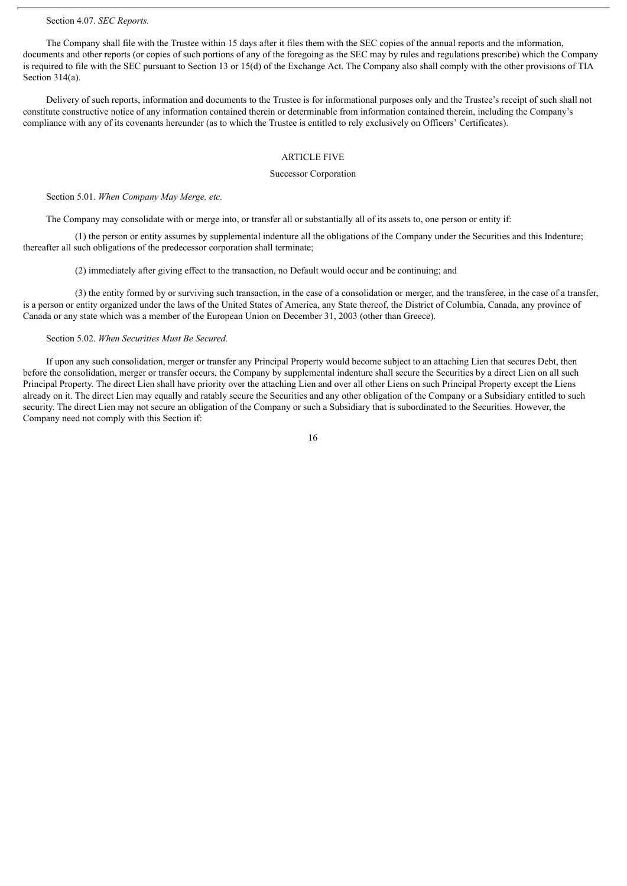#### Section 4.07. *SEC Reports.*

The Company shall file with the Trustee within 15 days after it files them with the SEC copies of the annual reports and the information, documents and other reports (or copies of such portions of any of the foregoing as the SEC may by rules and regulations prescribe) which the Company is required to file with the SEC pursuant to Section 13 or 15(d) of the Exchange Act. The Company also shall comply with the other provisions of TIA Section 314(a).

Delivery of such reports, information and documents to the Trustee is for informational purposes only and the Trustee's receipt of such shall not constitute constructive notice of any information contained therein or determinable from information contained therein, including the Company's compliance with any of its covenants hereunder (as to which the Trustee is entitled to rely exclusively on Officers' Certificates).

## ARTICLE FIVE

#### Successor Corporation

Section 5.01. *When Company May Merge, etc.*

The Company may consolidate with or merge into, or transfer all or substantially all of its assets to, one person or entity if:

(1) the person or entity assumes by supplemental indenture all the obligations of the Company under the Securities and this Indenture; thereafter all such obligations of the predecessor corporation shall terminate;

(2) immediately after giving effect to the transaction, no Default would occur and be continuing; and

(3) the entity formed by or surviving such transaction, in the case of a consolidation or merger, and the transferee, in the case of a transfer, is a person or entity organized under the laws of the United States of America, any State thereof, the District of Columbia, Canada, any province of Canada or any state which was a member of the European Union on December 31, 2003 (other than Greece).

## Section 5.02. *When Securities Must Be Secured.*

If upon any such consolidation, merger or transfer any Principal Property would become subject to an attaching Lien that secures Debt, then before the consolidation, merger or transfer occurs, the Company by supplemental indenture shall secure the Securities by a direct Lien on all such Principal Property. The direct Lien shall have priority over the attaching Lien and over all other Liens on such Principal Property except the Liens already on it. The direct Lien may equally and ratably secure the Securities and any other obligation of the Company or a Subsidiary entitled to such security. The direct Lien may not secure an obligation of the Company or such a Subsidiary that is subordinated to the Securities. However, the Company need not comply with this Section if: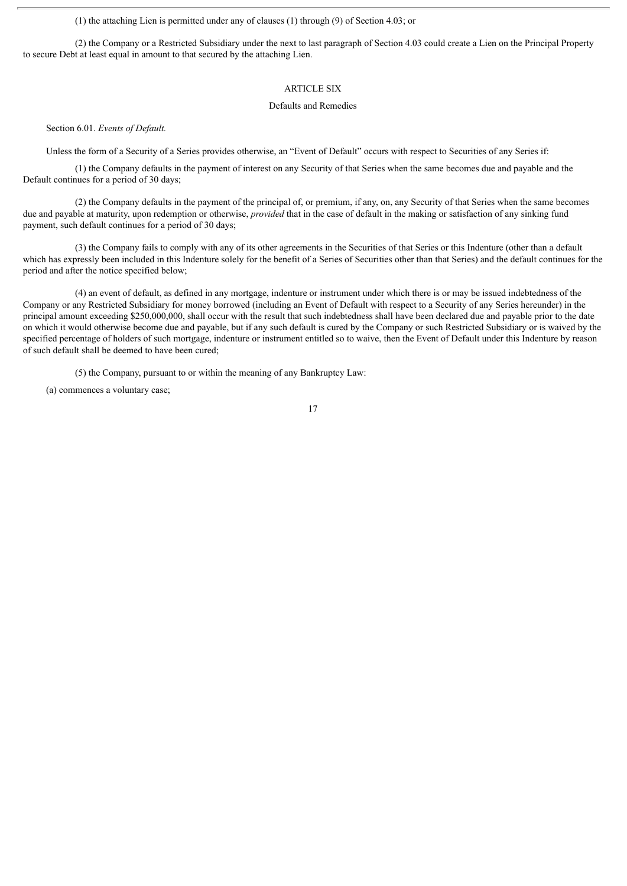(1) the attaching Lien is permitted under any of clauses (1) through (9) of Section 4.03; or

(2) the Company or a Restricted Subsidiary under the next to last paragraph of Section 4.03 could create a Lien on the Principal Property to secure Debt at least equal in amount to that secured by the attaching Lien.

#### ARTICLE SIX

#### Defaults and Remedies

Section 6.01. *Events of Default.*

Unless the form of a Security of a Series provides otherwise, an "Event of Default" occurs with respect to Securities of any Series if:

(1) the Company defaults in the payment of interest on any Security of that Series when the same becomes due and payable and the Default continues for a period of 30 days;

(2) the Company defaults in the payment of the principal of, or premium, if any, on, any Security of that Series when the same becomes due and payable at maturity, upon redemption or otherwise, *provided* that in the case of default in the making or satisfaction of any sinking fund payment, such default continues for a period of 30 days;

(3) the Company fails to comply with any of its other agreements in the Securities of that Series or this Indenture (other than a default which has expressly been included in this Indenture solely for the benefit of a Series of Securities other than that Series) and the default continues for the period and after the notice specified below;

(4) an event of default, as defined in any mortgage, indenture or instrument under which there is or may be issued indebtedness of the Company or any Restricted Subsidiary for money borrowed (including an Event of Default with respect to a Security of any Series hereunder) in the principal amount exceeding \$250,000,000, shall occur with the result that such indebtedness shall have been declared due and payable prior to the date on which it would otherwise become due and payable, but if any such default is cured by the Company or such Restricted Subsidiary or is waived by the specified percentage of holders of such mortgage, indenture or instrument entitled so to waive, then the Event of Default under this Indenture by reason of such default shall be deemed to have been cured;

(5) the Company, pursuant to or within the meaning of any Bankruptcy Law:

(a) commences a voluntary case;

<sup>17</sup>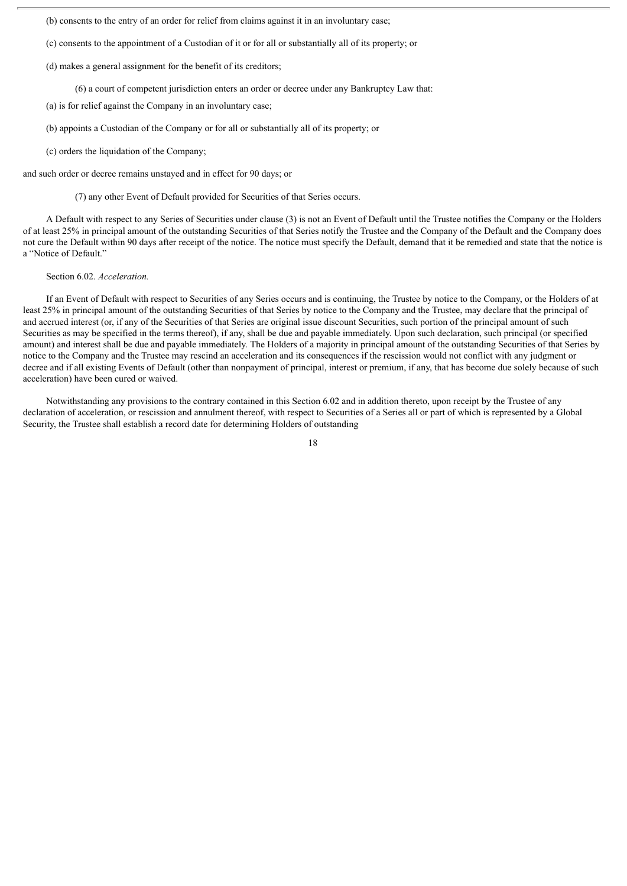(b) consents to the entry of an order for relief from claims against it in an involuntary case;

- (c) consents to the appointment of a Custodian of it or for all or substantially all of its property; or
- (d) makes a general assignment for the benefit of its creditors;
	- (6) a court of competent jurisdiction enters an order or decree under any Bankruptcy Law that:
- (a) is for relief against the Company in an involuntary case;
- (b) appoints a Custodian of the Company or for all or substantially all of its property; or
- (c) orders the liquidation of the Company;

and such order or decree remains unstayed and in effect for 90 days; or

#### (7) any other Event of Default provided for Securities of that Series occurs.

A Default with respect to any Series of Securities under clause (3) is not an Event of Default until the Trustee notifies the Company or the Holders of at least 25% in principal amount of the outstanding Securities of that Series notify the Trustee and the Company of the Default and the Company does not cure the Default within 90 days after receipt of the notice. The notice must specify the Default, demand that it be remedied and state that the notice is a "Notice of Default."

#### Section 6.02. *Acceleration.*

If an Event of Default with respect to Securities of any Series occurs and is continuing, the Trustee by notice to the Company, or the Holders of at least 25% in principal amount of the outstanding Securities of that Series by notice to the Company and the Trustee, may declare that the principal of and accrued interest (or, if any of the Securities of that Series are original issue discount Securities, such portion of the principal amount of such Securities as may be specified in the terms thereof), if any, shall be due and payable immediately. Upon such declaration, such principal (or specified amount) and interest shall be due and payable immediately. The Holders of a majority in principal amount of the outstanding Securities of that Series by notice to the Company and the Trustee may rescind an acceleration and its consequences if the rescission would not conflict with any judgment or decree and if all existing Events of Default (other than nonpayment of principal, interest or premium, if any, that has become due solely because of such acceleration) have been cured or waived.

Notwithstanding any provisions to the contrary contained in this Section 6.02 and in addition thereto, upon receipt by the Trustee of any declaration of acceleration, or rescission and annulment thereof, with respect to Securities of a Series all or part of which is represented by a Global Security, the Trustee shall establish a record date for determining Holders of outstanding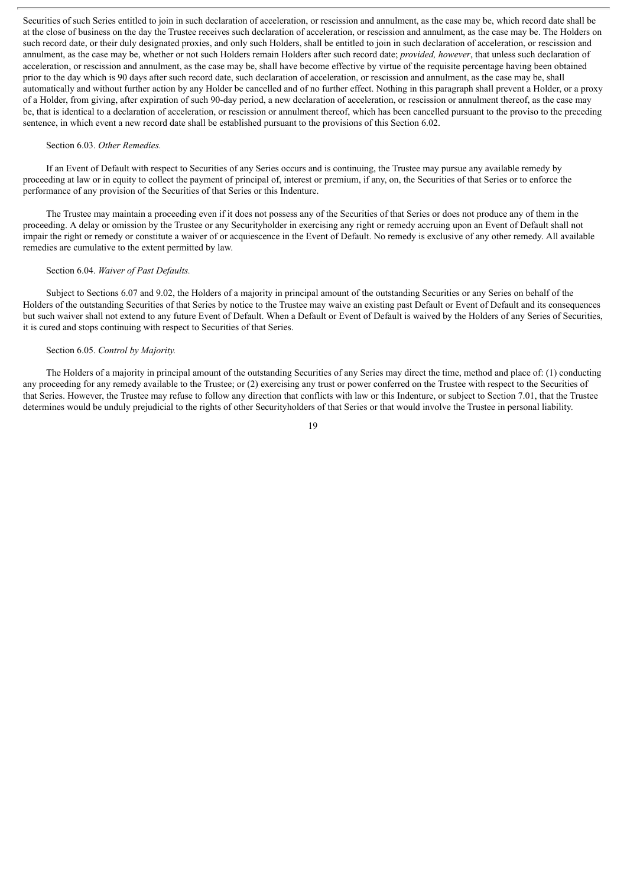Securities of such Series entitled to join in such declaration of acceleration, or rescission and annulment, as the case may be, which record date shall be at the close of business on the day the Trustee receives such declaration of acceleration, or rescission and annulment, as the case may be. The Holders on such record date, or their duly designated proxies, and only such Holders, shall be entitled to join in such declaration of acceleration, or rescission and annulment, as the case may be, whether or not such Holders remain Holders after such record date; *provided, however*, that unless such declaration of acceleration, or rescission and annulment, as the case may be, shall have become effective by virtue of the requisite percentage having been obtained prior to the day which is 90 days after such record date, such declaration of acceleration, or rescission and annulment, as the case may be, shall automatically and without further action by any Holder be cancelled and of no further effect. Nothing in this paragraph shall prevent a Holder, or a proxy of a Holder, from giving, after expiration of such 90-day period, a new declaration of acceleration, or rescission or annulment thereof, as the case may be, that is identical to a declaration of acceleration, or rescission or annulment thereof, which has been cancelled pursuant to the proviso to the preceding sentence, in which event a new record date shall be established pursuant to the provisions of this Section 6.02.

#### Section 6.03. *Other Remedies.*

If an Event of Default with respect to Securities of any Series occurs and is continuing, the Trustee may pursue any available remedy by proceeding at law or in equity to collect the payment of principal of, interest or premium, if any, on, the Securities of that Series or to enforce the performance of any provision of the Securities of that Series or this Indenture.

The Trustee may maintain a proceeding even if it does not possess any of the Securities of that Series or does not produce any of them in the proceeding. A delay or omission by the Trustee or any Securityholder in exercising any right or remedy accruing upon an Event of Default shall not impair the right or remedy or constitute a waiver of or acquiescence in the Event of Default. No remedy is exclusive of any other remedy. All available remedies are cumulative to the extent permitted by law.

#### Section 6.04. *Waiver of Past Defaults.*

Subject to Sections 6.07 and 9.02, the Holders of a majority in principal amount of the outstanding Securities or any Series on behalf of the Holders of the outstanding Securities of that Series by notice to the Trustee may waive an existing past Default or Event of Default and its consequences but such waiver shall not extend to any future Event of Default. When a Default or Event of Default is waived by the Holders of any Series of Securities, it is cured and stops continuing with respect to Securities of that Series.

#### Section 6.05. *Control by Majority.*

The Holders of a majority in principal amount of the outstanding Securities of any Series may direct the time, method and place of: (1) conducting any proceeding for any remedy available to the Trustee; or (2) exercising any trust or power conferred on the Trustee with respect to the Securities of that Series. However, the Trustee may refuse to follow any direction that conflicts with law or this Indenture, or subject to Section 7.01, that the Trustee determines would be unduly prejudicial to the rights of other Securityholders of that Series or that would involve the Trustee in personal liability.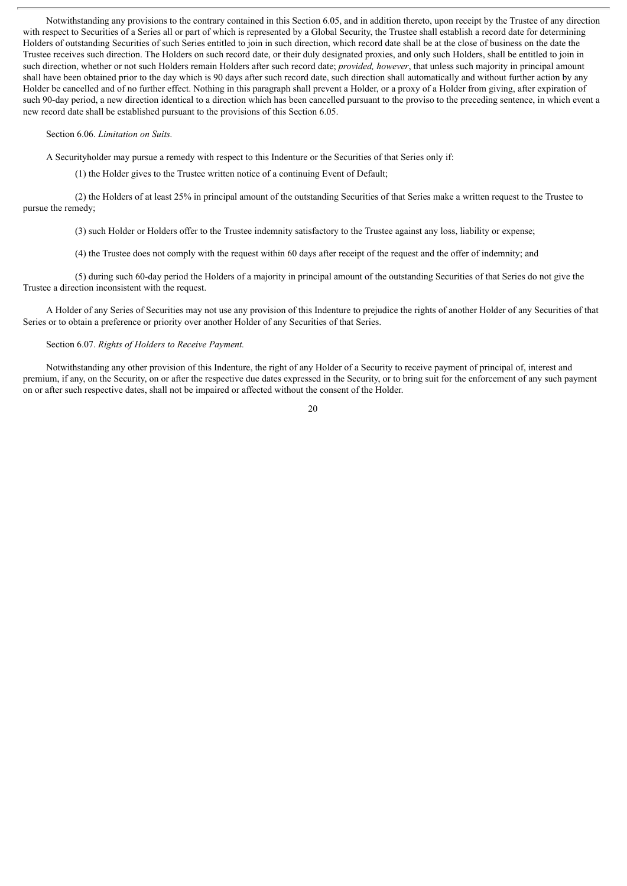Notwithstanding any provisions to the contrary contained in this Section 6.05, and in addition thereto, upon receipt by the Trustee of any direction with respect to Securities of a Series all or part of which is represented by a Global Security, the Trustee shall establish a record date for determining Holders of outstanding Securities of such Series entitled to join in such direction, which record date shall be at the close of business on the date the Trustee receives such direction. The Holders on such record date, or their duly designated proxies, and only such Holders, shall be entitled to join in such direction, whether or not such Holders remain Holders after such record date; *provided, however*, that unless such majority in principal amount shall have been obtained prior to the day which is 90 days after such record date, such direction shall automatically and without further action by any Holder be cancelled and of no further effect. Nothing in this paragraph shall prevent a Holder, or a proxy of a Holder from giving, after expiration of such 90-day period, a new direction identical to a direction which has been cancelled pursuant to the proviso to the preceding sentence, in which event a new record date shall be established pursuant to the provisions of this Section 6.05.

#### Section 6.06. *Limitation on Suits.*

A Securityholder may pursue a remedy with respect to this Indenture or the Securities of that Series only if:

(1) the Holder gives to the Trustee written notice of a continuing Event of Default;

(2) the Holders of at least 25% in principal amount of the outstanding Securities of that Series make a written request to the Trustee to pursue the remedy;

(3) such Holder or Holders offer to the Trustee indemnity satisfactory to the Trustee against any loss, liability or expense;

(4) the Trustee does not comply with the request within 60 days after receipt of the request and the offer of indemnity; and

(5) during such 60-day period the Holders of a majority in principal amount of the outstanding Securities of that Series do not give the Trustee a direction inconsistent with the request.

A Holder of any Series of Securities may not use any provision of this Indenture to prejudice the rights of another Holder of any Securities of that Series or to obtain a preference or priority over another Holder of any Securities of that Series.

#### Section 6.07. *Rights of Holders to Receive Payment.*

Notwithstanding any other provision of this Indenture, the right of any Holder of a Security to receive payment of principal of, interest and premium, if any, on the Security, on or after the respective due dates expressed in the Security, or to bring suit for the enforcement of any such payment on or after such respective dates, shall not be impaired or affected without the consent of the Holder.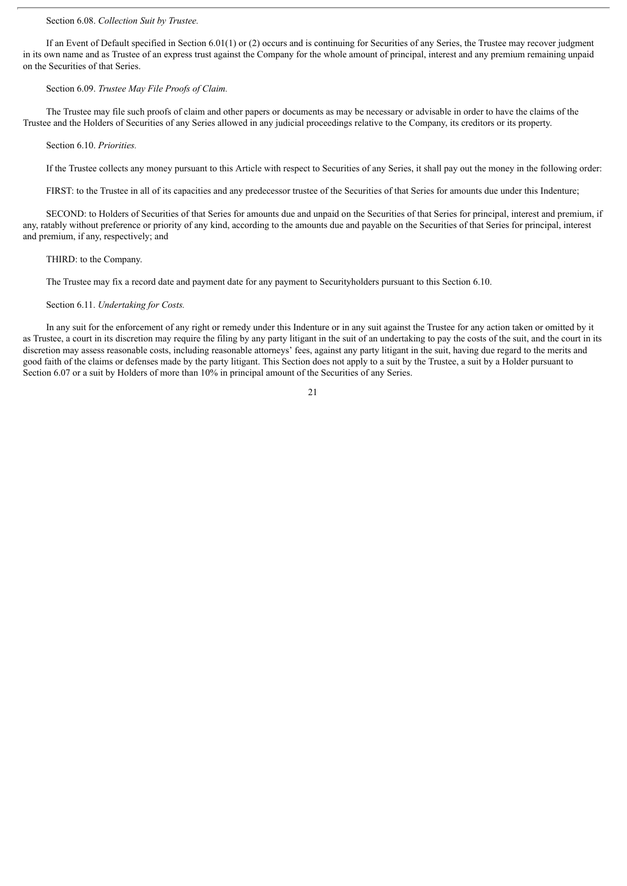#### Section 6.08. *Collection Suit by Trustee.*

If an Event of Default specified in Section 6.01(1) or (2) occurs and is continuing for Securities of any Series, the Trustee may recover judgment in its own name and as Trustee of an express trust against the Company for the whole amount of principal, interest and any premium remaining unpaid on the Securities of that Series.

#### Section 6.09. *Trustee May File Proofs of Claim.*

The Trustee may file such proofs of claim and other papers or documents as may be necessary or advisable in order to have the claims of the Trustee and the Holders of Securities of any Series allowed in any judicial proceedings relative to the Company, its creditors or its property.

#### Section 6.10. *Priorities.*

If the Trustee collects any money pursuant to this Article with respect to Securities of any Series, it shall pay out the money in the following order:

FIRST: to the Trustee in all of its capacities and any predecessor trustee of the Securities of that Series for amounts due under this Indenture;

SECOND: to Holders of Securities of that Series for amounts due and unpaid on the Securities of that Series for principal, interest and premium, if any, ratably without preference or priority of any kind, according to the amounts due and payable on the Securities of that Series for principal, interest and premium, if any, respectively; and

#### THIRD: to the Company.

The Trustee may fix a record date and payment date for any payment to Securityholders pursuant to this Section 6.10.

#### Section 6.11. *Undertaking for Costs.*

In any suit for the enforcement of any right or remedy under this Indenture or in any suit against the Trustee for any action taken or omitted by it as Trustee, a court in its discretion may require the filing by any party litigant in the suit of an undertaking to pay the costs of the suit, and the court in its discretion may assess reasonable costs, including reasonable attorneys' fees, against any party litigant in the suit, having due regard to the merits and good faith of the claims or defenses made by the party litigant. This Section does not apply to a suit by the Trustee, a suit by a Holder pursuant to Section 6.07 or a suit by Holders of more than 10% in principal amount of the Securities of any Series.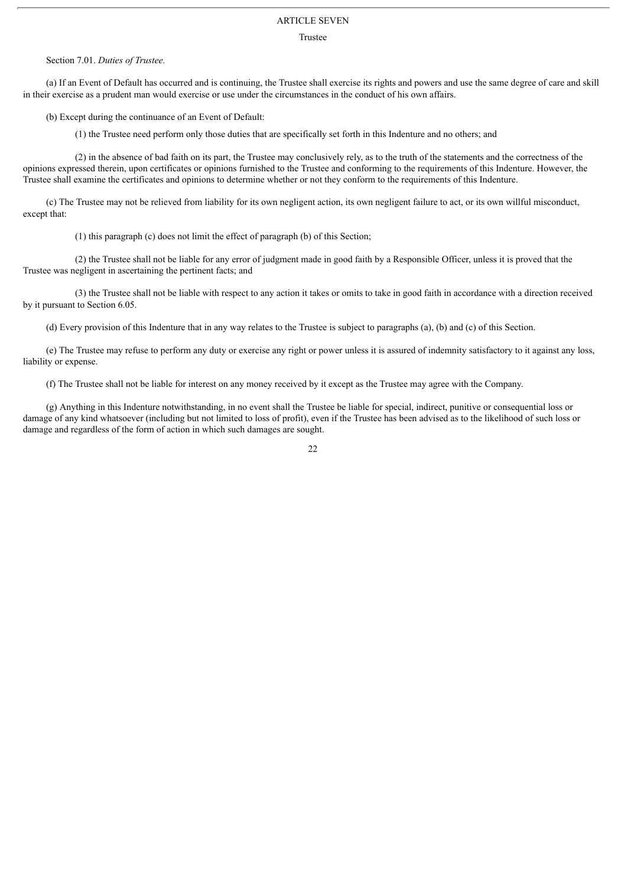## ARTICLE SEVEN

#### Trustee

#### Section 7.01. *Duties of Trustee.*

(a) If an Event of Default has occurred and is continuing, the Trustee shall exercise its rights and powers and use the same degree of care and skill in their exercise as a prudent man would exercise or use under the circumstances in the conduct of his own affairs.

(b) Except during the continuance of an Event of Default:

(1) the Trustee need perform only those duties that are specifically set forth in this Indenture and no others; and

(2) in the absence of bad faith on its part, the Trustee may conclusively rely, as to the truth of the statements and the correctness of the opinions expressed therein, upon certificates or opinions furnished to the Trustee and conforming to the requirements of this Indenture. However, the Trustee shall examine the certificates and opinions to determine whether or not they conform to the requirements of this Indenture.

(c) The Trustee may not be relieved from liability for its own negligent action, its own negligent failure to act, or its own willful misconduct, except that:

(1) this paragraph (c) does not limit the effect of paragraph (b) of this Section;

(2) the Trustee shall not be liable for any error of judgment made in good faith by a Responsible Officer, unless it is proved that the Trustee was negligent in ascertaining the pertinent facts; and

(3) the Trustee shall not be liable with respect to any action it takes or omits to take in good faith in accordance with a direction received by it pursuant to Section 6.05.

(d) Every provision of this Indenture that in any way relates to the Trustee is subject to paragraphs (a), (b) and (c) of this Section.

(e) The Trustee may refuse to perform any duty or exercise any right or power unless it is assured of indemnity satisfactory to it against any loss, liability or expense.

(f) The Trustee shall not be liable for interest on any money received by it except as the Trustee may agree with the Company.

(g) Anything in this Indenture notwithstanding, in no event shall the Trustee be liable for special, indirect, punitive or consequential loss or damage of any kind whatsoever (including but not limited to loss of profit), even if the Trustee has been advised as to the likelihood of such loss or damage and regardless of the form of action in which such damages are sought.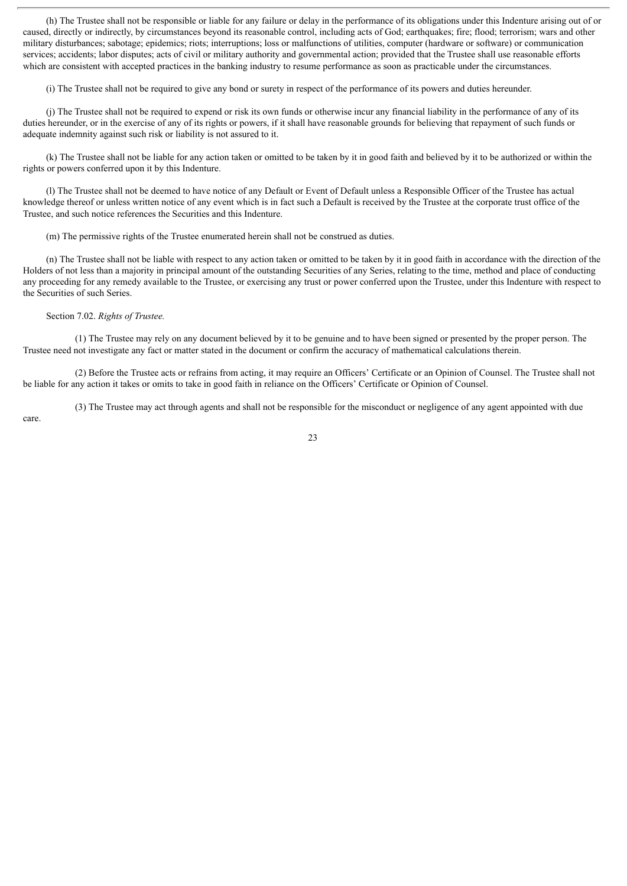(h) The Trustee shall not be responsible or liable for any failure or delay in the performance of its obligations under this Indenture arising out of or caused, directly or indirectly, by circumstances beyond its reasonable control, including acts of God; earthquakes; fire; flood; terrorism; wars and other military disturbances; sabotage; epidemics; riots; interruptions; loss or malfunctions of utilities, computer (hardware or software) or communication services; accidents; labor disputes; acts of civil or military authority and governmental action; provided that the Trustee shall use reasonable efforts which are consistent with accepted practices in the banking industry to resume performance as soon as practicable under the circumstances.

(i) The Trustee shall not be required to give any bond or surety in respect of the performance of its powers and duties hereunder.

(j) The Trustee shall not be required to expend or risk its own funds or otherwise incur any financial liability in the performance of any of its duties hereunder, or in the exercise of any of its rights or powers, if it shall have reasonable grounds for believing that repayment of such funds or adequate indemnity against such risk or liability is not assured to it.

(k) The Trustee shall not be liable for any action taken or omitted to be taken by it in good faith and believed by it to be authorized or within the rights or powers conferred upon it by this Indenture.

(l) The Trustee shall not be deemed to have notice of any Default or Event of Default unless a Responsible Officer of the Trustee has actual knowledge thereof or unless written notice of any event which is in fact such a Default is received by the Trustee at the corporate trust office of the Trustee, and such notice references the Securities and this Indenture.

(m) The permissive rights of the Trustee enumerated herein shall not be construed as duties.

(n) The Trustee shall not be liable with respect to any action taken or omitted to be taken by it in good faith in accordance with the direction of the Holders of not less than a majority in principal amount of the outstanding Securities of any Series, relating to the time, method and place of conducting any proceeding for any remedy available to the Trustee, or exercising any trust or power conferred upon the Trustee, under this Indenture with respect to the Securities of such Series.

Section 7.02. *Rights of Trustee.*

(1) The Trustee may rely on any document believed by it to be genuine and to have been signed or presented by the proper person. The Trustee need not investigate any fact or matter stated in the document or confirm the accuracy of mathematical calculations therein.

(2) Before the Trustee acts or refrains from acting, it may require an Officers' Certificate or an Opinion of Counsel. The Trustee shall not be liable for any action it takes or omits to take in good faith in reliance on the Officers' Certificate or Opinion of Counsel.

(3) The Trustee may act through agents and shall not be responsible for the misconduct or negligence of any agent appointed with due

care.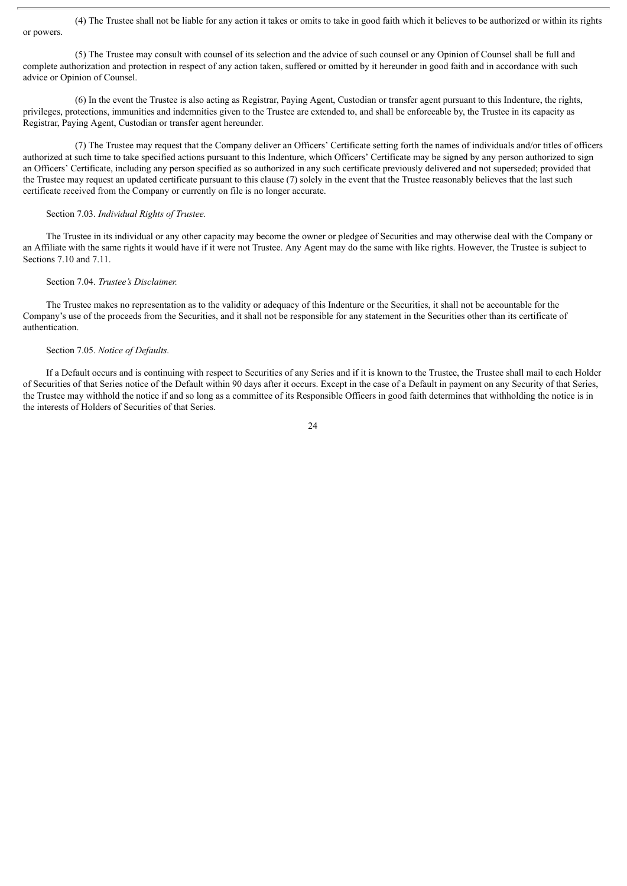(4) The Trustee shall not be liable for any action it takes or omits to take in good faith which it believes to be authorized or within its rights or powers.

(5) The Trustee may consult with counsel of its selection and the advice of such counsel or any Opinion of Counsel shall be full and complete authorization and protection in respect of any action taken, suffered or omitted by it hereunder in good faith and in accordance with such advice or Opinion of Counsel.

(6) In the event the Trustee is also acting as Registrar, Paying Agent, Custodian or transfer agent pursuant to this Indenture, the rights, privileges, protections, immunities and indemnities given to the Trustee are extended to, and shall be enforceable by, the Trustee in its capacity as Registrar, Paying Agent, Custodian or transfer agent hereunder.

(7) The Trustee may request that the Company deliver an Officers' Certificate setting forth the names of individuals and/or titles of officers authorized at such time to take specified actions pursuant to this Indenture, which Officers' Certificate may be signed by any person authorized to sign an Officers' Certificate, including any person specified as so authorized in any such certificate previously delivered and not superseded; provided that the Trustee may request an updated certificate pursuant to this clause (7) solely in the event that the Trustee reasonably believes that the last such certificate received from the Company or currently on file is no longer accurate.

## Section 7.03. *Individual Rights of Trustee.*

The Trustee in its individual or any other capacity may become the owner or pledgee of Securities and may otherwise deal with the Company or an Affiliate with the same rights it would have if it were not Trustee. Any Agent may do the same with like rights. However, the Trustee is subject to Sections 7.10 and 7.11.

## Section 7.04. *Trustee's Disclaimer.*

The Trustee makes no representation as to the validity or adequacy of this Indenture or the Securities, it shall not be accountable for the Company's use of the proceeds from the Securities, and it shall not be responsible for any statement in the Securities other than its certificate of authentication.

## Section 7.05. *Notice of Defaults.*

If a Default occurs and is continuing with respect to Securities of any Series and if it is known to the Trustee, the Trustee shall mail to each Holder of Securities of that Series notice of the Default within 90 days after it occurs. Except in the case of a Default in payment on any Security of that Series, the Trustee may withhold the notice if and so long as a committee of its Responsible Officers in good faith determines that withholding the notice is in the interests of Holders of Securities of that Series.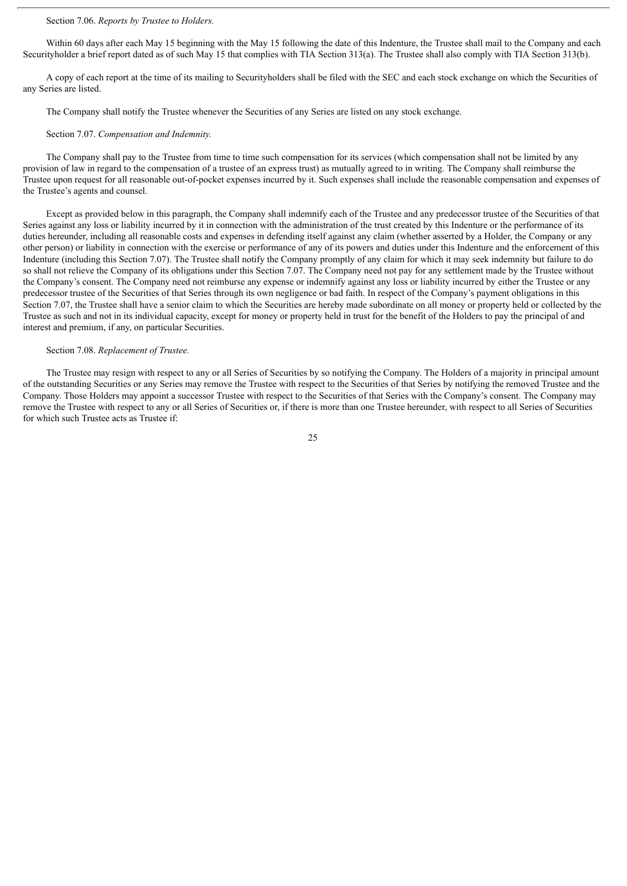## Section 7.06. *Reports by Trustee to Holders.*

Within 60 days after each May 15 beginning with the May 15 following the date of this Indenture, the Trustee shall mail to the Company and each Securityholder a brief report dated as of such May 15 that complies with TIA Section 313(a). The Trustee shall also comply with TIA Section 313(b).

A copy of each report at the time of its mailing to Securityholders shall be filed with the SEC and each stock exchange on which the Securities of any Series are listed.

The Company shall notify the Trustee whenever the Securities of any Series are listed on any stock exchange.

#### Section 7.07. *Compensation and Indemnity.*

The Company shall pay to the Trustee from time to time such compensation for its services (which compensation shall not be limited by any provision of law in regard to the compensation of a trustee of an express trust) as mutually agreed to in writing. The Company shall reimburse the Trustee upon request for all reasonable out-of-pocket expenses incurred by it. Such expenses shall include the reasonable compensation and expenses of the Trustee's agents and counsel.

Except as provided below in this paragraph, the Company shall indemnify each of the Trustee and any predecessor trustee of the Securities of that Series against any loss or liability incurred by it in connection with the administration of the trust created by this Indenture or the performance of its duties hereunder, including all reasonable costs and expenses in defending itself against any claim (whether asserted by a Holder, the Company or any other person) or liability in connection with the exercise or performance of any of its powers and duties under this Indenture and the enforcement of this Indenture (including this Section 7.07). The Trustee shall notify the Company promptly of any claim for which it may seek indemnity but failure to do so shall not relieve the Company of its obligations under this Section 7.07. The Company need not pay for any settlement made by the Trustee without the Company's consent. The Company need not reimburse any expense or indemnify against any loss or liability incurred by either the Trustee or any predecessor trustee of the Securities of that Series through its own negligence or bad faith. In respect of the Company's payment obligations in this Section 7.07, the Trustee shall have a senior claim to which the Securities are hereby made subordinate on all money or property held or collected by the Trustee as such and not in its individual capacity, except for money or property held in trust for the benefit of the Holders to pay the principal of and interest and premium, if any, on particular Securities.

#### Section 7.08. *Replacement of Trustee.*

The Trustee may resign with respect to any or all Series of Securities by so notifying the Company. The Holders of a majority in principal amount of the outstanding Securities or any Series may remove the Trustee with respect to the Securities of that Series by notifying the removed Trustee and the Company. Those Holders may appoint a successor Trustee with respect to the Securities of that Series with the Company's consent. The Company may remove the Trustee with respect to any or all Series of Securities or, if there is more than one Trustee hereunder, with respect to all Series of Securities for which such Trustee acts as Trustee if: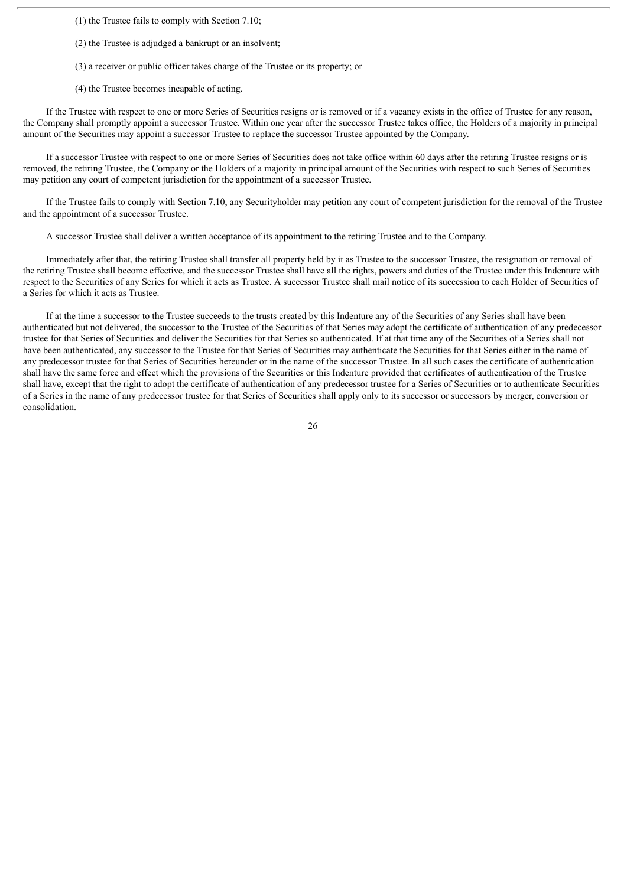(1) the Trustee fails to comply with Section 7.10;

(2) the Trustee is adjudged a bankrupt or an insolvent;

(3) a receiver or public officer takes charge of the Trustee or its property; or

(4) the Trustee becomes incapable of acting.

If the Trustee with respect to one or more Series of Securities resigns or is removed or if a vacancy exists in the office of Trustee for any reason, the Company shall promptly appoint a successor Trustee. Within one year after the successor Trustee takes office, the Holders of a majority in principal amount of the Securities may appoint a successor Trustee to replace the successor Trustee appointed by the Company.

If a successor Trustee with respect to one or more Series of Securities does not take office within 60 days after the retiring Trustee resigns or is removed, the retiring Trustee, the Company or the Holders of a majority in principal amount of the Securities with respect to such Series of Securities may petition any court of competent jurisdiction for the appointment of a successor Trustee.

If the Trustee fails to comply with Section 7.10, any Securityholder may petition any court of competent jurisdiction for the removal of the Trustee and the appointment of a successor Trustee.

A successor Trustee shall deliver a written acceptance of its appointment to the retiring Trustee and to the Company.

Immediately after that, the retiring Trustee shall transfer all property held by it as Trustee to the successor Trustee, the resignation or removal of the retiring Trustee shall become effective, and the successor Trustee shall have all the rights, powers and duties of the Trustee under this Indenture with respect to the Securities of any Series for which it acts as Trustee. A successor Trustee shall mail notice of its succession to each Holder of Securities of a Series for which it acts as Trustee.

If at the time a successor to the Trustee succeeds to the trusts created by this Indenture any of the Securities of any Series shall have been authenticated but not delivered, the successor to the Trustee of the Securities of that Series may adopt the certificate of authentication of any predecessor trustee for that Series of Securities and deliver the Securities for that Series so authenticated. If at that time any of the Securities of a Series shall not have been authenticated, any successor to the Trustee for that Series of Securities may authenticate the Securities for that Series either in the name of any predecessor trustee for that Series of Securities hereunder or in the name of the successor Trustee. In all such cases the certificate of authentication shall have the same force and effect which the provisions of the Securities or this Indenture provided that certificates of authentication of the Trustee shall have, except that the right to adopt the certificate of authentication of any predecessor trustee for a Series of Securities or to authenticate Securities of a Series in the name of any predecessor trustee for that Series of Securities shall apply only to its successor or successors by merger, conversion or consolidation.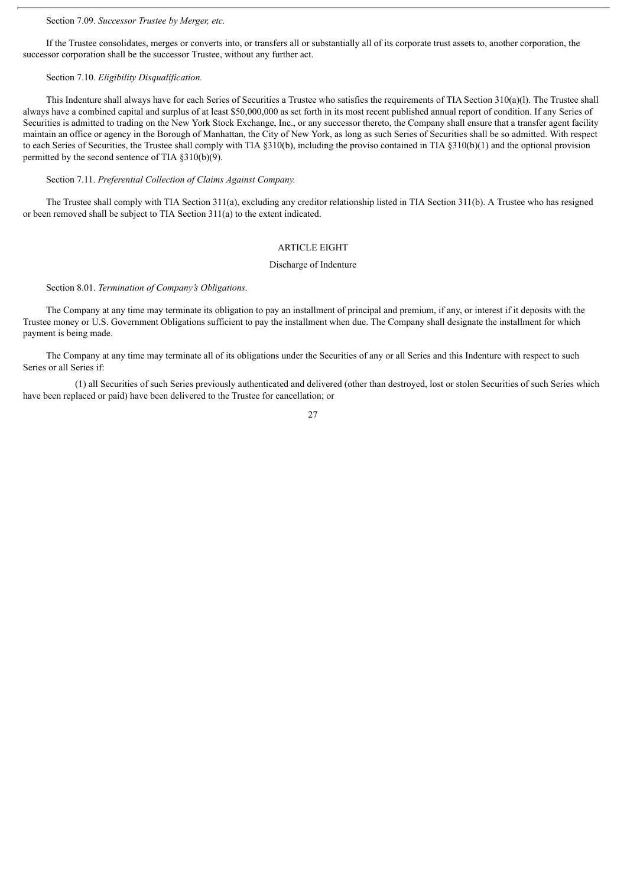### Section 7.09. *Successor Trustee by Merger, etc.*

If the Trustee consolidates, merges or converts into, or transfers all or substantially all of its corporate trust assets to, another corporation, the successor corporation shall be the successor Trustee, without any further act.

## Section 7.10. *Eligibility Disqualification.*

This Indenture shall always have for each Series of Securities a Trustee who satisfies the requirements of TIA Section 310(a)(l). The Trustee shall always have a combined capital and surplus of at least \$50,000,000 as set forth in its most recent published annual report of condition. If any Series of Securities is admitted to trading on the New York Stock Exchange, Inc., or any successor thereto, the Company shall ensure that a transfer agent facility maintain an office or agency in the Borough of Manhattan, the City of New York, as long as such Series of Securities shall be so admitted. With respect to each Series of Securities, the Trustee shall comply with TIA §310(b), including the proviso contained in TIA §310(b)(1) and the optional provision permitted by the second sentence of TIA §310(b)(9).

Section 7.11. *Preferential Collection of Claims Against Company.*

The Trustee shall comply with TIA Section 311(a), excluding any creditor relationship listed in TIA Section 311(b). A Trustee who has resigned or been removed shall be subject to TIA Section 311(a) to the extent indicated.

#### ARTICLE EIGHT

#### Discharge of Indenture

Section 8.01. *Termination of Company's Obligations.*

The Company at any time may terminate its obligation to pay an installment of principal and premium, if any, or interest if it deposits with the Trustee money or U.S. Government Obligations sufficient to pay the installment when due. The Company shall designate the installment for which payment is being made.

The Company at any time may terminate all of its obligations under the Securities of any or all Series and this Indenture with respect to such Series or all Series if:

(1) all Securities of such Series previously authenticated and delivered (other than destroyed, lost or stolen Securities of such Series which have been replaced or paid) have been delivered to the Trustee for cancellation; or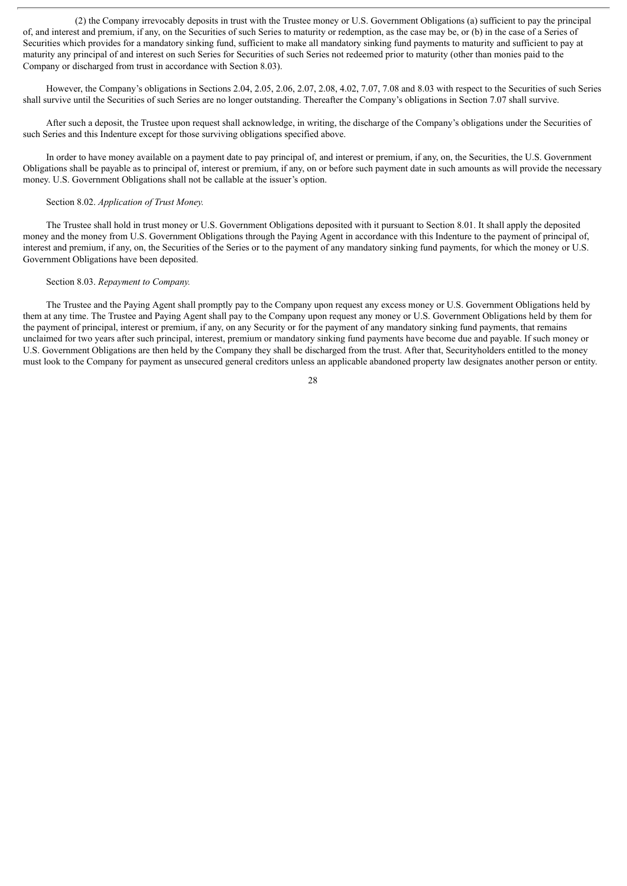(2) the Company irrevocably deposits in trust with the Trustee money or U.S. Government Obligations (a) sufficient to pay the principal of, and interest and premium, if any, on the Securities of such Series to maturity or redemption, as the case may be, or (b) in the case of a Series of Securities which provides for a mandatory sinking fund, sufficient to make all mandatory sinking fund payments to maturity and sufficient to pay at maturity any principal of and interest on such Series for Securities of such Series not redeemed prior to maturity (other than monies paid to the Company or discharged from trust in accordance with Section 8.03).

However, the Company's obligations in Sections 2.04, 2.05, 2.06, 2.07, 2.08, 4.02, 7.07, 7.08 and 8.03 with respect to the Securities of such Series shall survive until the Securities of such Series are no longer outstanding. Thereafter the Company's obligations in Section 7.07 shall survive.

After such a deposit, the Trustee upon request shall acknowledge, in writing, the discharge of the Company's obligations under the Securities of such Series and this Indenture except for those surviving obligations specified above.

In order to have money available on a payment date to pay principal of, and interest or premium, if any, on, the Securities, the U.S. Government Obligations shall be payable as to principal of, interest or premium, if any, on or before such payment date in such amounts as will provide the necessary money. U.S. Government Obligations shall not be callable at the issuer's option.

#### Section 8.02. *Application of Trust Money.*

The Trustee shall hold in trust money or U.S. Government Obligations deposited with it pursuant to Section 8.01. It shall apply the deposited money and the money from U.S. Government Obligations through the Paying Agent in accordance with this Indenture to the payment of principal of, interest and premium, if any, on, the Securities of the Series or to the payment of any mandatory sinking fund payments, for which the money or U.S. Government Obligations have been deposited.

#### Section 8.03. *Repayment to Company.*

The Trustee and the Paying Agent shall promptly pay to the Company upon request any excess money or U.S. Government Obligations held by them at any time. The Trustee and Paying Agent shall pay to the Company upon request any money or U.S. Government Obligations held by them for the payment of principal, interest or premium, if any, on any Security or for the payment of any mandatory sinking fund payments, that remains unclaimed for two years after such principal, interest, premium or mandatory sinking fund payments have become due and payable. If such money or U.S. Government Obligations are then held by the Company they shall be discharged from the trust. After that, Securityholders entitled to the money must look to the Company for payment as unsecured general creditors unless an applicable abandoned property law designates another person or entity.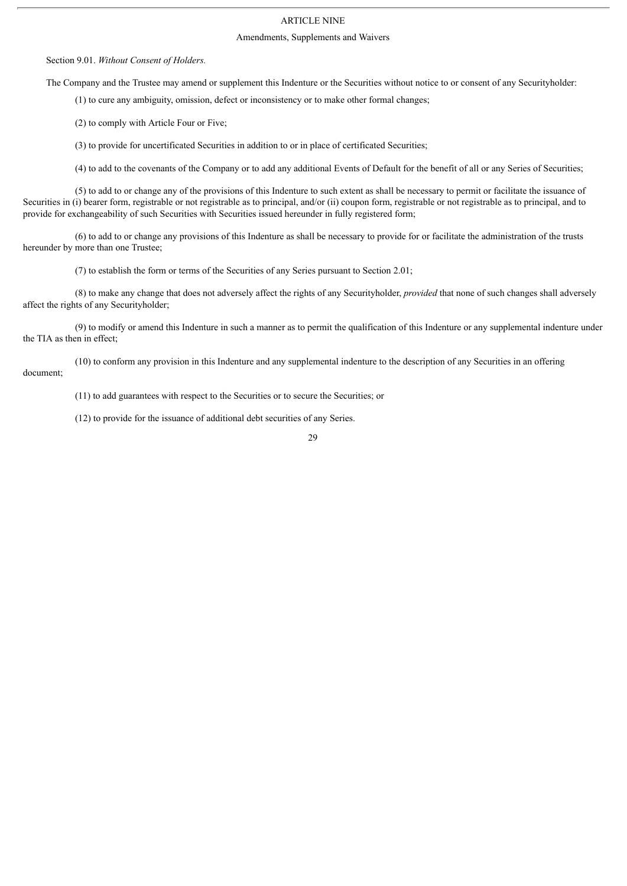## ARTICLE NINE

#### Amendments, Supplements and Waivers

Section 9.01. *Without Consent of Holders.*

The Company and the Trustee may amend or supplement this Indenture or the Securities without notice to or consent of any Securityholder:

(1) to cure any ambiguity, omission, defect or inconsistency or to make other formal changes;

(2) to comply with Article Four or Five;

(3) to provide for uncertificated Securities in addition to or in place of certificated Securities;

(4) to add to the covenants of the Company or to add any additional Events of Default for the benefit of all or any Series of Securities;

(5) to add to or change any of the provisions of this Indenture to such extent as shall be necessary to permit or facilitate the issuance of Securities in (i) bearer form, registrable or not registrable as to principal, and/or (ii) coupon form, registrable or not registrable as to principal, and to provide for exchangeability of such Securities with Securities issued hereunder in fully registered form;

(6) to add to or change any provisions of this Indenture as shall be necessary to provide for or facilitate the administration of the trusts hereunder by more than one Trustee;

(7) to establish the form or terms of the Securities of any Series pursuant to Section 2.01;

(8) to make any change that does not adversely affect the rights of any Securityholder, *provided* that none of such changes shall adversely affect the rights of any Securityholder;

(9) to modify or amend this Indenture in such a manner as to permit the qualification of this Indenture or any supplemental indenture under the TIA as then in effect;

(10) to conform any provision in this Indenture and any supplemental indenture to the description of any Securities in an offering document;

(11) to add guarantees with respect to the Securities or to secure the Securities; or

(12) to provide for the issuance of additional debt securities of any Series.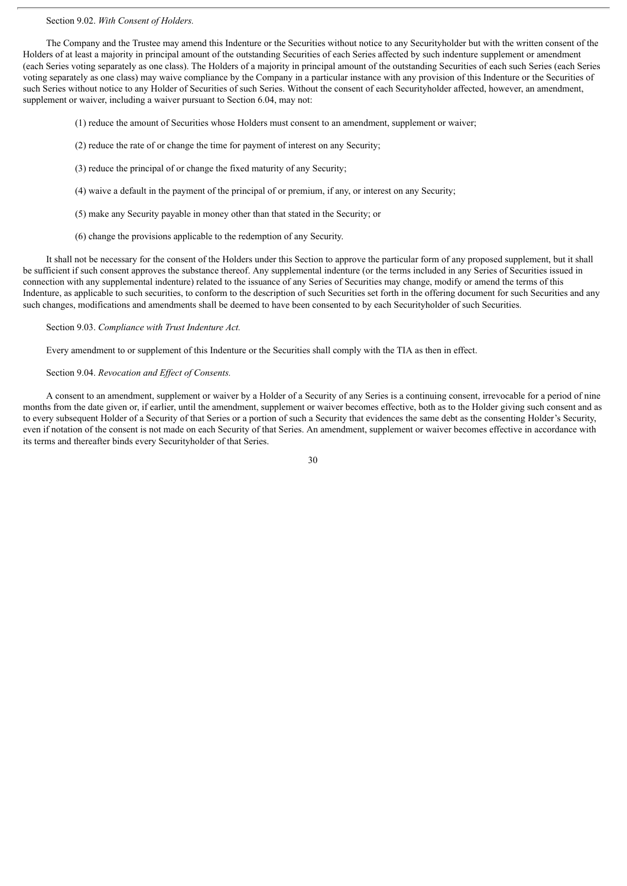#### Section 9.02. *With Consent of Holders.*

The Company and the Trustee may amend this Indenture or the Securities without notice to any Securityholder but with the written consent of the Holders of at least a majority in principal amount of the outstanding Securities of each Series affected by such indenture supplement or amendment (each Series voting separately as one class). The Holders of a majority in principal amount of the outstanding Securities of each such Series (each Series voting separately as one class) may waive compliance by the Company in a particular instance with any provision of this Indenture or the Securities of such Series without notice to any Holder of Securities of such Series. Without the consent of each Securityholder affected, however, an amendment, supplement or waiver, including a waiver pursuant to Section 6.04, may not:

(1) reduce the amount of Securities whose Holders must consent to an amendment, supplement or waiver;

- (2) reduce the rate of or change the time for payment of interest on any Security;
- (3) reduce the principal of or change the fixed maturity of any Security;
- (4) waive a default in the payment of the principal of or premium, if any, or interest on any Security;
- (5) make any Security payable in money other than that stated in the Security; or
- (6) change the provisions applicable to the redemption of any Security.

It shall not be necessary for the consent of the Holders under this Section to approve the particular form of any proposed supplement, but it shall be sufficient if such consent approves the substance thereof. Any supplemental indenture (or the terms included in any Series of Securities issued in connection with any supplemental indenture) related to the issuance of any Series of Securities may change, modify or amend the terms of this Indenture, as applicable to such securities, to conform to the description of such Securities set forth in the offering document for such Securities and any such changes, modifications and amendments shall be deemed to have been consented to by each Securityholder of such Securities.

#### Section 9.03. *Compliance with Trust Indenture Act.*

Every amendment to or supplement of this Indenture or the Securities shall comply with the TIA as then in effect.

#### Section 9.04. *Revocation and Effect of Consents.*

A consent to an amendment, supplement or waiver by a Holder of a Security of any Series is a continuing consent, irrevocable for a period of nine months from the date given or, if earlier, until the amendment, supplement or waiver becomes effective, both as to the Holder giving such consent and as to every subsequent Holder of a Security of that Series or a portion of such a Security that evidences the same debt as the consenting Holder's Security, even if notation of the consent is not made on each Security of that Series. An amendment, supplement or waiver becomes effective in accordance with its terms and thereafter binds every Securityholder of that Series.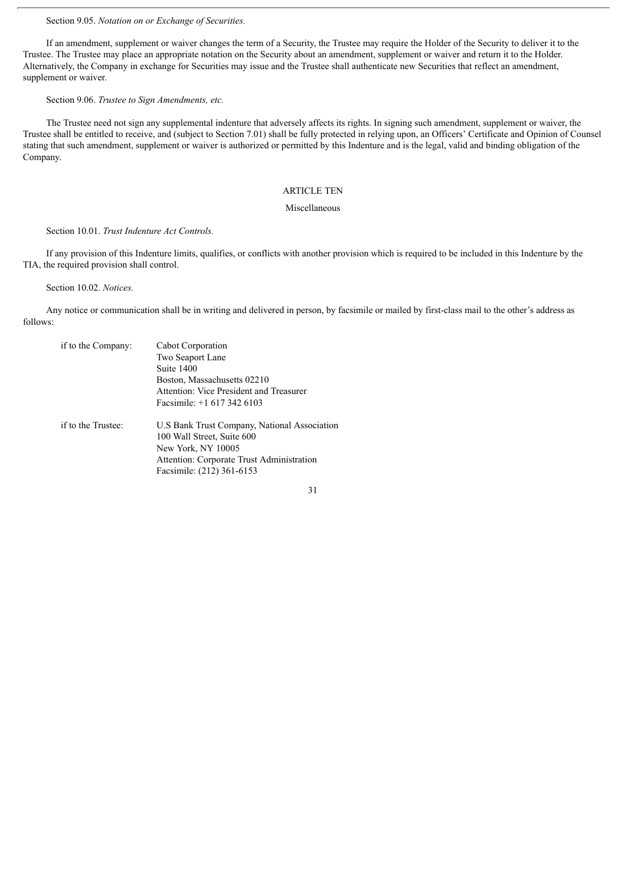Section 9.05. *Notation on or Exchange of Securities.*

If an amendment, supplement or waiver changes the term of a Security, the Trustee may require the Holder of the Security to deliver it to the Trustee. The Trustee may place an appropriate notation on the Security about an amendment, supplement or waiver and return it to the Holder. Alternatively, the Company in exchange for Securities may issue and the Trustee shall authenticate new Securities that reflect an amendment, supplement or waiver.

Section 9.06. *Trustee to Sign Amendments, etc.*

The Trustee need not sign any supplemental indenture that adversely affects its rights. In signing such amendment, supplement or waiver, the Trustee shall be entitled to receive, and (subject to Section 7.01) shall be fully protected in relying upon, an Officers' Certificate and Opinion of Counsel stating that such amendment, supplement or waiver is authorized or permitted by this Indenture and is the legal, valid and binding obligation of the Company.

## ARTICLE TEN

#### Miscellaneous

#### Section 10.01. *Trust Indenture Act Controls.*

If any provision of this Indenture limits, qualifies, or conflicts with another provision which is required to be included in this Indenture by the TIA, the required provision shall control.

Section 10.02. *Notices.*

Any notice or communication shall be in writing and delivered in person, by facsimile or mailed by first-class mail to the other's address as follows:

| if to the Company: | Cabot Corporation<br>Two Seaport Lane<br>Suite 1400<br>Boston, Massachusetts 02210<br>Attention: Vice President and Treasurer<br>Facsimile: $+1$ 617 342 6103              |
|--------------------|----------------------------------------------------------------------------------------------------------------------------------------------------------------------------|
| if to the Trustee: | U.S Bank Trust Company, National Association<br>100 Wall Street, Suite 600<br>New York, NY 10005<br>Attention: Corporate Trust Administration<br>Facsimile: (212) 361-6153 |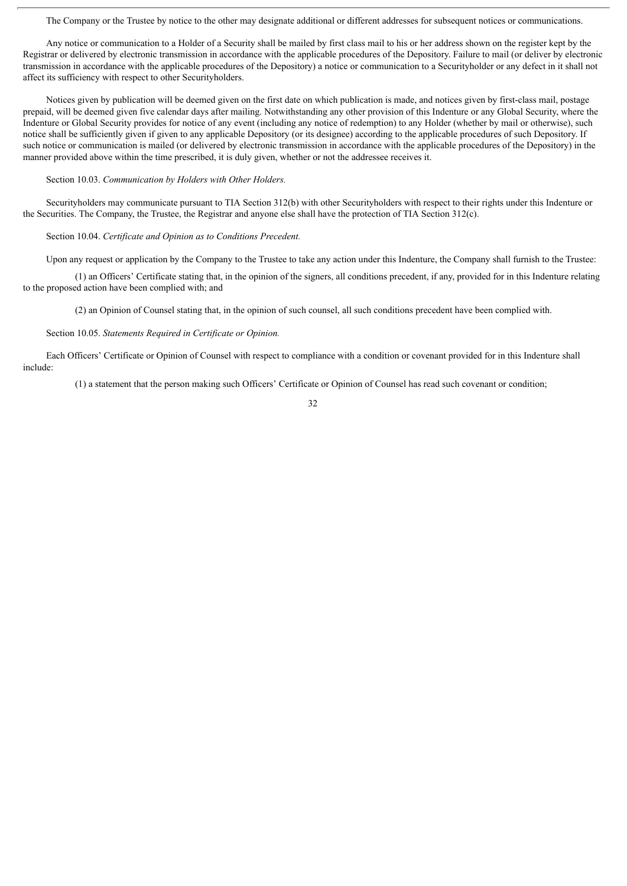The Company or the Trustee by notice to the other may designate additional or different addresses for subsequent notices or communications.

Any notice or communication to a Holder of a Security shall be mailed by first class mail to his or her address shown on the register kept by the Registrar or delivered by electronic transmission in accordance with the applicable procedures of the Depository. Failure to mail (or deliver by electronic transmission in accordance with the applicable procedures of the Depository) a notice or communication to a Securityholder or any defect in it shall not affect its sufficiency with respect to other Securityholders.

Notices given by publication will be deemed given on the first date on which publication is made, and notices given by first-class mail, postage prepaid, will be deemed given five calendar days after mailing. Notwithstanding any other provision of this Indenture or any Global Security, where the Indenture or Global Security provides for notice of any event (including any notice of redemption) to any Holder (whether by mail or otherwise), such notice shall be sufficiently given if given to any applicable Depository (or its designee) according to the applicable procedures of such Depository. If such notice or communication is mailed (or delivered by electronic transmission in accordance with the applicable procedures of the Depository) in the manner provided above within the time prescribed, it is duly given, whether or not the addressee receives it.

#### Section 10.03. *Communication by Holders with Other Holders.*

Securityholders may communicate pursuant to TIA Section 312(b) with other Securityholders with respect to their rights under this Indenture or the Securities. The Company, the Trustee, the Registrar and anyone else shall have the protection of TIA Section 312(c).

#### Section 10.04. *Certificate and Opinion as to Conditions Precedent.*

Upon any request or application by the Company to the Trustee to take any action under this Indenture, the Company shall furnish to the Trustee:

(1) an Officers' Certificate stating that, in the opinion of the signers, all conditions precedent, if any, provided for in this Indenture relating to the proposed action have been complied with; and

(2) an Opinion of Counsel stating that, in the opinion of such counsel, all such conditions precedent have been complied with.

#### Section 10.05. *Statements Required in Certificate or Opinion.*

Each Officers' Certificate or Opinion of Counsel with respect to compliance with a condition or covenant provided for in this Indenture shall include:

(1) a statement that the person making such Officers' Certificate or Opinion of Counsel has read such covenant or condition;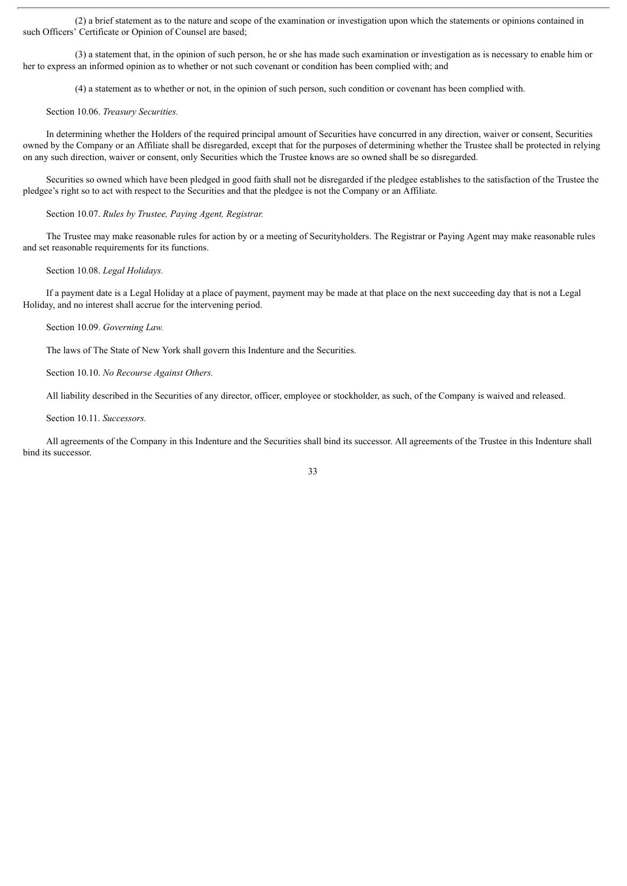(2) a brief statement as to the nature and scope of the examination or investigation upon which the statements or opinions contained in such Officers' Certificate or Opinion of Counsel are based;

(3) a statement that, in the opinion of such person, he or she has made such examination or investigation as is necessary to enable him or her to express an informed opinion as to whether or not such covenant or condition has been complied with; and

(4) a statement as to whether or not, in the opinion of such person, such condition or covenant has been complied with.

#### Section 10.06. *Treasury Securities.*

In determining whether the Holders of the required principal amount of Securities have concurred in any direction, waiver or consent, Securities owned by the Company or an Affiliate shall be disregarded, except that for the purposes of determining whether the Trustee shall be protected in relying on any such direction, waiver or consent, only Securities which the Trustee knows are so owned shall be so disregarded.

Securities so owned which have been pledged in good faith shall not be disregarded if the pledgee establishes to the satisfaction of the Trustee the pledgee's right so to act with respect to the Securities and that the pledgee is not the Company or an Affiliate.

Section 10.07. *Rules by Trustee, Paying Agent, Registrar.*

The Trustee may make reasonable rules for action by or a meeting of Securityholders. The Registrar or Paying Agent may make reasonable rules and set reasonable requirements for its functions.

Section 10.08. *Legal Holidays.*

If a payment date is a Legal Holiday at a place of payment, payment may be made at that place on the next succeeding day that is not a Legal Holiday, and no interest shall accrue for the intervening period.

Section 10.09. *Governing Law.*

The laws of The State of New York shall govern this Indenture and the Securities.

Section 10.10. *No Recourse Against Others.*

All liability described in the Securities of any director, officer, employee or stockholder, as such, of the Company is waived and released.

Section 10.11. *Successors.*

All agreements of the Company in this Indenture and the Securities shall bind its successor. All agreements of the Trustee in this Indenture shall bind its successor.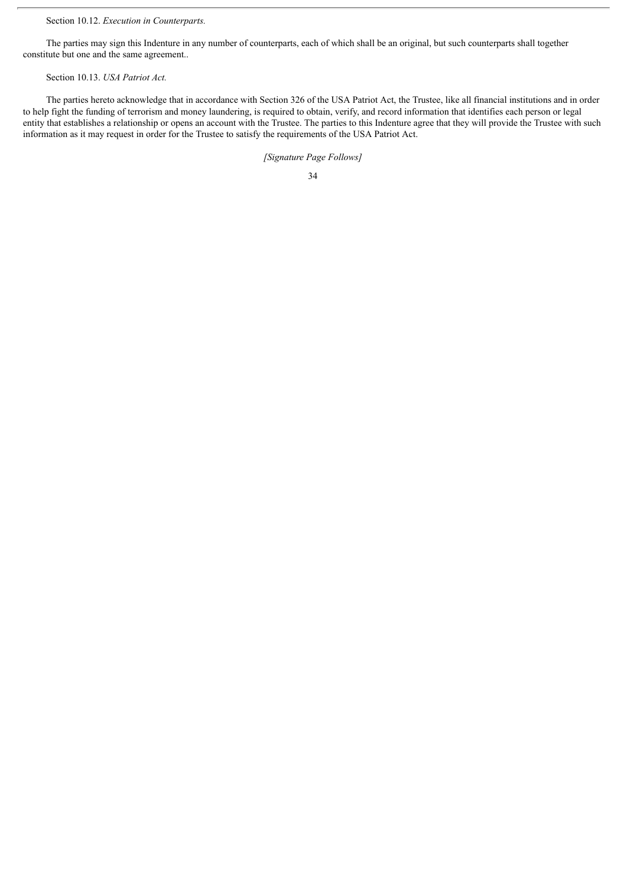Section 10.12. *Execution in Counterparts.*

The parties may sign this Indenture in any number of counterparts, each of which shall be an original, but such counterparts shall together constitute but one and the same agreement..

## Section 10.13. *USA Patriot Act.*

The parties hereto acknowledge that in accordance with Section 326 of the USA Patriot Act, the Trustee, like all financial institutions and in order to help fight the funding of terrorism and money laundering, is required to obtain, verify, and record information that identifies each person or legal entity that establishes a relationship or opens an account with the Trustee. The parties to this Indenture agree that they will provide the Trustee with such information as it may request in order for the Trustee to satisfy the requirements of the USA Patriot Act.

*[Signature Page Follows]*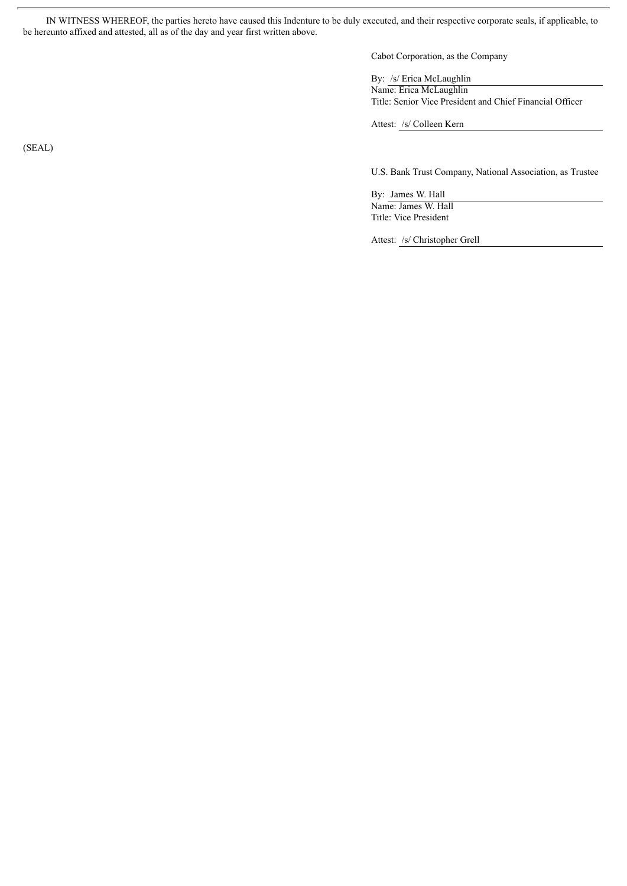IN WITNESS WHEREOF, the parties hereto have caused this Indenture to be duly executed, and their respective corporate seals, if applicable, to be hereunto affixed and attested, all as of the day and year first written above.

Cabot Corporation, as the Company

By: /s/ Erica McLaughlin Name: Erica McLaughlin Title: Senior Vice President and Chief Financial Officer

Attest: /s/ Colleen Kern

U.S. Bank Trust Company, National Association, as Trustee

By: James W. Hall Name: James W. Hall Title: Vice President

Attest: /s/ Christopher Grell

(SEAL)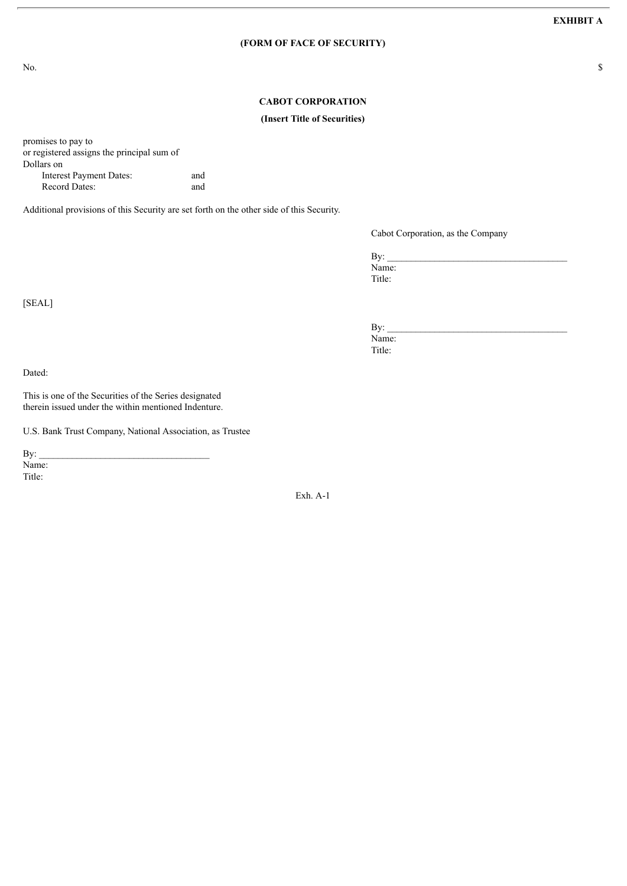## **(FORM OF FACE OF SECURITY)**

No.  $\sim$ 

## **CABOT CORPORATION**

#### **(Insert Title of Securities)**

promises to pay to or registered assigns the principal sum of Dollars on Interest Payment Dates: and

Record Dates: and

Additional provisions of this Security are set forth on the other side of this Security.

Cabot Corporation, as the Company

 $\mathbf{By:}$ Name: Title:

 $\mathbf{By:}$ Name: Title:

Dated:

[SEAL]

This is one of the Securities of the Series designated therein issued under the within mentioned Indenture.

U.S. Bank Trust Company, National Association, as Trustee

 $\mathbf{By:}$ Name: Title:

Exh. A-1

**EXHIBIT A**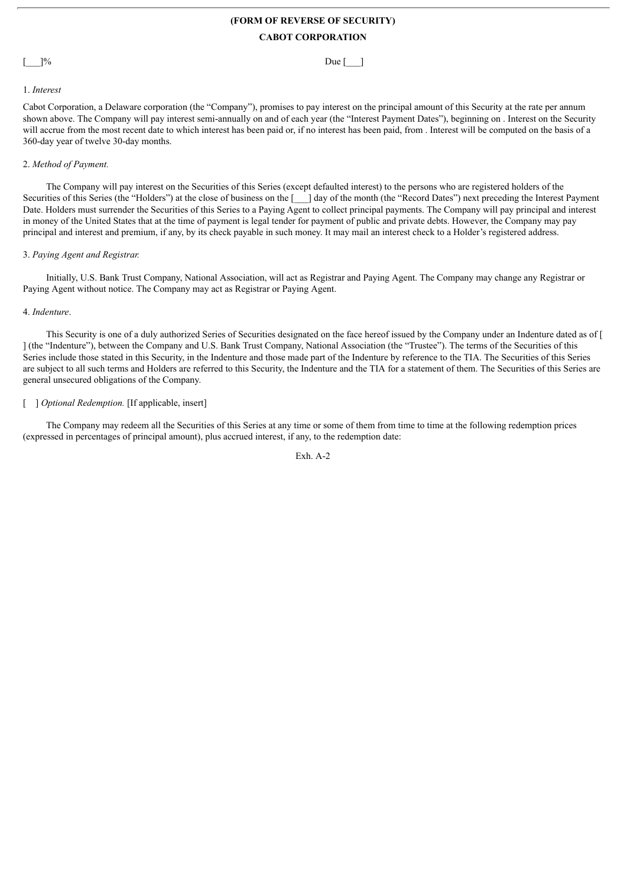## **(FORM OF REVERSE OF SECURITY) CABOT CORPORATION**

 $]$ % Due [\_\_\_]

#### 1. *Interest*

Cabot Corporation, a Delaware corporation (the "Company"), promises to pay interest on the principal amount of this Security at the rate per annum shown above. The Company will pay interest semi-annually on and of each year (the "Interest Payment Dates"), beginning on . Interest on the Security will accrue from the most recent date to which interest has been paid or, if no interest has been paid, from . Interest will be computed on the basis of a 360-day year of twelve 30-day months.

#### 2. *Method of Payment.*

The Company will pay interest on the Securities of this Series (except defaulted interest) to the persons who are registered holders of the Securities of this Series (the "Holders") at the close of business on the [\_\_\_] day of the month (the "Record Dates") next preceding the Interest Payment Date. Holders must surrender the Securities of this Series to a Paying Agent to collect principal payments. The Company will pay principal and interest in money of the United States that at the time of payment is legal tender for payment of public and private debts. However, the Company may pay principal and interest and premium, if any, by its check payable in such money. It may mail an interest check to a Holder's registered address.

#### 3. *Paying Agent and Registrar.*

Initially, U.S. Bank Trust Company, National Association, will act as Registrar and Paying Agent. The Company may change any Registrar or Paying Agent without notice. The Company may act as Registrar or Paying Agent.

#### 4. *Indenture*.

This Security is one of a duly authorized Series of Securities designated on the face hereof issued by the Company under an Indenture dated as of [ ] (the "Indenture"), between the Company and U.S. Bank Trust Company, National Association (the "Trustee"). The terms of the Securities of this Series include those stated in this Security, in the Indenture and those made part of the Indenture by reference to the TIA. The Securities of this Series are subject to all such terms and Holders are referred to this Security, the Indenture and the TIA for a statement of them. The Securities of this Series are general unsecured obligations of the Company.

## [ ] *Optional Redemption.* [If applicable, insert]

The Company may redeem all the Securities of this Series at any time or some of them from time to time at the following redemption prices (expressed in percentages of principal amount), plus accrued interest, if any, to the redemption date:

Exh. A-2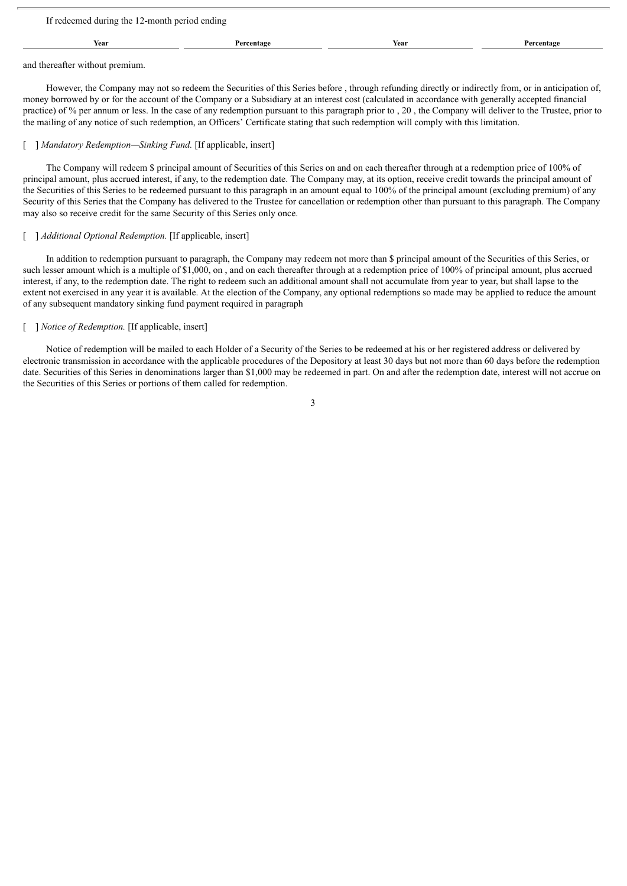| If redeemed during the 12-month period ending |            |      |            |  |
|-----------------------------------------------|------------|------|------------|--|
| Year                                          | Percentage | Year | Percentage |  |
|                                               |            |      |            |  |

and thereafter without premium.

However, the Company may not so redeem the Securities of this Series before , through refunding directly or indirectly from, or in anticipation of, money borrowed by or for the account of the Company or a Subsidiary at an interest cost (calculated in accordance with generally accepted financial practice) of % per annum or less. In the case of any redemption pursuant to this paragraph prior to , 20 , the Company will deliver to the Trustee, prior to the mailing of any notice of such redemption, an Officers' Certificate stating that such redemption will comply with this limitation.

#### [ ] *Mandatory Redemption—Sinking Fund.* [If applicable, insert]

The Company will redeem \$ principal amount of Securities of this Series on and on each thereafter through at a redemption price of 100% of principal amount, plus accrued interest, if any, to the redemption date. The Company may, at its option, receive credit towards the principal amount of the Securities of this Series to be redeemed pursuant to this paragraph in an amount equal to 100% of the principal amount (excluding premium) of any Security of this Series that the Company has delivered to the Trustee for cancellation or redemption other than pursuant to this paragraph. The Company may also so receive credit for the same Security of this Series only once.

#### [ ] *Additional Optional Redemption.* [If applicable, insert]

In addition to redemption pursuant to paragraph, the Company may redeem not more than \$ principal amount of the Securities of this Series, or such lesser amount which is a multiple of \$1,000, on, and on each thereafter through at a redemption price of 100% of principal amount, plus accrued interest, if any, to the redemption date. The right to redeem such an additional amount shall not accumulate from year to year, but shall lapse to the extent not exercised in any year it is available. At the election of the Company, any optional redemptions so made may be applied to reduce the amount of any subsequent mandatory sinking fund payment required in paragraph

## [ ] *Notice of Redemption.* [If applicable, insert]

Notice of redemption will be mailed to each Holder of a Security of the Series to be redeemed at his or her registered address or delivered by electronic transmission in accordance with the applicable procedures of the Depository at least 30 days but not more than 60 days before the redemption date. Securities of this Series in denominations larger than \$1,000 may be redeemed in part. On and after the redemption date, interest will not accrue on the Securities of this Series or portions of them called for redemption.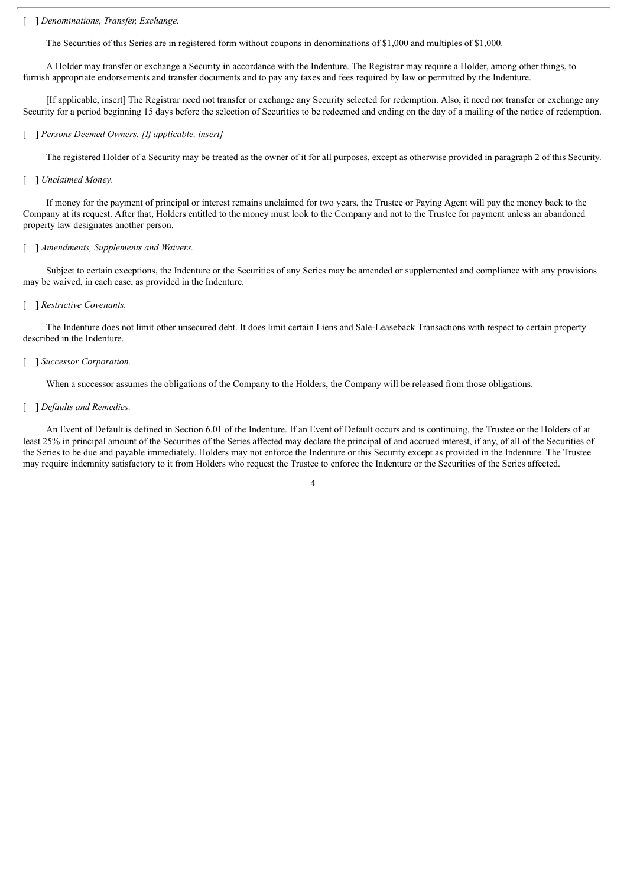#### [ ] *Denominations, Transfer, Exchange.*

The Securities of this Series are in registered form without coupons in denominations of \$1,000 and multiples of \$1,000.

A Holder may transfer or exchange a Security in accordance with the Indenture. The Registrar may require a Holder, among other things, to furnish appropriate endorsements and transfer documents and to pay any taxes and fees required by law or permitted by the Indenture.

[If applicable, insert] The Registrar need not transfer or exchange any Security selected for redemption. Also, it need not transfer or exchange any Security for a period beginning 15 days before the selection of Securities to be redeemed and ending on the day of a mailing of the notice of redemption.

#### [ ] *Persons Deemed Owners. [If applicable, insert]*

The registered Holder of a Security may be treated as the owner of it for all purposes, except as otherwise provided in paragraph 2 of this Security.

#### [ ] *Unclaimed Money.*

If money for the payment of principal or interest remains unclaimed for two years, the Trustee or Paying Agent will pay the money back to the Company at its request. After that, Holders entitled to the money must look to the Company and not to the Trustee for payment unless an abandoned property law designates another person.

#### [ ] *Amendments, Supplements and Waivers.*

Subject to certain exceptions, the Indenture or the Securities of any Series may be amended or supplemented and compliance with any provisions may be waived, in each case, as provided in the Indenture.

#### [ ] *Restrictive Covenants.*

The Indenture does not limit other unsecured debt. It does limit certain Liens and Sale-Leaseback Transactions with respect to certain property described in the Indenture.

#### [ ] *Successor Corporation.*

When a successor assumes the obligations of the Company to the Holders, the Company will be released from those obligations.

#### [ ] *Defaults and Remedies.*

An Event of Default is defined in Section 6.01 of the Indenture. If an Event of Default occurs and is continuing, the Trustee or the Holders of at least 25% in principal amount of the Securities of the Series affected may declare the principal of and accrued interest, if any, of all of the Securities of the Series to be due and payable immediately. Holders may not enforce the Indenture or this Security except as provided in the Indenture. The Trustee may require indemnity satisfactory to it from Holders who request the Trustee to enforce the Indenture or the Securities of the Series affected.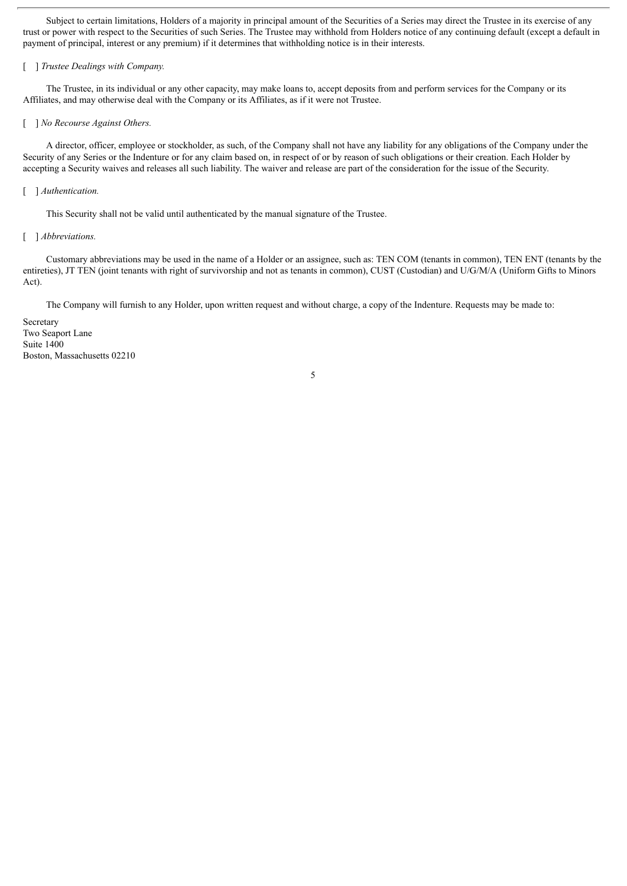Subject to certain limitations, Holders of a majority in principal amount of the Securities of a Series may direct the Trustee in its exercise of any trust or power with respect to the Securities of such Series. The Trustee may withhold from Holders notice of any continuing default (except a default in payment of principal, interest or any premium) if it determines that withholding notice is in their interests.

## [ ] *Trustee Dealings with Company.*

The Trustee, in its individual or any other capacity, may make loans to, accept deposits from and perform services for the Company or its Affiliates, and may otherwise deal with the Company or its Affiliates, as if it were not Trustee.

#### [ ] *No Recourse Against Others.*

A director, officer, employee or stockholder, as such, of the Company shall not have any liability for any obligations of the Company under the Security of any Series or the Indenture or for any claim based on, in respect of or by reason of such obligations or their creation. Each Holder by accepting a Security waives and releases all such liability. The waiver and release are part of the consideration for the issue of the Security.

#### [ ] *Authentication*.

This Security shall not be valid until authenticated by the manual signature of the Trustee.

#### [ ] *Abbreviations.*

Customary abbreviations may be used in the name of a Holder or an assignee, such as: TEN COM (tenants in common), TEN ENT (tenants by the entireties), JT TEN (joint tenants with right of survivorship and not as tenants in common), CUST (Custodian) and U/G/M/A (Uniform Gifts to Minors Act).

5

The Company will furnish to any Holder, upon written request and without charge, a copy of the Indenture. Requests may be made to:

Secretary Two Seaport Lane Suite 1400 Boston, Massachusetts 02210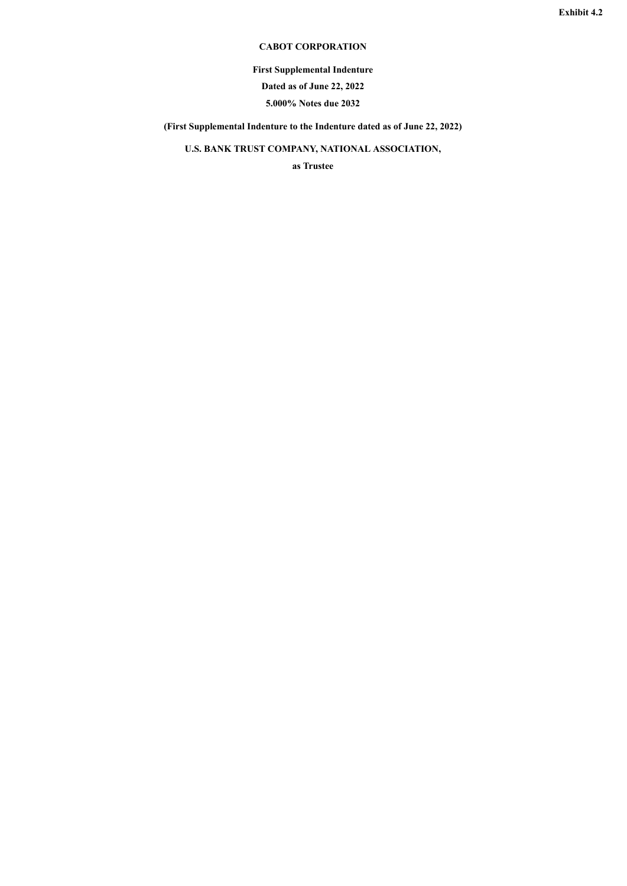## **CABOT CORPORATION**

**First Supplemental Indenture**

**Dated as of June 22, 2022**

**5.000% Notes due 2032**

<span id="page-48-0"></span>**(First Supplemental Indenture to the Indenture dated as of June 22, 2022)**

**U.S. BANK TRUST COMPANY, NATIONAL ASSOCIATION,**

**as Trustee**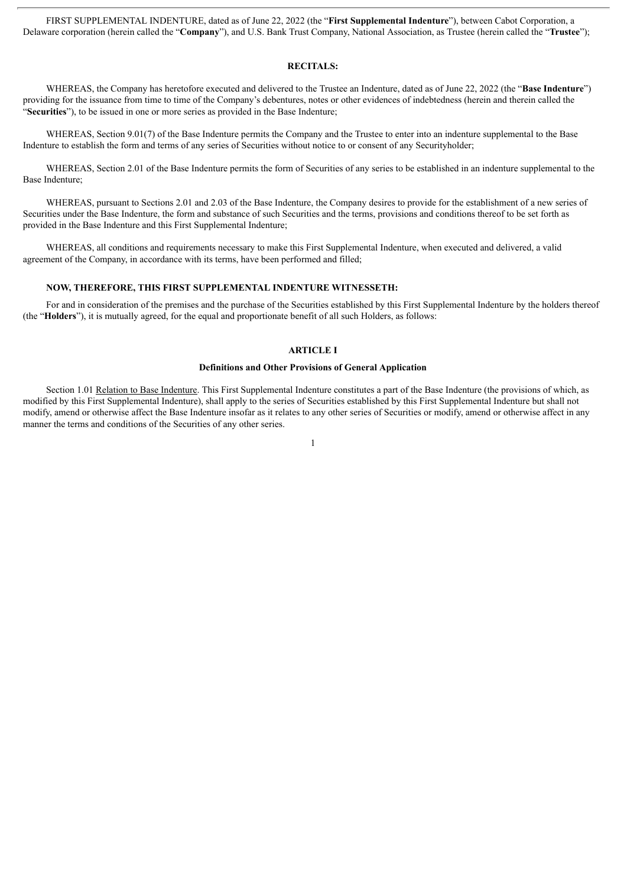FIRST SUPPLEMENTAL INDENTURE, dated as of June 22, 2022 (the "**First Supplemental Indenture**"), between Cabot Corporation, a Delaware corporation (herein called the "**Company**"), and U.S. Bank Trust Company, National Association, as Trustee (herein called the "**Trustee**");

#### **RECITALS:**

WHEREAS, the Company has heretofore executed and delivered to the Trustee an Indenture, dated as of June 22, 2022 (the "**Base Indenture**") providing for the issuance from time to time of the Company's debentures, notes or other evidences of indebtedness (herein and therein called the "**Securities**"), to be issued in one or more series as provided in the Base Indenture;

WHEREAS, Section 9.01(7) of the Base Indenture permits the Company and the Trustee to enter into an indenture supplemental to the Base Indenture to establish the form and terms of any series of Securities without notice to or consent of any Securityholder;

WHEREAS, Section 2.01 of the Base Indenture permits the form of Securities of any series to be established in an indenture supplemental to the Base Indenture;

WHEREAS, pursuant to Sections 2.01 and 2.03 of the Base Indenture, the Company desires to provide for the establishment of a new series of Securities under the Base Indenture, the form and substance of such Securities and the terms, provisions and conditions thereof to be set forth as provided in the Base Indenture and this First Supplemental Indenture;

WHEREAS, all conditions and requirements necessary to make this First Supplemental Indenture, when executed and delivered, a valid agreement of the Company, in accordance with its terms, have been performed and filled;

#### **NOW, THEREFORE, THIS FIRST SUPPLEMENTAL INDENTURE WITNESSETH:**

For and in consideration of the premises and the purchase of the Securities established by this First Supplemental Indenture by the holders thereof (the "**Holders**"), it is mutually agreed, for the equal and proportionate benefit of all such Holders, as follows:

#### **ARTICLE I**

#### **Definitions and Other Provisions of General Application**

Section 1.01 Relation to Base Indenture. This First Supplemental Indenture constitutes a part of the Base Indenture (the provisions of which, as modified by this First Supplemental Indenture), shall apply to the series of Securities established by this First Supplemental Indenture but shall not modify, amend or otherwise affect the Base Indenture insofar as it relates to any other series of Securities or modify, amend or otherwise affect in any manner the terms and conditions of the Securities of any other series.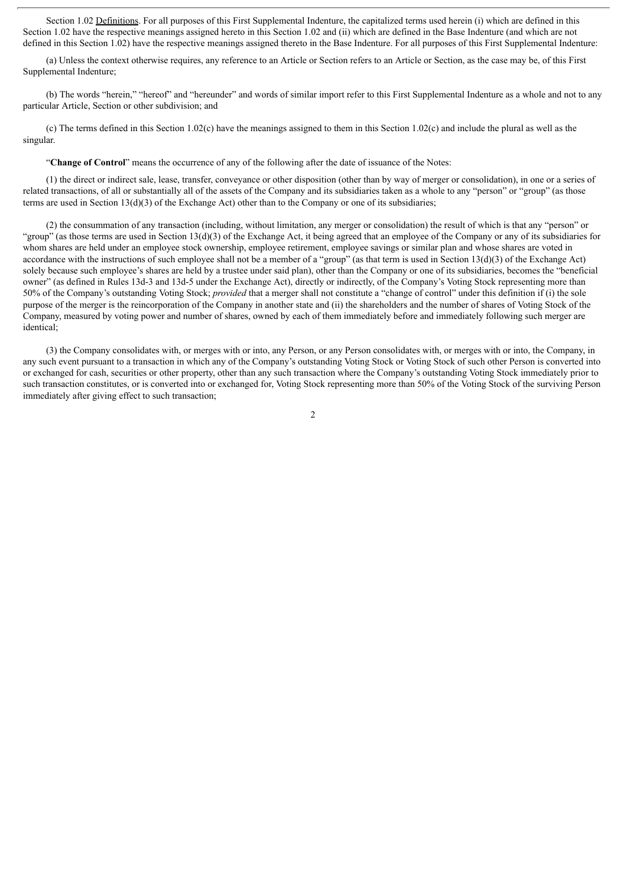Section 1.02 Definitions. For all purposes of this First Supplemental Indenture, the capitalized terms used herein (i) which are defined in this Section 1.02 have the respective meanings assigned hereto in this Section 1.02 and (ii) which are defined in the Base Indenture (and which are not defined in this Section 1.02) have the respective meanings assigned thereto in the Base Indenture. For all purposes of this First Supplemental Indenture:

(a) Unless the context otherwise requires, any reference to an Article or Section refers to an Article or Section, as the case may be, of this First Supplemental Indenture;

(b) The words "herein," "hereof" and "hereunder" and words of similar import refer to this First Supplemental Indenture as a whole and not to any particular Article, Section or other subdivision; and

(c) The terms defined in this Section 1.02(c) have the meanings assigned to them in this Section 1.02(c) and include the plural as well as the singular.

"**Change of Control**" means the occurrence of any of the following after the date of issuance of the Notes:

(1) the direct or indirect sale, lease, transfer, conveyance or other disposition (other than by way of merger or consolidation), in one or a series of related transactions, of all or substantially all of the assets of the Company and its subsidiaries taken as a whole to any "person" or "group" (as those terms are used in Section 13(d)(3) of the Exchange Act) other than to the Company or one of its subsidiaries;

(2) the consummation of any transaction (including, without limitation, any merger or consolidation) the result of which is that any "person" or "group" (as those terms are used in Section 13(d)(3) of the Exchange Act, it being agreed that an employee of the Company or any of its subsidiaries for whom shares are held under an employee stock ownership, employee retirement, employee savings or similar plan and whose shares are voted in accordance with the instructions of such employee shall not be a member of a "group" (as that term is used in Section 13(d)(3) of the Exchange Act) solely because such employee's shares are held by a trustee under said plan), other than the Company or one of its subsidiaries, becomes the "beneficial owner" (as defined in Rules 13d-3 and 13d-5 under the Exchange Act), directly or indirectly, of the Company's Voting Stock representing more than 50% of the Company's outstanding Voting Stock; *provided* that a merger shall not constitute a "change of control" under this definition if (i) the sole purpose of the merger is the reincorporation of the Company in another state and (ii) the shareholders and the number of shares of Voting Stock of the Company, measured by voting power and number of shares, owned by each of them immediately before and immediately following such merger are identical;

(3) the Company consolidates with, or merges with or into, any Person, or any Person consolidates with, or merges with or into, the Company, in any such event pursuant to a transaction in which any of the Company's outstanding Voting Stock or Voting Stock of such other Person is converted into or exchanged for cash, securities or other property, other than any such transaction where the Company's outstanding Voting Stock immediately prior to such transaction constitutes, or is converted into or exchanged for, Voting Stock representing more than 50% of the Voting Stock of the surviving Person immediately after giving effect to such transaction;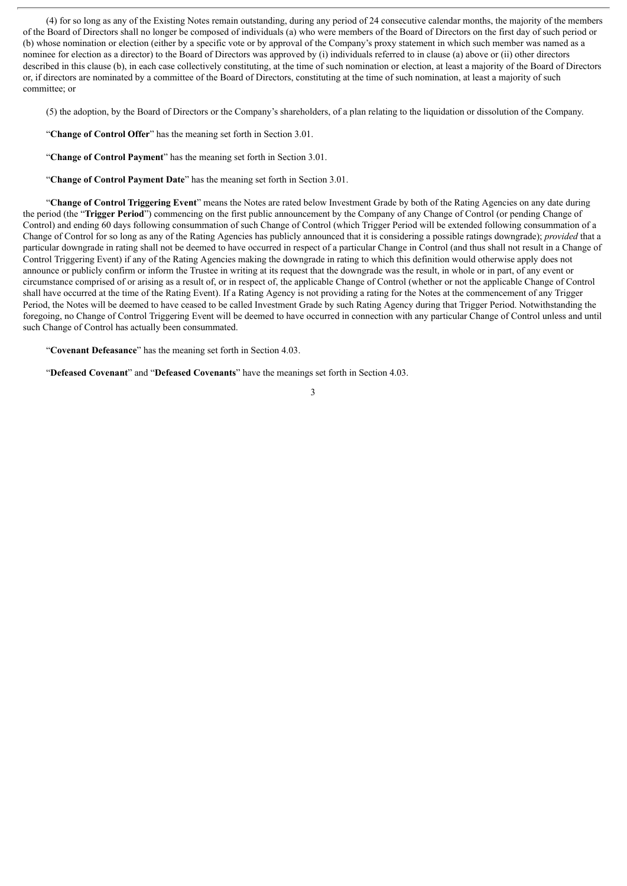(4) for so long as any of the Existing Notes remain outstanding, during any period of 24 consecutive calendar months, the majority of the members of the Board of Directors shall no longer be composed of individuals (a) who were members of the Board of Directors on the first day of such period or (b) whose nomination or election (either by a specific vote or by approval of the Company's proxy statement in which such member was named as a nominee for election as a director) to the Board of Directors was approved by (i) individuals referred to in clause (a) above or (ii) other directors described in this clause (b), in each case collectively constituting, at the time of such nomination or election, at least a majority of the Board of Directors or, if directors are nominated by a committee of the Board of Directors, constituting at the time of such nomination, at least a majority of such committee; or

(5) the adoption, by the Board of Directors or the Company's shareholders, of a plan relating to the liquidation or dissolution of the Company.

"**Change of Control Offer**" has the meaning set forth in Section 3.01.

"**Change of Control Payment**" has the meaning set forth in Section 3.01.

"**Change of Control Payment Date**" has the meaning set forth in Section 3.01.

"**Change of Control Triggering Event**" means the Notes are rated below Investment Grade by both of the Rating Agencies on any date during the period (the "**Trigger Period**") commencing on the first public announcement by the Company of any Change of Control (or pending Change of Control) and ending 60 days following consummation of such Change of Control (which Trigger Period will be extended following consummation of a Change of Control for so long as any of the Rating Agencies has publicly announced that it is considering a possible ratings downgrade); *provided* that a particular downgrade in rating shall not be deemed to have occurred in respect of a particular Change in Control (and thus shall not result in a Change of Control Triggering Event) if any of the Rating Agencies making the downgrade in rating to which this definition would otherwise apply does not announce or publicly confirm or inform the Trustee in writing at its request that the downgrade was the result, in whole or in part, of any event or circumstance comprised of or arising as a result of, or in respect of, the applicable Change of Control (whether or not the applicable Change of Control shall have occurred at the time of the Rating Event). If a Rating Agency is not providing a rating for the Notes at the commencement of any Trigger Period, the Notes will be deemed to have ceased to be called Investment Grade by such Rating Agency during that Trigger Period. Notwithstanding the foregoing, no Change of Control Triggering Event will be deemed to have occurred in connection with any particular Change of Control unless and until such Change of Control has actually been consummated.

"**Covenant Defeasance**" has the meaning set forth in Section 4.03.

"**Defeased Covenant**" and "**Defeased Covenants**" have the meanings set forth in Section 4.03.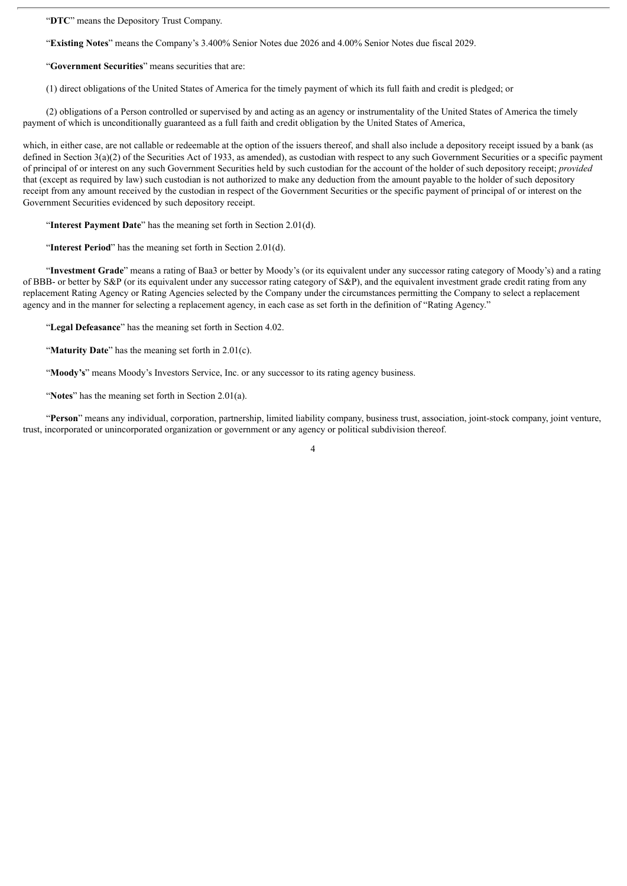"**DTC**" means the Depository Trust Company.

"**Existing Notes**" means the Company's 3.400% Senior Notes due 2026 and 4.00% Senior Notes due fiscal 2029.

"**Government Securities**" means securities that are:

(1) direct obligations of the United States of America for the timely payment of which its full faith and credit is pledged; or

(2) obligations of a Person controlled or supervised by and acting as an agency or instrumentality of the United States of America the timely payment of which is unconditionally guaranteed as a full faith and credit obligation by the United States of America,

which, in either case, are not callable or redeemable at the option of the issuers thereof, and shall also include a depository receipt issued by a bank (as defined in Section 3(a)(2) of the Securities Act of 1933, as amended), as custodian with respect to any such Government Securities or a specific payment of principal of or interest on any such Government Securities held by such custodian for the account of the holder of such depository receipt; *provided* that (except as required by law) such custodian is not authorized to make any deduction from the amount payable to the holder of such depository receipt from any amount received by the custodian in respect of the Government Securities or the specific payment of principal of or interest on the Government Securities evidenced by such depository receipt.

"**Interest Payment Date**" has the meaning set forth in Section 2.01(d).

"**Interest Period**" has the meaning set forth in Section 2.01(d).

"**Investment Grade**" means a rating of Baa3 or better by Moody's (or its equivalent under any successor rating category of Moody's) and a rating of BBB- or better by S&P (or its equivalent under any successor rating category of S&P), and the equivalent investment grade credit rating from any replacement Rating Agency or Rating Agencies selected by the Company under the circumstances permitting the Company to select a replacement agency and in the manner for selecting a replacement agency, in each case as set forth in the definition of "Rating Agency."

"**Legal Defeasance**" has the meaning set forth in Section 4.02.

"**Maturity Date**" has the meaning set forth in 2.01(c).

"**Moody's**" means Moody's Investors Service, Inc. or any successor to its rating agency business.

"**Notes**" has the meaning set forth in Section 2.01(a).

"**Person**" means any individual, corporation, partnership, limited liability company, business trust, association, joint-stock company, joint venture, trust, incorporated or unincorporated organization or government or any agency or political subdivision thereof.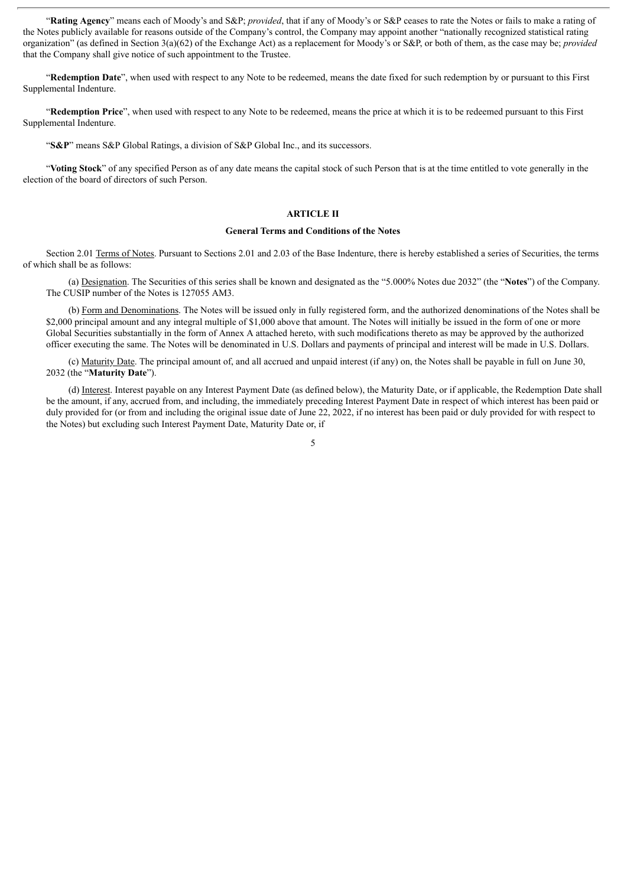"**Rating Agency**" means each of Moody's and S&P; *provided*, that if any of Moody's or S&P ceases to rate the Notes or fails to make a rating of the Notes publicly available for reasons outside of the Company's control, the Company may appoint another "nationally recognized statistical rating organization" (as defined in Section 3(a)(62) of the Exchange Act) as a replacement for Moody's or S&P, or both of them, as the case may be; *provided* that the Company shall give notice of such appointment to the Trustee.

"**Redemption Date**", when used with respect to any Note to be redeemed, means the date fixed for such redemption by or pursuant to this First Supplemental Indenture.

"**Redemption Price**", when used with respect to any Note to be redeemed, means the price at which it is to be redeemed pursuant to this First Supplemental Indenture.

"**S&P**" means S&P Global Ratings, a division of S&P Global Inc., and its successors.

"**Voting Stock**" of any specified Person as of any date means the capital stock of such Person that is at the time entitled to vote generally in the election of the board of directors of such Person.

## **ARTICLE II**

#### **General Terms and Conditions of the Notes**

Section 2.01 Terms of Notes. Pursuant to Sections 2.01 and 2.03 of the Base Indenture, there is hereby established a series of Securities, the terms of which shall be as follows:

(a) Designation. The Securities of this series shall be known and designated as the "5.000% Notes due 2032" (the "**Notes**") of the Company. The CUSIP number of the Notes is 127055 AM3.

(b) Form and Denominations. The Notes will be issued only in fully registered form, and the authorized denominations of the Notes shall be \$2,000 principal amount and any integral multiple of \$1,000 above that amount. The Notes will initially be issued in the form of one or more Global Securities substantially in the form of Annex A attached hereto, with such modifications thereto as may be approved by the authorized officer executing the same. The Notes will be denominated in U.S. Dollars and payments of principal and interest will be made in U.S. Dollars.

(c) Maturity Date. The principal amount of, and all accrued and unpaid interest (if any) on, the Notes shall be payable in full on June 30, 2032 (the "**Maturity Date**").

(d) Interest. Interest payable on any Interest Payment Date (as defined below), the Maturity Date, or if applicable, the Redemption Date shall be the amount, if any, accrued from, and including, the immediately preceding Interest Payment Date in respect of which interest has been paid or duly provided for (or from and including the original issue date of June 22, 2022, if no interest has been paid or duly provided for with respect to the Notes) but excluding such Interest Payment Date, Maturity Date or, if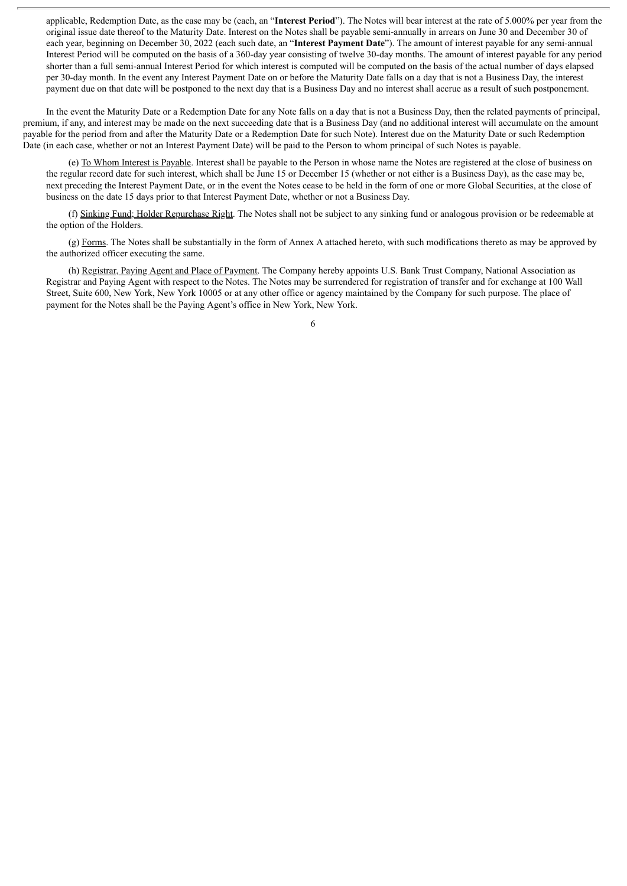applicable, Redemption Date, as the case may be (each, an "**Interest Period**"). The Notes will bear interest at the rate of 5.000% per year from the original issue date thereof to the Maturity Date. Interest on the Notes shall be payable semi-annually in arrears on June 30 and December 30 of each year, beginning on December 30, 2022 (each such date, an "**Interest Payment Date**"). The amount of interest payable for any semi-annual Interest Period will be computed on the basis of a 360-day year consisting of twelve 30-day months. The amount of interest payable for any period shorter than a full semi-annual Interest Period for which interest is computed will be computed on the basis of the actual number of days elapsed per 30-day month. In the event any Interest Payment Date on or before the Maturity Date falls on a day that is not a Business Day, the interest payment due on that date will be postponed to the next day that is a Business Day and no interest shall accrue as a result of such postponement.

In the event the Maturity Date or a Redemption Date for any Note falls on a day that is not a Business Day, then the related payments of principal, premium, if any, and interest may be made on the next succeeding date that is a Business Day (and no additional interest will accumulate on the amount payable for the period from and after the Maturity Date or a Redemption Date for such Note). Interest due on the Maturity Date or such Redemption Date (in each case, whether or not an Interest Payment Date) will be paid to the Person to whom principal of such Notes is payable.

(e) To Whom Interest is Payable. Interest shall be payable to the Person in whose name the Notes are registered at the close of business on the regular record date for such interest, which shall be June 15 or December 15 (whether or not either is a Business Day), as the case may be, next preceding the Interest Payment Date, or in the event the Notes cease to be held in the form of one or more Global Securities, at the close of business on the date 15 days prior to that Interest Payment Date, whether or not a Business Day.

(f) Sinking Fund; Holder Repurchase Right. The Notes shall not be subject to any sinking fund or analogous provision or be redeemable at the option of the Holders.

(g) Forms. The Notes shall be substantially in the form of Annex A attached hereto, with such modifications thereto as may be approved by the authorized officer executing the same.

(h) Registrar, Paying Agent and Place of Payment. The Company hereby appoints U.S. Bank Trust Company, National Association as Registrar and Paying Agent with respect to the Notes. The Notes may be surrendered for registration of transfer and for exchange at 100 Wall Street, Suite 600, New York, New York 10005 or at any other office or agency maintained by the Company for such purpose. The place of payment for the Notes shall be the Paying Agent's office in New York, New York.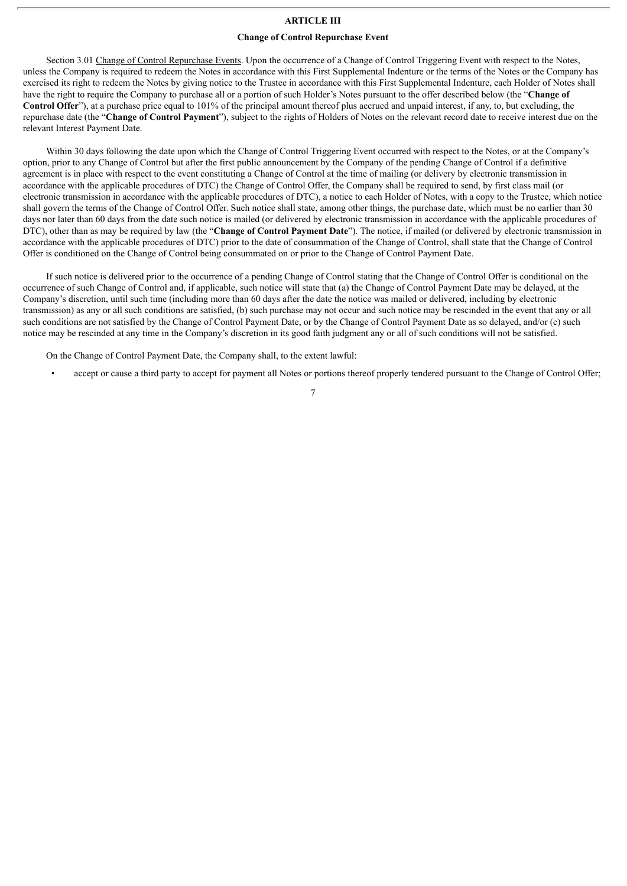#### **ARTICLE III**

#### **Change of Control Repurchase Event**

Section 3.01 Change of Control Repurchase Events. Upon the occurrence of a Change of Control Triggering Event with respect to the Notes, unless the Company is required to redeem the Notes in accordance with this First Supplemental Indenture or the terms of the Notes or the Company has exercised its right to redeem the Notes by giving notice to the Trustee in accordance with this First Supplemental Indenture, each Holder of Notes shall have the right to require the Company to purchase all or a portion of such Holder's Notes pursuant to the offer described below (the "**Change of Control Offer**"), at a purchase price equal to 101% of the principal amount thereof plus accrued and unpaid interest, if any, to, but excluding, the repurchase date (the "**Change of Control Payment**"), subject to the rights of Holders of Notes on the relevant record date to receive interest due on the relevant Interest Payment Date.

Within 30 days following the date upon which the Change of Control Triggering Event occurred with respect to the Notes, or at the Company's option, prior to any Change of Control but after the first public announcement by the Company of the pending Change of Control if a definitive agreement is in place with respect to the event constituting a Change of Control at the time of mailing (or delivery by electronic transmission in accordance with the applicable procedures of DTC) the Change of Control Offer, the Company shall be required to send, by first class mail (or electronic transmission in accordance with the applicable procedures of DTC), a notice to each Holder of Notes, with a copy to the Trustee, which notice shall govern the terms of the Change of Control Offer. Such notice shall state, among other things, the purchase date, which must be no earlier than 30 days nor later than 60 days from the date such notice is mailed (or delivered by electronic transmission in accordance with the applicable procedures of DTC), other than as may be required by law (the "**Change of Control Payment Date**"). The notice, if mailed (or delivered by electronic transmission in accordance with the applicable procedures of DTC) prior to the date of consummation of the Change of Control, shall state that the Change of Control Offer is conditioned on the Change of Control being consummated on or prior to the Change of Control Payment Date.

If such notice is delivered prior to the occurrence of a pending Change of Control stating that the Change of Control Offer is conditional on the occurrence of such Change of Control and, if applicable, such notice will state that (a) the Change of Control Payment Date may be delayed, at the Company's discretion, until such time (including more than 60 days after the date the notice was mailed or delivered, including by electronic transmission) as any or all such conditions are satisfied, (b) such purchase may not occur and such notice may be rescinded in the event that any or all such conditions are not satisfied by the Change of Control Payment Date, or by the Change of Control Payment Date as so delayed, and/or (c) such notice may be rescinded at any time in the Company's discretion in its good faith judgment any or all of such conditions will not be satisfied.

On the Change of Control Payment Date, the Company shall, to the extent lawful:

• accept or cause a third party to accept for payment all Notes or portions thereof properly tendered pursuant to the Change of Control Offer;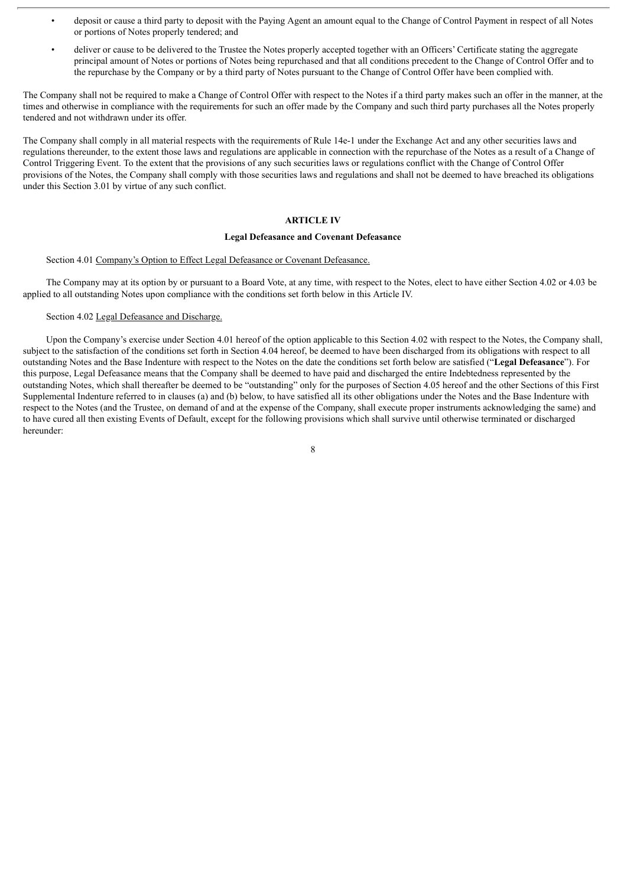- deposit or cause a third party to deposit with the Paying Agent an amount equal to the Change of Control Payment in respect of all Notes or portions of Notes properly tendered; and
- deliver or cause to be delivered to the Trustee the Notes properly accepted together with an Officers' Certificate stating the aggregate principal amount of Notes or portions of Notes being repurchased and that all conditions precedent to the Change of Control Offer and to the repurchase by the Company or by a third party of Notes pursuant to the Change of Control Offer have been complied with.

The Company shall not be required to make a Change of Control Offer with respect to the Notes if a third party makes such an offer in the manner, at the times and otherwise in compliance with the requirements for such an offer made by the Company and such third party purchases all the Notes properly tendered and not withdrawn under its offer.

The Company shall comply in all material respects with the requirements of Rule 14e-1 under the Exchange Act and any other securities laws and regulations thereunder, to the extent those laws and regulations are applicable in connection with the repurchase of the Notes as a result of a Change of Control Triggering Event. To the extent that the provisions of any such securities laws or regulations conflict with the Change of Control Offer provisions of the Notes, the Company shall comply with those securities laws and regulations and shall not be deemed to have breached its obligations under this Section 3.01 by virtue of any such conflict.

#### **ARTICLE IV**

#### **Legal Defeasance and Covenant Defeasance**

#### Section 4.01 Company's Option to Effect Legal Defeasance or Covenant Defeasance.

The Company may at its option by or pursuant to a Board Vote, at any time, with respect to the Notes, elect to have either Section 4.02 or 4.03 be applied to all outstanding Notes upon compliance with the conditions set forth below in this Article IV.

## Section 4.02 Legal Defeasance and Discharge.

Upon the Company's exercise under Section 4.01 hereof of the option applicable to this Section 4.02 with respect to the Notes, the Company shall, subject to the satisfaction of the conditions set forth in Section 4.04 hereof, be deemed to have been discharged from its obligations with respect to all outstanding Notes and the Base Indenture with respect to the Notes on the date the conditions set forth below are satisfied ("**Legal Defeasance**"). For this purpose, Legal Defeasance means that the Company shall be deemed to have paid and discharged the entire Indebtedness represented by the outstanding Notes, which shall thereafter be deemed to be "outstanding" only for the purposes of Section 4.05 hereof and the other Sections of this First Supplemental Indenture referred to in clauses (a) and (b) below, to have satisfied all its other obligations under the Notes and the Base Indenture with respect to the Notes (and the Trustee, on demand of and at the expense of the Company, shall execute proper instruments acknowledging the same) and to have cured all then existing Events of Default, except for the following provisions which shall survive until otherwise terminated or discharged hereunder: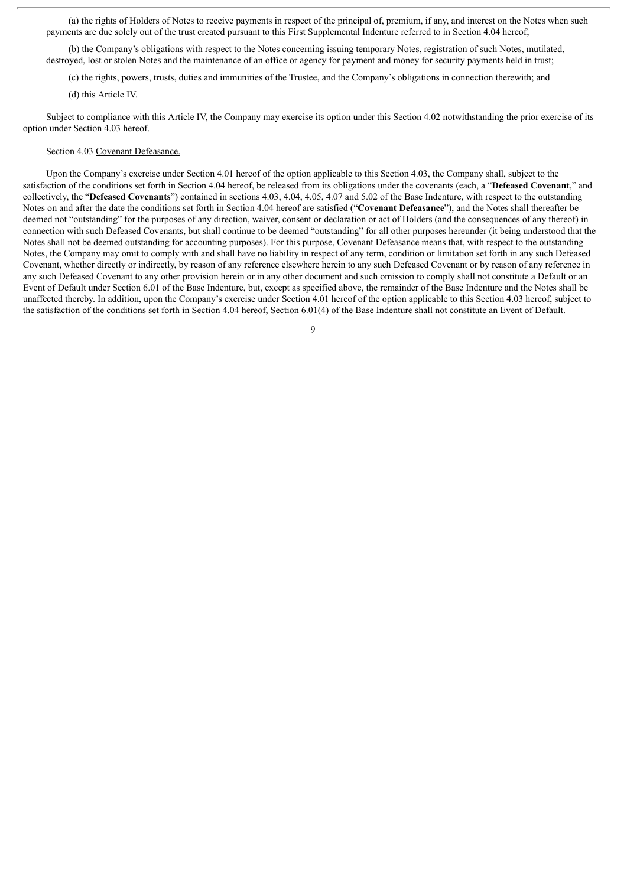(a) the rights of Holders of Notes to receive payments in respect of the principal of, premium, if any, and interest on the Notes when such payments are due solely out of the trust created pursuant to this First Supplemental Indenture referred to in Section 4.04 hereof;

(b) the Company's obligations with respect to the Notes concerning issuing temporary Notes, registration of such Notes, mutilated, destroyed, lost or stolen Notes and the maintenance of an office or agency for payment and money for security payments held in trust;

(c) the rights, powers, trusts, duties and immunities of the Trustee, and the Company's obligations in connection therewith; and

(d) this Article IV.

Subject to compliance with this Article IV, the Company may exercise its option under this Section 4.02 notwithstanding the prior exercise of its option under Section 4.03 hereof.

#### Section 4.03 Covenant Defeasance.

Upon the Company's exercise under Section 4.01 hereof of the option applicable to this Section 4.03, the Company shall, subject to the satisfaction of the conditions set forth in Section 4.04 hereof, be released from its obligations under the covenants (each, a "**Defeased Covenant**," and collectively, the "**Defeased Covenants**") contained in sections 4.03, 4.04, 4.05, 4.07 and 5.02 of the Base Indenture, with respect to the outstanding Notes on and after the date the conditions set forth in Section 4.04 hereof are satisfied ("**Covenant Defeasance**"), and the Notes shall thereafter be deemed not "outstanding" for the purposes of any direction, waiver, consent or declaration or act of Holders (and the consequences of any thereof) in connection with such Defeased Covenants, but shall continue to be deemed "outstanding" for all other purposes hereunder (it being understood that the Notes shall not be deemed outstanding for accounting purposes). For this purpose, Covenant Defeasance means that, with respect to the outstanding Notes, the Company may omit to comply with and shall have no liability in respect of any term, condition or limitation set forth in any such Defeased Covenant, whether directly or indirectly, by reason of any reference elsewhere herein to any such Defeased Covenant or by reason of any reference in any such Defeased Covenant to any other provision herein or in any other document and such omission to comply shall not constitute a Default or an Event of Default under Section 6.01 of the Base Indenture, but, except as specified above, the remainder of the Base Indenture and the Notes shall be unaffected thereby. In addition, upon the Company's exercise under Section 4.01 hereof of the option applicable to this Section 4.03 hereof, subject to the satisfaction of the conditions set forth in Section 4.04 hereof, Section 6.01(4) of the Base Indenture shall not constitute an Event of Default.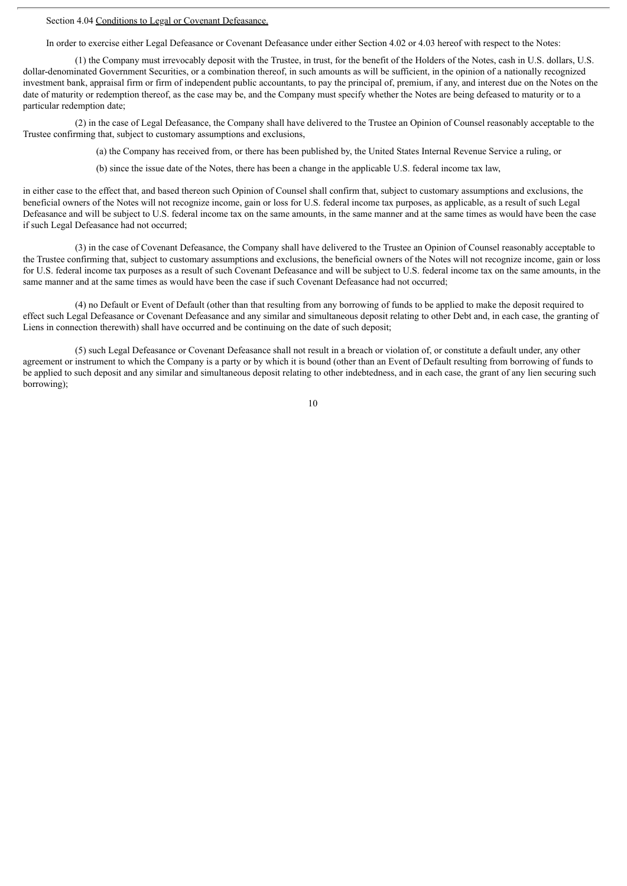Section 4.04 Conditions to Legal or Covenant Defeasance.

In order to exercise either Legal Defeasance or Covenant Defeasance under either Section 4.02 or 4.03 hereof with respect to the Notes:

(1) the Company must irrevocably deposit with the Trustee, in trust, for the benefit of the Holders of the Notes, cash in U.S. dollars, U.S. dollar-denominated Government Securities, or a combination thereof, in such amounts as will be sufficient, in the opinion of a nationally recognized investment bank, appraisal firm or firm of independent public accountants, to pay the principal of, premium, if any, and interest due on the Notes on the date of maturity or redemption thereof, as the case may be, and the Company must specify whether the Notes are being defeased to maturity or to a particular redemption date;

(2) in the case of Legal Defeasance, the Company shall have delivered to the Trustee an Opinion of Counsel reasonably acceptable to the Trustee confirming that, subject to customary assumptions and exclusions,

(a) the Company has received from, or there has been published by, the United States Internal Revenue Service a ruling, or

(b) since the issue date of the Notes, there has been a change in the applicable U.S. federal income tax law,

in either case to the effect that, and based thereon such Opinion of Counsel shall confirm that, subject to customary assumptions and exclusions, the beneficial owners of the Notes will not recognize income, gain or loss for U.S. federal income tax purposes, as applicable, as a result of such Legal Defeasance and will be subject to U.S. federal income tax on the same amounts, in the same manner and at the same times as would have been the case if such Legal Defeasance had not occurred;

(3) in the case of Covenant Defeasance, the Company shall have delivered to the Trustee an Opinion of Counsel reasonably acceptable to the Trustee confirming that, subject to customary assumptions and exclusions, the beneficial owners of the Notes will not recognize income, gain or loss for U.S. federal income tax purposes as a result of such Covenant Defeasance and will be subject to U.S. federal income tax on the same amounts, in the same manner and at the same times as would have been the case if such Covenant Defeasance had not occurred;

(4) no Default or Event of Default (other than that resulting from any borrowing of funds to be applied to make the deposit required to effect such Legal Defeasance or Covenant Defeasance and any similar and simultaneous deposit relating to other Debt and, in each case, the granting of Liens in connection therewith) shall have occurred and be continuing on the date of such deposit;

(5) such Legal Defeasance or Covenant Defeasance shall not result in a breach or violation of, or constitute a default under, any other agreement or instrument to which the Company is a party or by which it is bound (other than an Event of Default resulting from borrowing of funds to be applied to such deposit and any similar and simultaneous deposit relating to other indebtedness, and in each case, the grant of any lien securing such borrowing);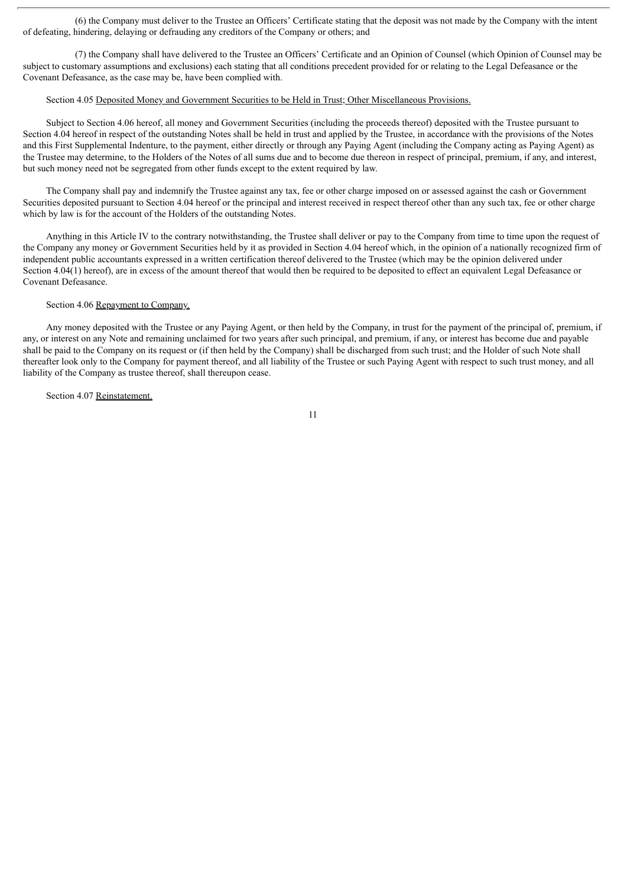(6) the Company must deliver to the Trustee an Officers' Certificate stating that the deposit was not made by the Company with the intent of defeating, hindering, delaying or defrauding any creditors of the Company or others; and

(7) the Company shall have delivered to the Trustee an Officers' Certificate and an Opinion of Counsel (which Opinion of Counsel may be subject to customary assumptions and exclusions) each stating that all conditions precedent provided for or relating to the Legal Defeasance or the Covenant Defeasance, as the case may be, have been complied with.

#### Section 4.05 Deposited Money and Government Securities to be Held in Trust; Other Miscellaneous Provisions.

Subject to Section 4.06 hereof, all money and Government Securities (including the proceeds thereof) deposited with the Trustee pursuant to Section 4.04 hereof in respect of the outstanding Notes shall be held in trust and applied by the Trustee, in accordance with the provisions of the Notes and this First Supplemental Indenture, to the payment, either directly or through any Paying Agent (including the Company acting as Paying Agent) as the Trustee may determine, to the Holders of the Notes of all sums due and to become due thereon in respect of principal, premium, if any, and interest, but such money need not be segregated from other funds except to the extent required by law.

The Company shall pay and indemnify the Trustee against any tax, fee or other charge imposed on or assessed against the cash or Government Securities deposited pursuant to Section 4.04 hereof or the principal and interest received in respect thereof other than any such tax, fee or other charge which by law is for the account of the Holders of the outstanding Notes.

Anything in this Article IV to the contrary notwithstanding, the Trustee shall deliver or pay to the Company from time to time upon the request of the Company any money or Government Securities held by it as provided in Section 4.04 hereof which, in the opinion of a nationally recognized firm of independent public accountants expressed in a written certification thereof delivered to the Trustee (which may be the opinion delivered under Section 4.04(1) hereof), are in excess of the amount thereof that would then be required to be deposited to effect an equivalent Legal Defeasance or Covenant Defeasance.

### Section 4.06 Repayment to Company.

Any money deposited with the Trustee or any Paying Agent, or then held by the Company, in trust for the payment of the principal of, premium, if any, or interest on any Note and remaining unclaimed for two years after such principal, and premium, if any, or interest has become due and payable shall be paid to the Company on its request or (if then held by the Company) shall be discharged from such trust; and the Holder of such Note shall thereafter look only to the Company for payment thereof, and all liability of the Trustee or such Paying Agent with respect to such trust money, and all liability of the Company as trustee thereof, shall thereupon cease.

#### Section 4.07 Reinstatement.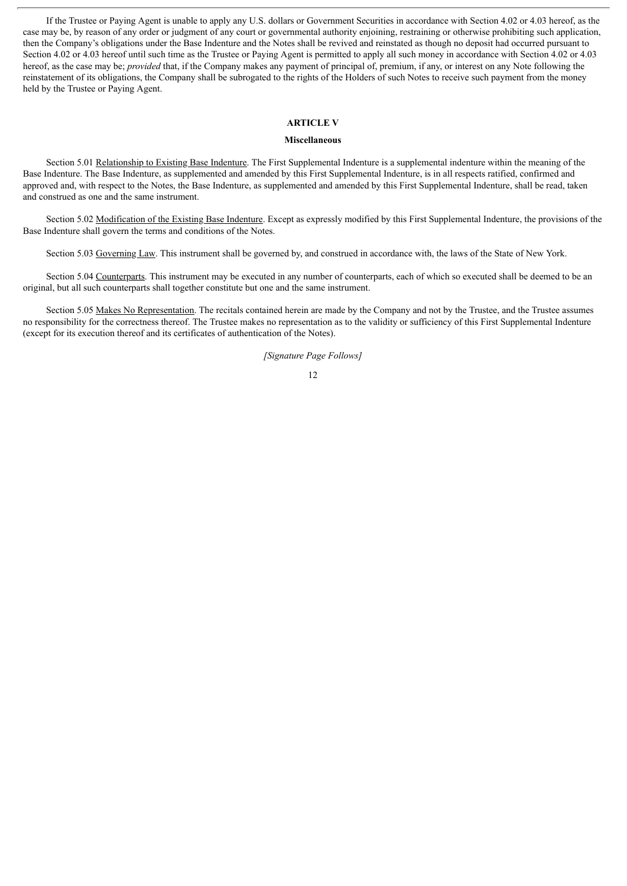If the Trustee or Paying Agent is unable to apply any U.S. dollars or Government Securities in accordance with Section 4.02 or 4.03 hereof, as the case may be, by reason of any order or judgment of any court or governmental authority enjoining, restraining or otherwise prohibiting such application, then the Company's obligations under the Base Indenture and the Notes shall be revived and reinstated as though no deposit had occurred pursuant to Section 4.02 or 4.03 hereof until such time as the Trustee or Paying Agent is permitted to apply all such money in accordance with Section 4.02 or 4.03 hereof, as the case may be; *provided* that, if the Company makes any payment of principal of, premium, if any, or interest on any Note following the reinstatement of its obligations, the Company shall be subrogated to the rights of the Holders of such Notes to receive such payment from the money held by the Trustee or Paying Agent.

## **ARTICLE V**

### **Miscellaneous**

Section 5.01 Relationship to Existing Base Indenture. The First Supplemental Indenture is a supplemental indenture within the meaning of the Base Indenture. The Base Indenture, as supplemented and amended by this First Supplemental Indenture, is in all respects ratified, confirmed and approved and, with respect to the Notes, the Base Indenture, as supplemented and amended by this First Supplemental Indenture, shall be read, taken and construed as one and the same instrument.

Section 5.02 Modification of the Existing Base Indenture. Except as expressly modified by this First Supplemental Indenture, the provisions of the Base Indenture shall govern the terms and conditions of the Notes.

Section 5.03 Governing Law. This instrument shall be governed by, and construed in accordance with, the laws of the State of New York.

Section 5.04 Counterparts. This instrument may be executed in any number of counterparts, each of which so executed shall be deemed to be an original, but all such counterparts shall together constitute but one and the same instrument.

Section 5.05 Makes No Representation. The recitals contained herein are made by the Company and not by the Trustee, and the Trustee assumes no responsibility for the correctness thereof. The Trustee makes no representation as to the validity or sufficiency of this First Supplemental Indenture (except for its execution thereof and its certificates of authentication of the Notes).

*[Signature Page Follows]*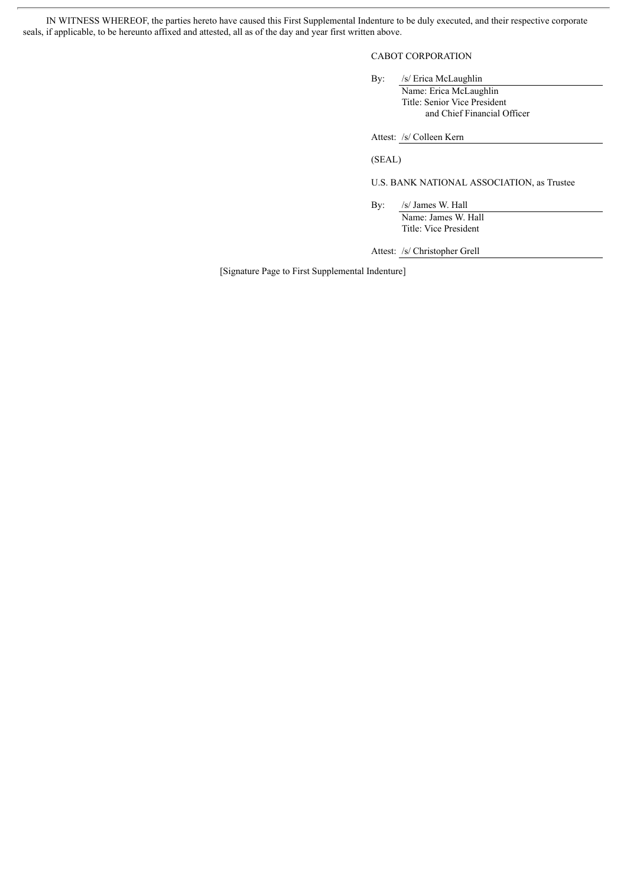IN WITNESS WHEREOF, the parties hereto have caused this First Supplemental Indenture to be duly executed, and their respective corporate seals, if applicable, to be hereunto affixed and attested, all as of the day and year first written above.

## CABOT CORPORATION

By: /s/ Erica McLaughlin Name: Erica McLaughlin Title: Senior Vice President and Chief Financial Officer

Attest: /s/ Colleen Kern

(SEAL)

U.S. BANK NATIONAL ASSOCIATION, as Trustee

By: /s/ James W. Hall Name: James W. Hall Title: Vice President

Attest: /s/ Christopher Grell

[Signature Page to First Supplemental Indenture]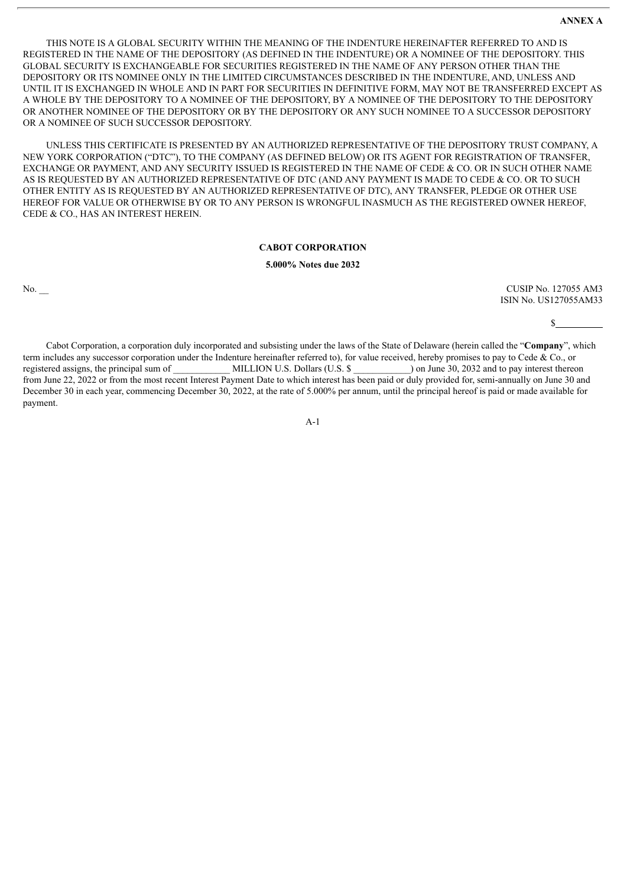THIS NOTE IS A GLOBAL SECURITY WITHIN THE MEANING OF THE INDENTURE HEREINAFTER REFERRED TO AND IS REGISTERED IN THE NAME OF THE DEPOSITORY (AS DEFINED IN THE INDENTURE) OR A NOMINEE OF THE DEPOSITORY. THIS GLOBAL SECURITY IS EXCHANGEABLE FOR SECURITIES REGISTERED IN THE NAME OF ANY PERSON OTHER THAN THE DEPOSITORY OR ITS NOMINEE ONLY IN THE LIMITED CIRCUMSTANCES DESCRIBED IN THE INDENTURE, AND, UNLESS AND UNTIL IT IS EXCHANGED IN WHOLE AND IN PART FOR SECURITIES IN DEFINITIVE FORM, MAY NOT BE TRANSFERRED EXCEPT AS A WHOLE BY THE DEPOSITORY TO A NOMINEE OF THE DEPOSITORY, BY A NOMINEE OF THE DEPOSITORY TO THE DEPOSITORY OR ANOTHER NOMINEE OF THE DEPOSITORY OR BY THE DEPOSITORY OR ANY SUCH NOMINEE TO A SUCCESSOR DEPOSITORY OR A NOMINEE OF SUCH SUCCESSOR DEPOSITORY.

UNLESS THIS CERTIFICATE IS PRESENTED BY AN AUTHORIZED REPRESENTATIVE OF THE DEPOSITORY TRUST COMPANY, A NEW YORK CORPORATION ("DTC"), TO THE COMPANY (AS DEFINED BELOW) OR ITS AGENT FOR REGISTRATION OF TRANSFER, EXCHANGE OR PAYMENT, AND ANY SECURITY ISSUED IS REGISTERED IN THE NAME OF CEDE & CO. OR IN SUCH OTHER NAME AS IS REQUESTED BY AN AUTHORIZED REPRESENTATIVE OF DTC (AND ANY PAYMENT IS MADE TO CEDE & CO. OR TO SUCH OTHER ENTITY AS IS REQUESTED BY AN AUTHORIZED REPRESENTATIVE OF DTC), ANY TRANSFER, PLEDGE OR OTHER USE HEREOF FOR VALUE OR OTHERWISE BY OR TO ANY PERSON IS WRONGFUL INASMUCH AS THE REGISTERED OWNER HEREOF, CEDE & CO., HAS AN INTEREST HEREIN.

## **CABOT CORPORATION**

#### **5.000% Notes due 2032**

No. 227055 AM3 ISIN No. US127055AM33

 $\mathbf{s}$ 

Cabot Corporation, a corporation duly incorporated and subsisting under the laws of the State of Delaware (herein called the "**Company**", which term includes any successor corporation under the Indenture hereinafter referred to), for value received, hereby promises to pay to Cede & Co., or registered assigns, the principal sum of \_\_\_\_\_\_\_\_\_\_\_\_ MILLION U.S. Dollars (U.S. \$ \_\_\_\_\_\_\_\_\_\_\_\_) on June 30, 2032 and to pay interest thereon from June 22, 2022 or from the most recent Interest Payment Date to which interest has been paid or duly provided for, semi-annually on June 30 and December 30 in each year, commencing December 30, 2022, at the rate of 5.000% per annum, until the principal hereof is paid or made available for payment.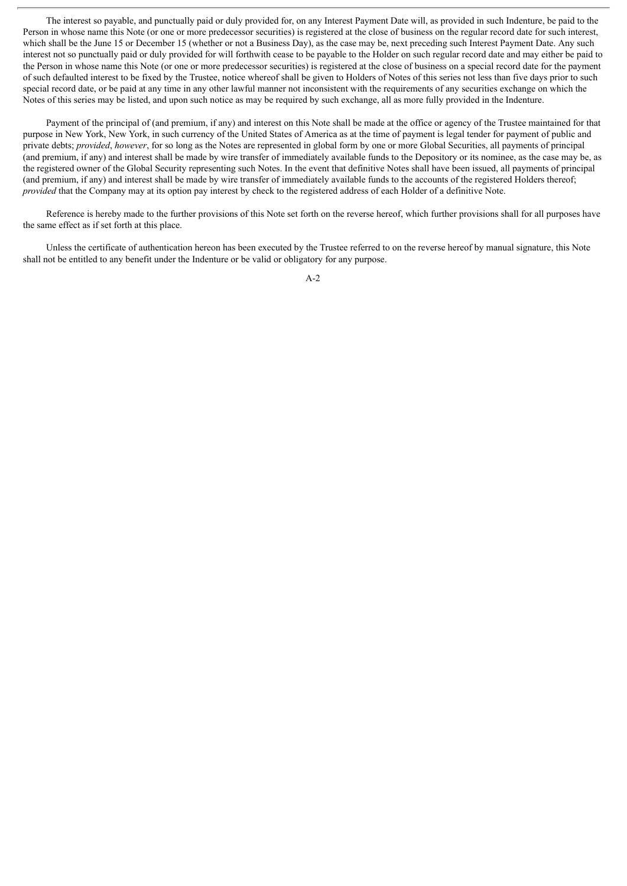The interest so payable, and punctually paid or duly provided for, on any Interest Payment Date will, as provided in such Indenture, be paid to the Person in whose name this Note (or one or more predecessor securities) is registered at the close of business on the regular record date for such interest, which shall be the June 15 or December 15 (whether or not a Business Day), as the case may be, next preceding such Interest Payment Date. Any such interest not so punctually paid or duly provided for will forthwith cease to be payable to the Holder on such regular record date and may either be paid to the Person in whose name this Note (or one or more predecessor securities) is registered at the close of business on a special record date for the payment of such defaulted interest to be fixed by the Trustee, notice whereof shall be given to Holders of Notes of this series not less than five days prior to such special record date, or be paid at any time in any other lawful manner not inconsistent with the requirements of any securities exchange on which the Notes of this series may be listed, and upon such notice as may be required by such exchange, all as more fully provided in the Indenture.

Payment of the principal of (and premium, if any) and interest on this Note shall be made at the office or agency of the Trustee maintained for that purpose in New York, New York, in such currency of the United States of America as at the time of payment is legal tender for payment of public and private debts; *provided*, *however*, for so long as the Notes are represented in global form by one or more Global Securities, all payments of principal (and premium, if any) and interest shall be made by wire transfer of immediately available funds to the Depository or its nominee, as the case may be, as the registered owner of the Global Security representing such Notes. In the event that definitive Notes shall have been issued, all payments of principal (and premium, if any) and interest shall be made by wire transfer of immediately available funds to the accounts of the registered Holders thereof; *provided* that the Company may at its option pay interest by check to the registered address of each Holder of a definitive Note.

Reference is hereby made to the further provisions of this Note set forth on the reverse hereof, which further provisions shall for all purposes have the same effect as if set forth at this place.

Unless the certificate of authentication hereon has been executed by the Trustee referred to on the reverse hereof by manual signature, this Note shall not be entitled to any benefit under the Indenture or be valid or obligatory for any purpose.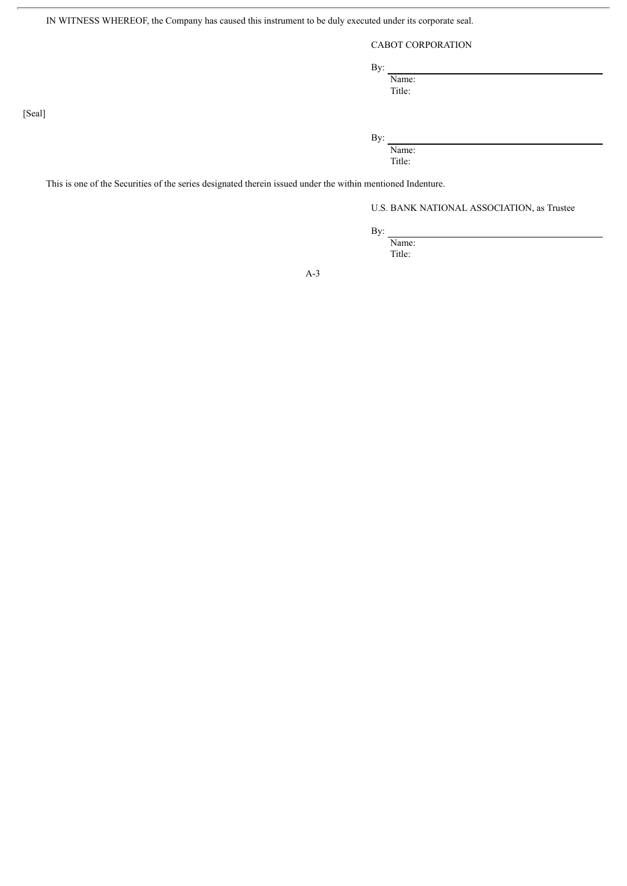IN WITNESS WHEREOF, the Company has caused this instrument to be duly executed under its corporate seal.

## CABOT CORPORATION

By:

Name:

Title:

By:

Name: Title:

This is one of the Securities of the series designated therein issued under the within mentioned Indenture.

U.S. BANK NATIONAL ASSOCIATION, as Trustee

By:

Name: Title:

A-3

[Seal]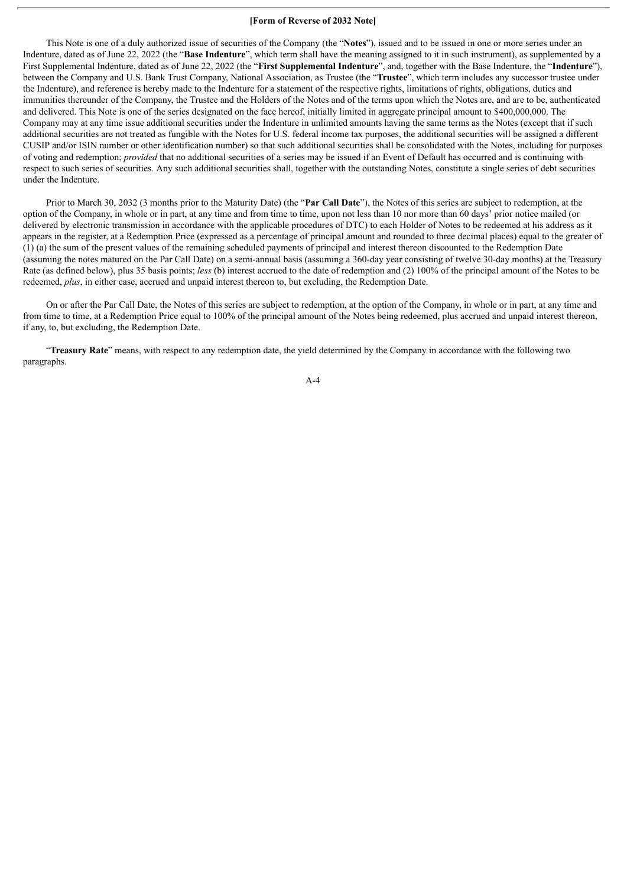#### **[Form of Reverse of 2032 Note]**

This Note is one of a duly authorized issue of securities of the Company (the "**Notes**"), issued and to be issued in one or more series under an Indenture, dated as of June 22, 2022 (the "**Base Indenture**", which term shall have the meaning assigned to it in such instrument), as supplemented by a First Supplemental Indenture, dated as of June 22, 2022 (the "**First Supplemental Indenture**", and, together with the Base Indenture, the "**Indenture**"), between the Company and U.S. Bank Trust Company, National Association, as Trustee (the "**Trustee**", which term includes any successor trustee under the Indenture), and reference is hereby made to the Indenture for a statement of the respective rights, limitations of rights, obligations, duties and immunities thereunder of the Company, the Trustee and the Holders of the Notes and of the terms upon which the Notes are, and are to be, authenticated and delivered. This Note is one of the series designated on the face hereof, initially limited in aggregate principal amount to \$400,000,000. The Company may at any time issue additional securities under the Indenture in unlimited amounts having the same terms as the Notes (except that if such additional securities are not treated as fungible with the Notes for U.S. federal income tax purposes, the additional securities will be assigned a different CUSIP and/or ISIN number or other identification number) so that such additional securities shall be consolidated with the Notes, including for purposes of voting and redemption; *provided* that no additional securities of a series may be issued if an Event of Default has occurred and is continuing with respect to such series of securities. Any such additional securities shall, together with the outstanding Notes, constitute a single series of debt securities under the Indenture.

Prior to March 30, 2032 (3 months prior to the Maturity Date) (the "**Par Call Date**"), the Notes of this series are subject to redemption, at the option of the Company, in whole or in part, at any time and from time to time, upon not less than 10 nor more than 60 days' prior notice mailed (or delivered by electronic transmission in accordance with the applicable procedures of DTC) to each Holder of Notes to be redeemed at his address as it appears in the register, at a Redemption Price (expressed as a percentage of principal amount and rounded to three decimal places) equal to the greater of (1) (a) the sum of the present values of the remaining scheduled payments of principal and interest thereon discounted to the Redemption Date (assuming the notes matured on the Par Call Date) on a semi-annual basis (assuming a 360-day year consisting of twelve 30-day months) at the Treasury Rate (as defined below), plus 35 basis points; *less* (b) interest accrued to the date of redemption and (2) 100% of the principal amount of the Notes to be redeemed, *plus*, in either case, accrued and unpaid interest thereon to, but excluding, the Redemption Date.

On or after the Par Call Date, the Notes of this series are subject to redemption, at the option of the Company, in whole or in part, at any time and from time to time, at a Redemption Price equal to 100% of the principal amount of the Notes being redeemed, plus accrued and unpaid interest thereon, if any, to, but excluding, the Redemption Date.

"**Treasury Rate**" means, with respect to any redemption date, the yield determined by the Company in accordance with the following two paragraphs.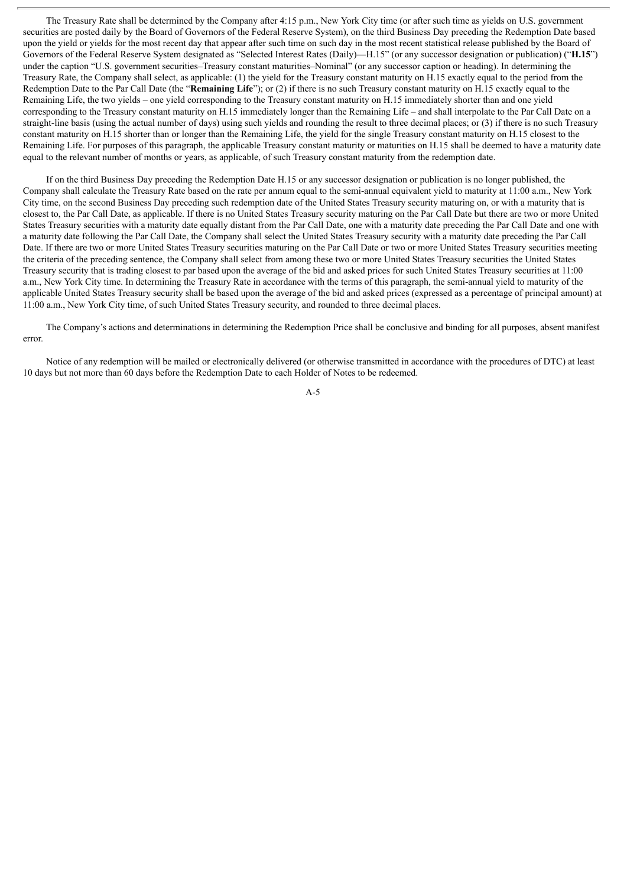The Treasury Rate shall be determined by the Company after 4:15 p.m., New York City time (or after such time as yields on U.S. government securities are posted daily by the Board of Governors of the Federal Reserve System), on the third Business Day preceding the Redemption Date based upon the yield or yields for the most recent day that appear after such time on such day in the most recent statistical release published by the Board of Governors of the Federal Reserve System designated as "Selected Interest Rates (Daily)—H.15" (or any successor designation or publication) ("**H.15**") under the caption "U.S. government securities–Treasury constant maturities–Nominal" (or any successor caption or heading). In determining the Treasury Rate, the Company shall select, as applicable: (1) the yield for the Treasury constant maturity on H.15 exactly equal to the period from the Redemption Date to the Par Call Date (the "**Remaining Life**"); or (2) if there is no such Treasury constant maturity on H.15 exactly equal to the Remaining Life, the two yields – one yield corresponding to the Treasury constant maturity on H.15 immediately shorter than and one yield corresponding to the Treasury constant maturity on H.15 immediately longer than the Remaining Life – and shall interpolate to the Par Call Date on a straight-line basis (using the actual number of days) using such yields and rounding the result to three decimal places; or (3) if there is no such Treasury constant maturity on H.15 shorter than or longer than the Remaining Life, the yield for the single Treasury constant maturity on H.15 closest to the Remaining Life. For purposes of this paragraph, the applicable Treasury constant maturity or maturities on H.15 shall be deemed to have a maturity date equal to the relevant number of months or years, as applicable, of such Treasury constant maturity from the redemption date.

If on the third Business Day preceding the Redemption Date H.15 or any successor designation or publication is no longer published, the Company shall calculate the Treasury Rate based on the rate per annum equal to the semi-annual equivalent yield to maturity at 11:00 a.m., New York City time, on the second Business Day preceding such redemption date of the United States Treasury security maturing on, or with a maturity that is closest to, the Par Call Date, as applicable. If there is no United States Treasury security maturing on the Par Call Date but there are two or more United States Treasury securities with a maturity date equally distant from the Par Call Date, one with a maturity date preceding the Par Call Date and one with a maturity date following the Par Call Date, the Company shall select the United States Treasury security with a maturity date preceding the Par Call Date. If there are two or more United States Treasury securities maturing on the Par Call Date or two or more United States Treasury securities meeting the criteria of the preceding sentence, the Company shall select from among these two or more United States Treasury securities the United States Treasury security that is trading closest to par based upon the average of the bid and asked prices for such United States Treasury securities at 11:00 a.m., New York City time. In determining the Treasury Rate in accordance with the terms of this paragraph, the semi-annual yield to maturity of the applicable United States Treasury security shall be based upon the average of the bid and asked prices (expressed as a percentage of principal amount) at 11:00 a.m., New York City time, of such United States Treasury security, and rounded to three decimal places.

The Company's actions and determinations in determining the Redemption Price shall be conclusive and binding for all purposes, absent manifest error.

Notice of any redemption will be mailed or electronically delivered (or otherwise transmitted in accordance with the procedures of DTC) at least 10 days but not more than 60 days before the Redemption Date to each Holder of Notes to be redeemed.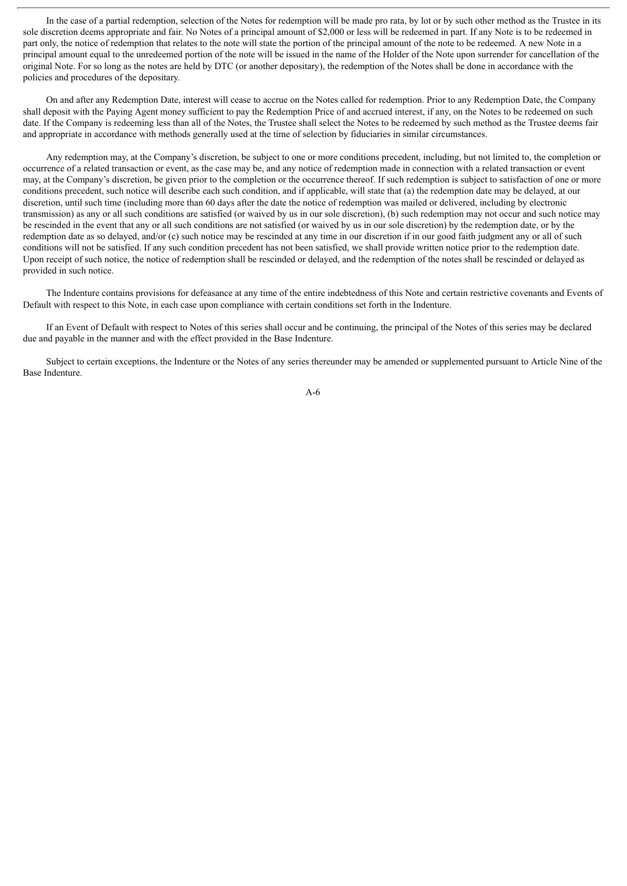In the case of a partial redemption, selection of the Notes for redemption will be made pro rata, by lot or by such other method as the Trustee in its sole discretion deems appropriate and fair. No Notes of a principal amount of \$2,000 or less will be redeemed in part. If any Note is to be redeemed in part only, the notice of redemption that relates to the note will state the portion of the principal amount of the note to be redeemed. A new Note in a principal amount equal to the unredeemed portion of the note will be issued in the name of the Holder of the Note upon surrender for cancellation of the original Note. For so long as the notes are held by DTC (or another depositary), the redemption of the Notes shall be done in accordance with the policies and procedures of the depositary.

On and after any Redemption Date, interest will cease to accrue on the Notes called for redemption. Prior to any Redemption Date, the Company shall deposit with the Paying Agent money sufficient to pay the Redemption Price of and accrued interest, if any, on the Notes to be redeemed on such date. If the Company is redeeming less than all of the Notes, the Trustee shall select the Notes to be redeemed by such method as the Trustee deems fair and appropriate in accordance with methods generally used at the time of selection by fiduciaries in similar circumstances.

Any redemption may, at the Company's discretion, be subject to one or more conditions precedent, including, but not limited to, the completion or occurrence of a related transaction or event, as the case may be, and any notice of redemption made in connection with a related transaction or event may, at the Company's discretion, be given prior to the completion or the occurrence thereof. If such redemption is subject to satisfaction of one or more conditions precedent, such notice will describe each such condition, and if applicable, will state that (a) the redemption date may be delayed, at our discretion, until such time (including more than 60 days after the date the notice of redemption was mailed or delivered, including by electronic transmission) as any or all such conditions are satisfied (or waived by us in our sole discretion), (b) such redemption may not occur and such notice may be rescinded in the event that any or all such conditions are not satisfied (or waived by us in our sole discretion) by the redemption date, or by the redemption date as so delayed, and/or (c) such notice may be rescinded at any time in our discretion if in our good faith judgment any or all of such conditions will not be satisfied. If any such condition precedent has not been satisfied, we shall provide written notice prior to the redemption date. Upon receipt of such notice, the notice of redemption shall be rescinded or delayed, and the redemption of the notes shall be rescinded or delayed as provided in such notice.

The Indenture contains provisions for defeasance at any time of the entire indebtedness of this Note and certain restrictive covenants and Events of Default with respect to this Note, in each case upon compliance with certain conditions set forth in the Indenture.

If an Event of Default with respect to Notes of this series shall occur and be continuing, the principal of the Notes of this series may be declared due and payable in the manner and with the effect provided in the Base Indenture.

Subject to certain exceptions, the Indenture or the Notes of any series thereunder may be amended or supplemented pursuant to Article Nine of the Base Indenture.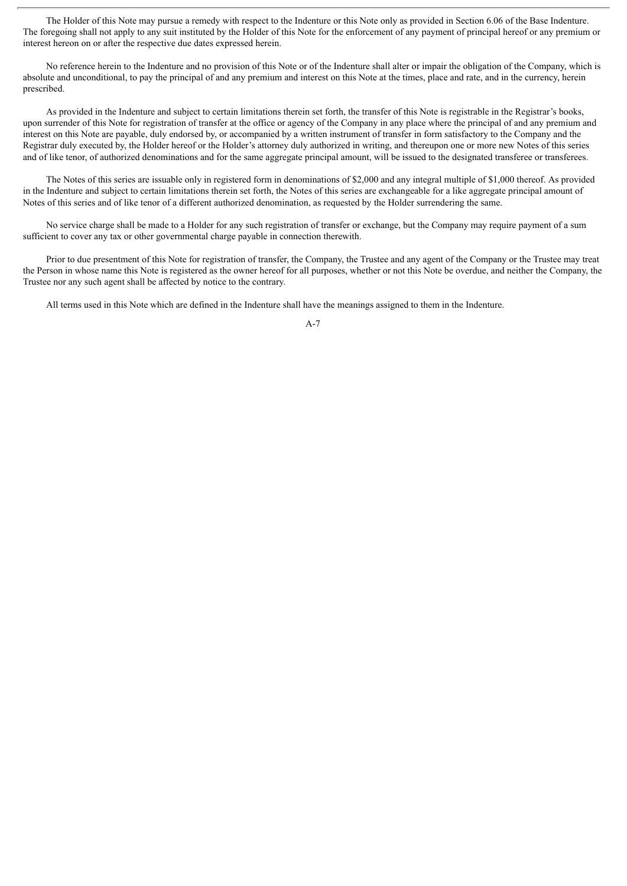The Holder of this Note may pursue a remedy with respect to the Indenture or this Note only as provided in Section 6.06 of the Base Indenture. The foregoing shall not apply to any suit instituted by the Holder of this Note for the enforcement of any payment of principal hereof or any premium or interest hereon on or after the respective due dates expressed herein.

No reference herein to the Indenture and no provision of this Note or of the Indenture shall alter or impair the obligation of the Company, which is absolute and unconditional, to pay the principal of and any premium and interest on this Note at the times, place and rate, and in the currency, herein prescribed.

As provided in the Indenture and subject to certain limitations therein set forth, the transfer of this Note is registrable in the Registrar's books, upon surrender of this Note for registration of transfer at the office or agency of the Company in any place where the principal of and any premium and interest on this Note are payable, duly endorsed by, or accompanied by a written instrument of transfer in form satisfactory to the Company and the Registrar duly executed by, the Holder hereof or the Holder's attorney duly authorized in writing, and thereupon one or more new Notes of this series and of like tenor, of authorized denominations and for the same aggregate principal amount, will be issued to the designated transferee or transferees.

The Notes of this series are issuable only in registered form in denominations of \$2,000 and any integral multiple of \$1,000 thereof. As provided in the Indenture and subject to certain limitations therein set forth, the Notes of this series are exchangeable for a like aggregate principal amount of Notes of this series and of like tenor of a different authorized denomination, as requested by the Holder surrendering the same.

No service charge shall be made to a Holder for any such registration of transfer or exchange, but the Company may require payment of a sum sufficient to cover any tax or other governmental charge payable in connection therewith.

Prior to due presentment of this Note for registration of transfer, the Company, the Trustee and any agent of the Company or the Trustee may treat the Person in whose name this Note is registered as the owner hereof for all purposes, whether or not this Note be overdue, and neither the Company, the Trustee nor any such agent shall be affected by notice to the contrary.

All terms used in this Note which are defined in the Indenture shall have the meanings assigned to them in the Indenture.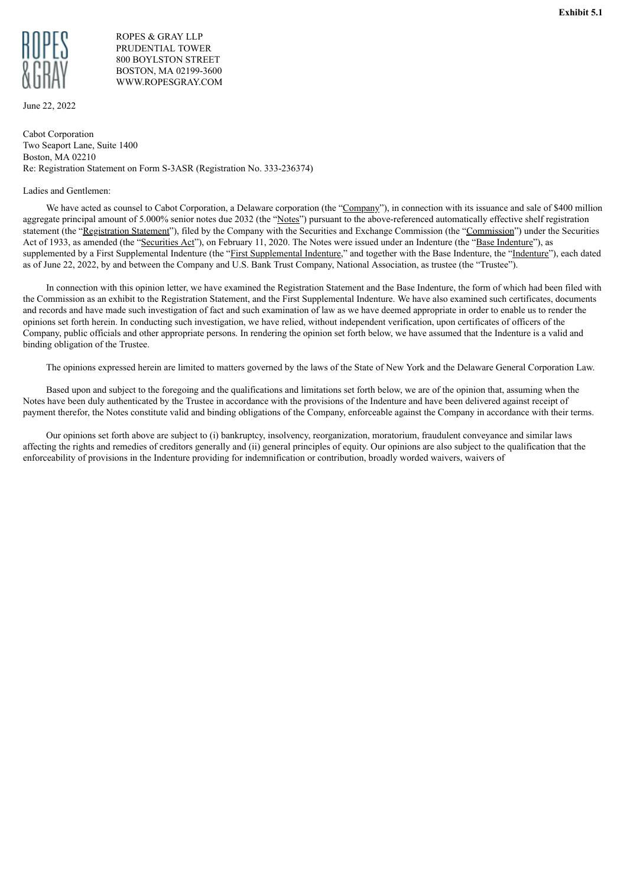<span id="page-69-0"></span>

## ROPES & GRAY LLP PRUDENTIAL TOWER 800 BOYLSTON STREET BOSTON, MA 02199-3600 WWW.ROPESGRAY.COM

June 22, 2022

Cabot Corporation Two Seaport Lane, Suite 1400 Boston, MA 02210 Re: Registration Statement on Form S-3ASR (Registration No. 333-236374)

#### Ladies and Gentlemen:

We have acted as counsel to Cabot Corporation, a Delaware corporation (the "Company"), in connection with its issuance and sale of \$400 million aggregate principal amount of 5.000% senior notes due 2032 (the "Notes") pursuant to the above-referenced automatically effective shelf registration statement (the "Registration Statement"), filed by the Company with the Securities and Exchange Commission (the "Commission") under the Securities Act of 1933, as amended (the "Securities Act"), on February 11, 2020. The Notes were issued under an Indenture (the "Base Indenture"), as supplemented by a First Supplemental Indenture (the "First Supplemental Indenture," and together with the Base Indenture, the "Indenture"), each dated as of June 22, 2022, by and between the Company and U.S. Bank Trust Company, National Association, as trustee (the "Trustee").

In connection with this opinion letter, we have examined the Registration Statement and the Base Indenture, the form of which had been filed with the Commission as an exhibit to the Registration Statement, and the First Supplemental Indenture. We have also examined such certificates, documents and records and have made such investigation of fact and such examination of law as we have deemed appropriate in order to enable us to render the opinions set forth herein. In conducting such investigation, we have relied, without independent verification, upon certificates of officers of the Company, public officials and other appropriate persons. In rendering the opinion set forth below, we have assumed that the Indenture is a valid and binding obligation of the Trustee.

The opinions expressed herein are limited to matters governed by the laws of the State of New York and the Delaware General Corporation Law.

Based upon and subject to the foregoing and the qualifications and limitations set forth below, we are of the opinion that, assuming when the Notes have been duly authenticated by the Trustee in accordance with the provisions of the Indenture and have been delivered against receipt of payment therefor, the Notes constitute valid and binding obligations of the Company, enforceable against the Company in accordance with their terms.

Our opinions set forth above are subject to (i) bankruptcy, insolvency, reorganization, moratorium, fraudulent conveyance and similar laws affecting the rights and remedies of creditors generally and (ii) general principles of equity. Our opinions are also subject to the qualification that the enforceability of provisions in the Indenture providing for indemnification or contribution, broadly worded waivers, waivers of